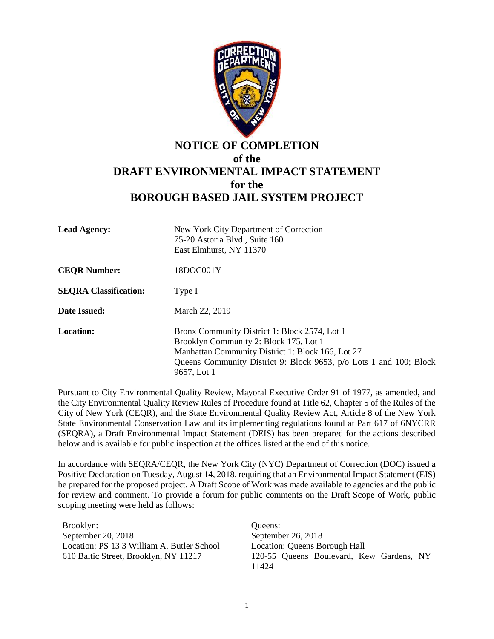

## **NOTICE OF COMPLETION of the DRAFT ENVIRONMENTAL IMPACT STATEMENT for the BOROUGH BASED JAIL SYSTEM PROJECT**

| <b>Lead Agency:</b>          | New York City Department of Correction<br>75-20 Astoria Blvd., Suite 160<br>East Elmhurst, NY 11370                                                                                                                               |
|------------------------------|-----------------------------------------------------------------------------------------------------------------------------------------------------------------------------------------------------------------------------------|
| <b>CEQR Number:</b>          | 18DOC001Y                                                                                                                                                                                                                         |
| <b>SEQRA Classification:</b> | Type I                                                                                                                                                                                                                            |
| Date Issued:                 | March 22, 2019                                                                                                                                                                                                                    |
| <b>Location:</b>             | Bronx Community District 1: Block 2574, Lot 1<br>Brooklyn Community 2: Block 175, Lot 1<br>Manhattan Community District 1: Block 166, Lot 27<br>Queens Community District 9: Block 9653, p/o Lots 1 and 100; Block<br>9657, Lot 1 |

Pursuant to City Environmental Quality Review, Mayoral Executive Order 91 of 1977, as amended, and the City Environmental Quality Review Rules of Procedure found at Title 62, Chapter 5 of the Rules of the City of New York (CEQR), and the State Environmental Quality Review Act, Article 8 of the New York State Environmental Conservation Law and its implementing regulations found at Part 617 of 6NYCRR (SEQRA), a Draft Environmental Impact Statement (DEIS) has been prepared for the actions described below and is available for public inspection at the offices listed at the end of this notice.

In accordance with SEQRA/CEQR, the New York City (NYC) Department of Correction (DOC) issued a Positive Declaration on Tuesday, August 14, 2018, requiring that an Environmental Impact Statement (EIS) be prepared for the proposed project. A Draft Scope of Work was made available to agencies and the public for review and comment. To provide a forum for public comments on the Draft Scope of Work, public scoping meeting were held as follows:

Brooklyn: September 20, 2018 Location: PS 13 3 William A. Butler School 610 Baltic Street, Brooklyn, NY 11217

Queens: September 26, 2018 Location: Queens Borough Hall 120-55 Queens Boulevard, Kew Gardens, NY 11424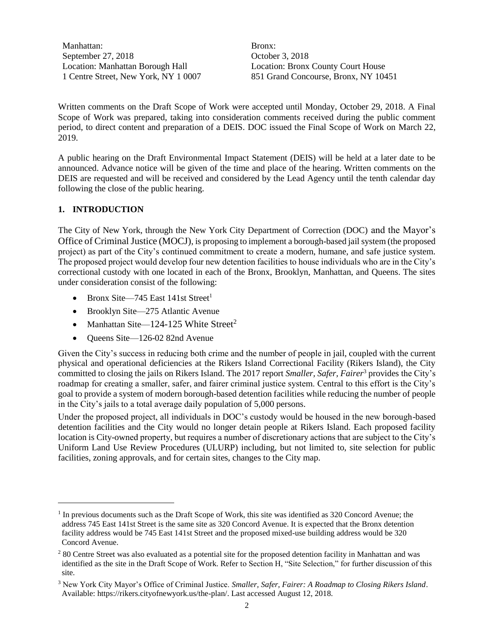Manhattan: September 27, 2018 Location: Manhattan Borough Hall 1 Centre Street, New York, NY 1 0007

Bronx: October 3, 2018 Location: Bronx County Court House 851 Grand Concourse, Bronx, NY 10451

Written comments on the Draft Scope of Work were accepted until Monday, October 29, 2018. A Final Scope of Work was prepared, taking into consideration comments received during the public comment period, to direct content and preparation of a DEIS. DOC issued the Final Scope of Work on March 22, 2019.

A public hearing on the Draft Environmental Impact Statement (DEIS) will be held at a later date to be announced. Advance notice will be given of the time and place of the hearing. Written comments on the DEIS are requested and will be received and considered by the Lead Agency until the tenth calendar day following the close of the public hearing.

## **1. INTRODUCTION**

 $\overline{a}$ 

The City of New York, through the New York City Department of Correction (DOC) and the Mayor's Office of Criminal Justice (MOCJ), is proposing to implement a borough-based jail system (the proposed project) as part of the City's continued commitment to create a modern, humane, and safe justice system. The proposed project would develop four new detention facilities to house individuals who are in the City's correctional custody with one located in each of the Bronx, Brooklyn, Manhattan, and Queens. The sites under consideration consist of the following:

- $\bullet$  Bronx Site—745 East 141st Street<sup>1</sup>
- Brooklyn Site—275 Atlantic Avenue
- Manhattan Site—124-125 White Street<sup>2</sup>
- Oueens Site—126-02 82nd Avenue

Given the City's success in reducing both crime and the number of people in jail, coupled with the current physical and operational deficiencies at the Rikers Island Correctional Facility (Rikers Island), the City committed to closing the jails on Rikers Island. The 2017 report *Smaller, Safer, Fairer*<sup>3</sup> provides the City's roadmap for creating a smaller, safer, and fairer criminal justice system. Central to this effort is the City's goal to provide a system of modern borough-based detention facilities while reducing the number of people in the City's jails to a total average daily population of 5,000 persons.

Under the proposed project, all individuals in DOC's custody would be housed in the new borough-based detention facilities and the City would no longer detain people at Rikers Island. Each proposed facility location is City-owned property, but requires a number of discretionary actions that are subject to the City's Uniform Land Use Review Procedures (ULURP) including, but not limited to, site selection for public facilities, zoning approvals, and for certain sites, changes to the City map.

<sup>&</sup>lt;sup>1</sup> In previous documents such as the Draft Scope of Work, this site was identified as 320 Concord Avenue; the address 745 East 141st Street is the same site as 320 Concord Avenue. It is expected that the Bronx detention facility address would be 745 East 141st Street and the proposed mixed-use building address would be 320 Concord Avenue.

<sup>&</sup>lt;sup>2</sup> 80 Centre Street was also evaluated as a potential site for the proposed detention facility in Manhattan and was identified as the site in the Draft Scope of Work. Refer to Section H, "Site Selection," for further discussion of this site.

<sup>3</sup> New York City Mayor's Office of Criminal Justice. *Smaller, Safer, Fairer: A Roadmap to Closing Rikers Island*. Available[: https://rikers.cityofnewyork.us/the-plan/.](https://rikers.cityofnewyork.us/the-plan/) Last accessed August 12, 2018.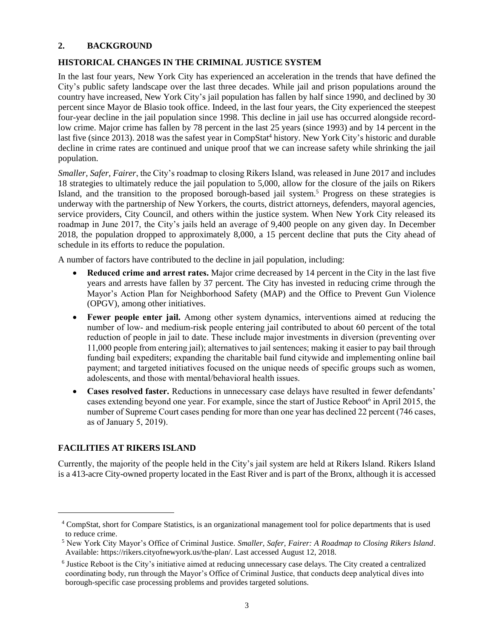#### **2. BACKGROUND**

## **HISTORICAL CHANGES IN THE CRIMINAL JUSTICE SYSTEM**

In the last four years, New York City has experienced an acceleration in the trends that have defined the City's public safety landscape over the last three decades. While jail and prison populations around the country have increased, New York City's jail population has fallen by half since 1990, and declined by 30 percent since Mayor de Blasio took office. Indeed, in the last four years, the City experienced the steepest four-year decline in the jail population since 1998. This decline in jail use has occurred alongside recordlow crime. Major crime has fallen by 78 percent in the last 25 years (since 1993) and by 14 percent in the last five (since 2013). 2018 was the safest year in CompStat<sup>4</sup> history. New York City's historic and durable decline in crime rates are continued and unique proof that we can increase safety while shrinking the jail population.

*Smaller, Safer, Fairer*, the City's roadmap to closing Rikers Island, was released in June 2017 and includes 18 strategies to ultimately reduce the jail population to 5,000, allow for the closure of the jails on Rikers Island, and the transition to the proposed borough-based jail system.<sup>5</sup> Progress on these strategies is underway with the partnership of New Yorkers, the courts, district attorneys, defenders, mayoral agencies, service providers, City Council, and others within the justice system. When New York City released its roadmap in June 2017, the City's jails held an average of 9,400 people on any given day. In December 2018, the population dropped to approximately 8,000, a 15 percent decline that puts the City ahead of schedule in its efforts to reduce the population.

A number of factors have contributed to the decline in jail population, including:

- **Reduced crime and arrest rates.** Major crime decreased by 14 percent in the City in the last five years and arrests have fallen by 37 percent. The City has invested in reducing crime through the Mayor's Action Plan for Neighborhood Safety (MAP) and the Office to Prevent Gun Violence (OPGV), among other initiatives.
- **Fewer people enter jail.** Among other system dynamics, interventions aimed at reducing the number of low- and medium-risk people entering jail contributed to about 60 percent of the total reduction of people in jail to date. These include major investments in diversion (preventing over 11,000 people from entering jail); alternatives to jail sentences; making it easier to pay bail through funding bail expediters; expanding the charitable bail fund citywide and implementing online bail payment; and targeted initiatives focused on the unique needs of specific groups such as women, adolescents, and those with mental/behavioral health issues.
- **Cases resolved faster.** Reductions in unnecessary case delays have resulted in fewer defendants' cases extending beyond one year. For example, since the start of Justice Reboot<sup>6</sup> in April 2015, the number of Supreme Court cases pending for more than one year has declined 22 percent (746 cases, as of January 5, 2019).

## **FACILITIES AT RIKERS ISLAND**

 $\overline{a}$ 

Currently, the majority of the people held in the City's jail system are held at Rikers Island. Rikers Island is a 413-acre City-owned property located in the East River and is part of the Bronx, although it is accessed

<sup>4</sup> CompStat, short for Compare Statistics, is an organizational management tool for police departments that is used to reduce crime.

<sup>5</sup> New York City Mayor's Office of Criminal Justice. *Smaller, Safer, Fairer: A Roadmap to Closing Rikers Island*. Available: [https://rikers.cityofnewyork.us/the-plan/.](https://rikers.cityofnewyork.us/the-plan/) Last accessed August 12, 2018.

<sup>6</sup> Justice Reboot is the City's initiative aimed at reducing unnecessary case delays. The City created a centralized coordinating body, run through the Mayor's Office of Criminal Justice, that conducts deep analytical dives into borough-specific case processing problems and provides targeted solutions.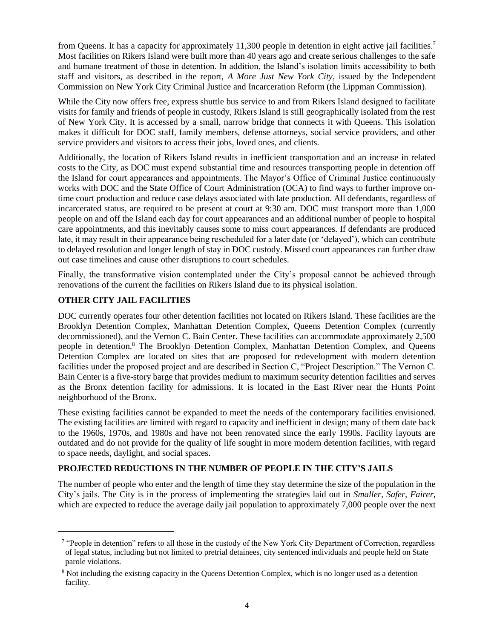from Queens. It has a capacity for approximately 11,300 people in detention in eight active jail facilities.<sup>7</sup> Most facilities on Rikers Island were built more than 40 years ago and create serious challenges to the safe and humane treatment of those in detention. In addition, the Island's isolation limits accessibility to both staff and visitors, as described in the report, *A More Just New York City*, issued by the Independent Commission on New York City Criminal Justice and Incarceration Reform (the Lippman Commission).

While the City now offers free, express shuttle bus service to and from Rikers Island designed to facilitate visits for family and friends of people in custody, Rikers Island is still geographically isolated from the rest of New York City. It is accessed by a small, narrow bridge that connects it with Queens. This isolation makes it difficult for DOC staff, family members, defense attorneys, social service providers, and other service providers and visitors to access their jobs, loved ones, and clients.

Additionally, the location of Rikers Island results in inefficient transportation and an increase in related costs to the City, as DOC must expend substantial time and resources transporting people in detention off the Island for court appearances and appointments. The Mayor's Office of Criminal Justice continuously works with DOC and the State Office of Court Administration (OCA) to find ways to further improve ontime court production and reduce case delays associated with late production. All defendants, regardless of incarcerated status, are required to be present at court at 9:30 am. DOC must transport more than 1,000 people on and off the Island each day for court appearances and an additional number of people to hospital care appointments, and this inevitably causes some to miss court appearances. If defendants are produced late, it may result in their appearance being rescheduled for a later date (or 'delayed'), which can contribute to delayed resolution and longer length of stay in DOC custody. Missed court appearances can further draw out case timelines and cause other disruptions to court schedules.

Finally, the transformative vision contemplated under the City's proposal cannot be achieved through renovations of the current the facilities on Rikers Island due to its physical isolation.

## **OTHER CITY JAIL FACILITIES**

 $\overline{a}$ 

DOC currently operates four other detention facilities not located on Rikers Island. These facilities are the Brooklyn Detention Complex, Manhattan Detention Complex, Queens Detention Complex (currently decommissioned), and the Vernon C. Bain Center. These facilities can accommodate approximately 2,500 people in detention.<sup>8</sup> The Brooklyn Detention Complex, Manhattan Detention Complex, and Queens Detention Complex are located on sites that are proposed for redevelopment with modern detention facilities under the proposed project and are described in Section C, "Project Description." The Vernon C. Bain Center is a five-story barge that provides medium to maximum security detention facilities and serves as the Bronx detention facility for admissions. It is located in the East River near the Hunts Point neighborhood of the Bronx.

These existing facilities cannot be expanded to meet the needs of the contemporary facilities envisioned. The existing facilities are limited with regard to capacity and inefficient in design; many of them date back to the 1960s, 1970s, and 1980s and have not been renovated since the early 1990s. Facility layouts are outdated and do not provide for the quality of life sought in more modern detention facilities, with regard to space needs, daylight, and social spaces.

## **PROJECTED REDUCTIONS IN THE NUMBER OF PEOPLE IN THE CITY'S JAILS**

The number of people who enter and the length of time they stay determine the size of the population in the City's jails. The City is in the process of implementing the strategies laid out in *Smaller, Safer, Fairer*, which are expected to reduce the average daily jail population to approximately 7,000 people over the next

<sup>&</sup>lt;sup>7</sup> "People in detention" refers to all those in the custody of the New York City Department of Correction, regardless of legal status, including but not limited to pretrial detainees, city sentenced individuals and people held on State parole violations.

<sup>&</sup>lt;sup>8</sup> Not including the existing capacity in the Queens Detention Complex, which is no longer used as a detention facility.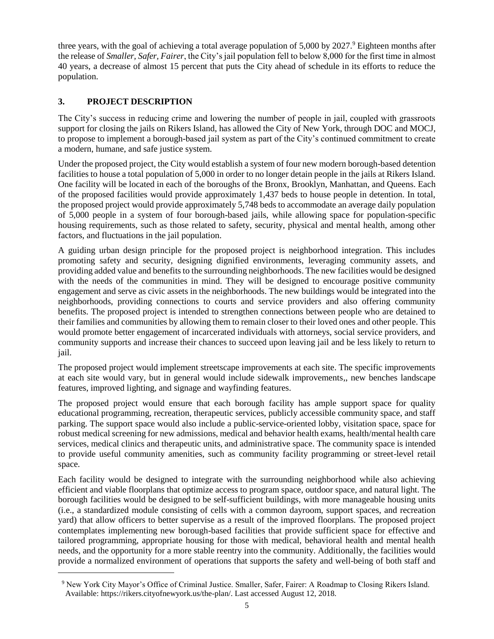three years, with the goal of achieving a total average population of 5,000 by 2027.<sup>9</sup> Eighteen months after the release of *Smaller, Safer, Fairer*, the City's jail population fell to below 8,000 for the first time in almost 40 years, a decrease of almost 15 percent that puts the City ahead of schedule in its efforts to reduce the population.

## **3. PROJECT DESCRIPTION**

 $\overline{a}$ 

The City's success in reducing crime and lowering the number of people in jail, coupled with grassroots support for closing the jails on Rikers Island, has allowed the City of New York, through DOC and MOCJ, to propose to implement a borough-based jail system as part of the City's continued commitment to create a modern, humane, and safe justice system.

Under the proposed project, the City would establish a system of four new modern borough-based detention facilities to house a total population of 5,000 in order to no longer detain people in the jails at Rikers Island. One facility will be located in each of the boroughs of the Bronx, Brooklyn, Manhattan, and Queens. Each of the proposed facilities would provide approximately 1,437 beds to house people in detention. In total, the proposed project would provide approximately 5,748 beds to accommodate an average daily population of 5,000 people in a system of four borough-based jails, while allowing space for population-specific housing requirements, such as those related to safety, security, physical and mental health, among other factors, and fluctuations in the jail population.

A guiding urban design principle for the proposed project is neighborhood integration. This includes promoting safety and security, designing dignified environments, leveraging community assets, and providing added value and benefits to the surrounding neighborhoods. The new facilities would be designed with the needs of the communities in mind. They will be designed to encourage positive community engagement and serve as civic assets in the neighborhoods. The new buildings would be integrated into the neighborhoods, providing connections to courts and service providers and also offering community benefits. The proposed project is intended to strengthen connections between people who are detained to their families and communities by allowing them to remain closer to their loved ones and other people. This would promote better engagement of incarcerated individuals with attorneys, social service providers, and community supports and increase their chances to succeed upon leaving jail and be less likely to return to jail.

The proposed project would implement streetscape improvements at each site. The specific improvements at each site would vary, but in general would include sidewalk improvements,, new benches landscape features, improved lighting, and signage and wayfinding features.

The proposed project would ensure that each borough facility has ample support space for quality educational programming, recreation, therapeutic services, publicly accessible community space, and staff parking. The support space would also include a public-service-oriented lobby, visitation space, space for robust medical screening for new admissions, medical and behavior health exams, health/mental health care services, medical clinics and therapeutic units, and administrative space. The community space is intended to provide useful community amenities, such as community facility programming or street-level retail space.

Each facility would be designed to integrate with the surrounding neighborhood while also achieving efficient and viable floorplans that optimize access to program space, outdoor space, and natural light. The borough facilities would be designed to be self-sufficient buildings, with more manageable housing units (i.e., a standardized module consisting of cells with a common dayroom, support spaces, and recreation yard) that allow officers to better supervise as a result of the improved floorplans. The proposed project contemplates implementing new borough-based facilities that provide sufficient space for effective and tailored programming, appropriate housing for those with medical, behavioral health and mental health needs, and the opportunity for a more stable reentry into the community. Additionally, the facilities would provide a normalized environment of operations that supports the safety and well-being of both staff and

<sup>9</sup> New York City Mayor's Office of Criminal Justice. Smaller, Safer, Fairer: A Roadmap to Closing Rikers Island. Available: https://rikers.cityofnewyork.us/the-plan/. Last accessed August 12, 2018.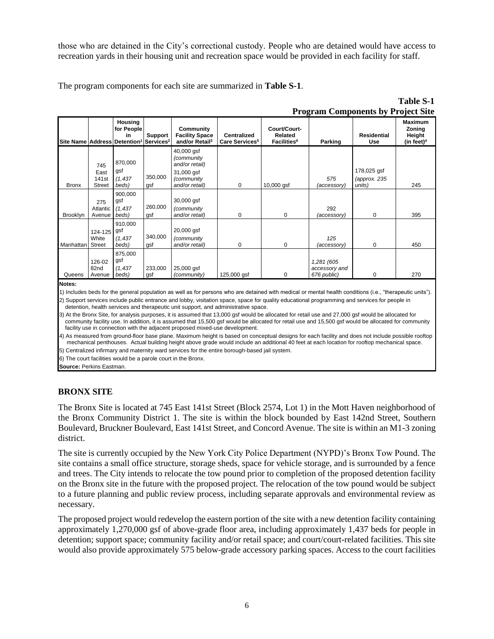those who are detained in the City's correctional custody. People who are detained would have access to recreation yards in their housing unit and recreation space would be provided in each facility for staff.

The program components for each site are summarized in **Table S-1**.

|              | <b>Program Components by Project Site</b>         |                                                                                               |                |                                                                                          |                                                  |                                                           |                                            |                                       |                                              |
|--------------|---------------------------------------------------|-----------------------------------------------------------------------------------------------|----------------|------------------------------------------------------------------------------------------|--------------------------------------------------|-----------------------------------------------------------|--------------------------------------------|---------------------------------------|----------------------------------------------|
|              |                                                   | Housing<br>for People<br>in<br>Site Name Address Detention <sup>1</sup> Services <sup>2</sup> | Support        | Community<br><b>Facility Space</b><br>and/or Retail <sup>3</sup>                         | <b>Centralized</b><br>Care Services <sup>5</sup> | Court/Court-<br>Related<br><b>Facilities</b> <sup>6</sup> | Parking                                    | <b>Residential</b><br>Use             | Maximum<br>Zoning<br>Height<br>(in feet) $4$ |
| <b>Bronx</b> | 745<br>East<br>141 <sub>st</sub><br><b>Street</b> | 870,000<br>gsf<br>(1, 437)<br>beds)                                                           | 350,000<br>qsf | 40,000 gsf<br>(community<br>and/or retail)<br>31,000 gsf<br>(community<br>and/or retail) | 0                                                | 10,000 gsf                                                | 575<br>(accessory)                         | 178,025 gsf<br>(approx. 235<br>units) | 245                                          |
| Brooklyn     | 275<br>Atlantic<br>Avenue                         | 900,000<br>gsf<br>(1, 437)<br>beds)                                                           | 260,000<br>gsf | 30,000 gsf<br>(community<br>and/or retail)                                               | 0                                                | 0                                                         | 292<br>(accessory)                         | 0                                     | 395                                          |
| Manhattan    | 124-125<br>White<br><b>Street</b>                 | 910,000<br>gsf<br>(1, 437)<br>beds)                                                           | 340,000<br>gsf | 20,000 gsf<br>(community<br>and/or retail)                                               | 0                                                | 0                                                         | 125<br>(accessory)                         | 0                                     | 450                                          |
| Queens       | 126-02<br>82nd<br>Avenue                          | 875,000<br>gsf<br>(1, 437)<br>beds)                                                           | 233,000<br>gsf | 25,000 gsf<br>(community)                                                                | 125,000 gsf                                      | 0                                                         | 1,281 (605<br>accessory and<br>676 public) | 0                                     | 270                                          |
| Notes:       |                                                   |                                                                                               |                |                                                                                          |                                                  |                                                           |                                            |                                       |                                              |

# **Table S-1**

#### **Notes:**

1) Includes beds for the general population as well as for persons who are detained with medical or mental health conditions (i.e., "therapeutic units").

2) Support services include public entrance and lobby, visitation space, space for quality educational programming and services for people in detention, health services and therapeutic unit support, and administrative space.

3) At the Bronx Site, for analysis purposes, it is assumed that 13,000 gsf would be allocated for retail use and 27,000 gsf would be allocated for community facility use. In addition, it is assumed that 15,500 gsf would be allocated for retail use and 15,500 gsf would be allocated for community facility use in connection with the adjacent proposed mixed-use development.

4) As measured from ground-floor base plane. Maximum height is based on conceptual designs for each facility and does not include possible rooftop mechanical penthouses. Actual building height above grade would include an additional 40 feet at each location for rooftop mechanical space.

5) Centralized infirmary and maternity ward services for the entire borough-based jail system.

6) The court facilities would be a parole court in the Bronx.

**Source:** Perkins Eastman.

## **BRONX SITE**

The Bronx Site is located at 745 East 141st Street (Block 2574, Lot 1) in the Mott Haven neighborhood of the Bronx Community District 1. The site is within the block bounded by East 142nd Street, Southern Boulevard, Bruckner Boulevard, East 141st Street, and Concord Avenue. The site is within an M1-3 zoning district.

The site is currently occupied by the New York City Police Department (NYPD)'s Bronx Tow Pound. The site contains a small office structure, storage sheds, space for vehicle storage, and is surrounded by a fence and trees. The City intends to relocate the tow pound prior to completion of the proposed detention facility on the Bronx site in the future with the proposed project. The relocation of the tow pound would be subject to a future planning and public review process, including separate approvals and environmental review as necessary.

The proposed project would redevelop the eastern portion of the site with a new detention facility containing approximately 1,270,000 gsf of above-grade floor area, including approximately 1,437 beds for people in detention; support space; community facility and/or retail space; and court/court-related facilities. This site would also provide approximately 575 below-grade accessory parking spaces. Access to the court facilities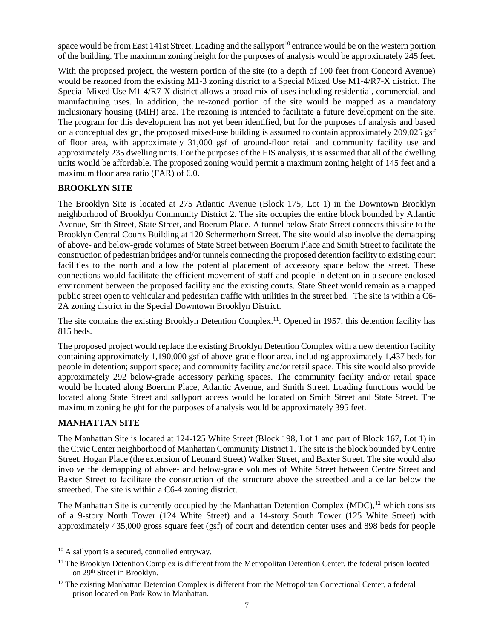space would be from East 141st Street. Loading and the sallyport<sup>10</sup> entrance would be on the western portion of the building. The maximum zoning height for the purposes of analysis would be approximately 245 feet.

With the proposed project, the western portion of the site (to a depth of 100 feet from Concord Avenue) would be rezoned from the existing M1-3 zoning district to a Special Mixed Use M1-4/R7-X district. The Special Mixed Use M1-4/R7-X district allows a broad mix of uses including residential, commercial, and manufacturing uses. In addition, the re-zoned portion of the site would be mapped as a mandatory inclusionary housing (MIH) area. The rezoning is intended to facilitate a future development on the site. The program for this development has not yet been identified, but for the purposes of analysis and based on a conceptual design, the proposed mixed-use building is assumed to contain approximately 209,025 gsf of floor area, with approximately 31,000 gsf of ground-floor retail and community facility use and approximately 235 dwelling units. For the purposes of the EIS analysis, it is assumed that all of the dwelling units would be affordable. The proposed zoning would permit a maximum zoning height of 145 feet and a maximum floor area ratio (FAR) of 6.0.

## **BROOKLYN SITE**

The Brooklyn Site is located at 275 Atlantic Avenue (Block 175, Lot 1) in the Downtown Brooklyn neighborhood of Brooklyn Community District 2. The site occupies the entire block bounded by Atlantic Avenue, Smith Street, State Street, and Boerum Place. A tunnel below State Street connects this site to the Brooklyn Central Courts Building at 120 Schermerhorn Street. The site would also involve the demapping of above- and below-grade volumes of State Street between Boerum Place and Smith Street to facilitate the construction of pedestrian bridges and/or tunnels connecting the proposed detention facility to existing court facilities to the north and allow the potential placement of accessory space below the street. These connections would facilitate the efficient movement of staff and people in detention in a secure enclosed environment between the proposed facility and the existing courts. State Street would remain as a mapped public street open to vehicular and pedestrian traffic with utilities in the street bed. The site is within a C6- 2A zoning district in the Special Downtown Brooklyn District.

The site contains the existing Brooklyn Detention Complex.<sup>11</sup>. Opened in 1957, this detention facility has 815 beds.

The proposed project would replace the existing Brooklyn Detention Complex with a new detention facility containing approximately 1,190,000 gsf of above-grade floor area, including approximately 1,437 beds for people in detention; support space; and community facility and/or retail space. This site would also provide approximately 292 below-grade accessory parking spaces. The community facility and/or retail space would be located along Boerum Place, Atlantic Avenue, and Smith Street. Loading functions would be located along State Street and sallyport access would be located on Smith Street and State Street. The maximum zoning height for the purposes of analysis would be approximately 395 feet.

## **MANHATTAN SITE**

 $\overline{a}$ 

The Manhattan Site is located at 124-125 White Street (Block 198, Lot 1 and part of Block 167, Lot 1) in the Civic Center neighborhood of Manhattan Community District 1. The site is the block bounded by Centre Street, Hogan Place (the extension of Leonard Street) Walker Street, and Baxter Street. The site would also involve the demapping of above- and below-grade volumes of White Street between Centre Street and Baxter Street to facilitate the construction of the structure above the streetbed and a cellar below the streetbed. The site is within a C6-4 zoning district.

The Manhattan Site is currently occupied by the Manhattan Detention Complex (MDC),<sup>12</sup> which consists of a 9-story North Tower (124 White Street) and a 14-story South Tower (125 White Street) with approximately 435,000 gross square feet (gsf) of court and detention center uses and 898 beds for people

<sup>&</sup>lt;sup>10</sup> A sallyport is a secured, controlled entryway.

<sup>&</sup>lt;sup>11</sup> The Brooklyn Detention Complex is different from the Metropolitan Detention Center, the federal prison located on 29th Street in Brooklyn.

 $12$  The existing Manhattan Detention Complex is different from the Metropolitan Correctional Center, a federal prison located on Park Row in Manhattan.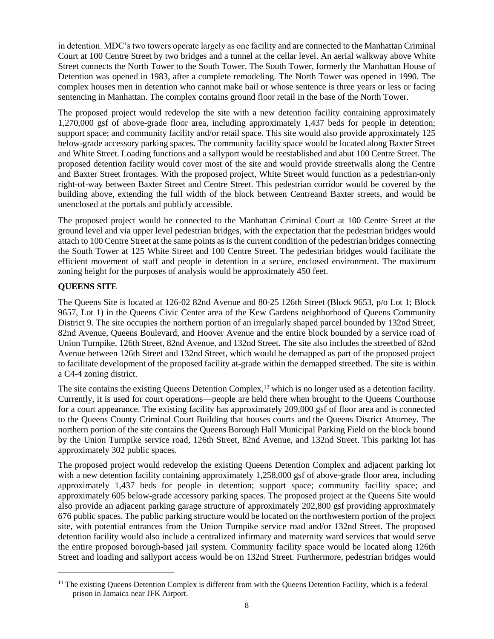in detention. MDC's two towers operate largely as one facility and are connected to the Manhattan Criminal Court at 100 Centre Street by two bridges and a tunnel at the cellar level. An aerial walkway above White Street connects the North Tower to the South Tower. The South Tower, formerly the Manhattan House of Detention was opened in 1983, after a complete remodeling. The North Tower was opened in 1990. The complex houses men in detention who cannot make bail or whose sentence is three years or less or facing sentencing in Manhattan. The complex contains ground floor retail in the base of the North Tower.

The proposed project would redevelop the site with a new detention facility containing approximately 1,270,000 gsf of above-grade floor area, including approximately 1,437 beds for people in detention; support space; and community facility and/or retail space. This site would also provide approximately 125 below-grade accessory parking spaces. The community facility space would be located along Baxter Street and White Street. Loading functions and a sallyport would be reestablished and abut 100 Centre Street. The proposed detention facility would cover most of the site and would provide streetwalls along the Centre and Baxter Street frontages. With the proposed project, White Street would function as a pedestrian-only right-of-way between Baxter Street and Centre Street. This pedestrian corridor would be covered by the building above, extending the full width of the block between Centreand Baxter streets, and would be unenclosed at the portals and publicly accessible.

The proposed project would be connected to the Manhattan Criminal Court at 100 Centre Street at the ground level and via upper level pedestrian bridges, with the expectation that the pedestrian bridges would attach to 100 Centre Street at the same points as is the current condition of the pedestrian bridges connecting the South Tower at 125 White Street and 100 Centre Street. The pedestrian bridges would facilitate the efficient movement of staff and people in detention in a secure, enclosed environment. The maximum zoning height for the purposes of analysis would be approximately 450 feet.

## **QUEENS SITE**

 $\overline{a}$ 

The Queens Site is located at 126-02 82nd Avenue and 80-25 126th Street (Block 9653, p/o Lot 1; Block 9657, Lot 1) in the Queens Civic Center area of the Kew Gardens neighborhood of Queens Community District 9. The site occupies the northern portion of an irregularly shaped parcel bounded by 132nd Street, 82nd Avenue, Queens Boulevard, and Hoover Avenue and the entire block bounded by a service road of Union Turnpike, 126th Street, 82nd Avenue, and 132nd Street. The site also includes the streetbed of 82nd Avenue between 126th Street and 132nd Street, which would be demapped as part of the proposed project to facilitate development of the proposed facility at-grade within the demapped streetbed. The site is within a C4-4 zoning district.

The site contains the existing Queens Detention Complex,<sup>13</sup> which is no longer used as a detention facility. Currently, it is used for court operations—people are held there when brought to the Queens Courthouse for a court appearance. The existing facility has approximately 209,000 gsf of floor area and is connected to the Queens County Criminal Court Building that houses courts and the Queens District Attorney. The northern portion of the site contains the Queens Borough Hall Municipal Parking Field on the block bound by the Union Turnpike service road, 126th Street, 82nd Avenue, and 132nd Street. This parking lot has approximately 302 public spaces.

The proposed project would redevelop the existing Queens Detention Complex and adjacent parking lot with a new detention facility containing approximately 1,258,000 gsf of above-grade floor area, including approximately 1,437 beds for people in detention; support space; community facility space; and approximately 605 below-grade accessory parking spaces. The proposed project at the Queens Site would also provide an adjacent parking garage structure of approximately 202,800 gsf providing approximately 676 public spaces. The public parking structure would be located on the northwestern portion of the project site, with potential entrances from the Union Turnpike service road and/or 132nd Street. The proposed detention facility would also include a centralized infirmary and maternity ward services that would serve the entire proposed borough-based jail system. Community facility space would be located along 126th Street and loading and sallyport access would be on 132nd Street. Furthermore, pedestrian bridges would

<sup>&</sup>lt;sup>13</sup> The existing Queens Detention Complex is different from with the Queens Detention Facility, which is a federal prison in Jamaica near JFK Airport.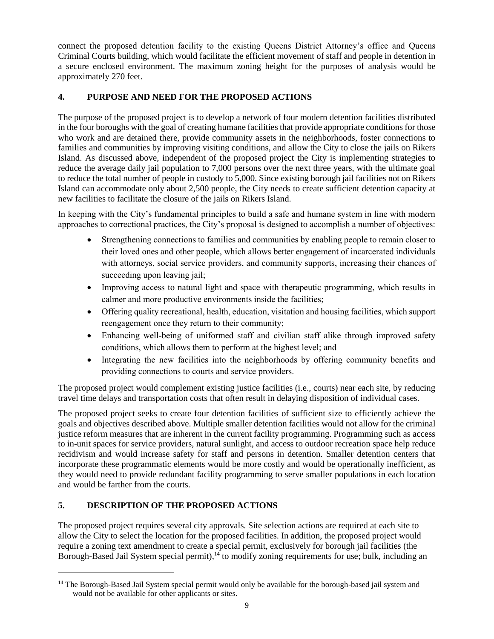connect the proposed detention facility to the existing Queens District Attorney's office and Queens Criminal Courts building, which would facilitate the efficient movement of staff and people in detention in a secure enclosed environment. The maximum zoning height for the purposes of analysis would be approximately 270 feet.

## **4. PURPOSE AND NEED FOR THE PROPOSED ACTIONS**

The purpose of the proposed project is to develop a network of four modern detention facilities distributed in the four boroughs with the goal of creating humane facilities that provide appropriate conditions for those who work and are detained there, provide community assets in the neighborhoods, foster connections to families and communities by improving visiting conditions, and allow the City to close the jails on Rikers Island. As discussed above, independent of the proposed project the City is implementing strategies to reduce the average daily jail population to 7,000 persons over the next three years, with the ultimate goal to reduce the total number of people in custody to 5,000. Since existing borough jail facilities not on Rikers Island can accommodate only about 2,500 people, the City needs to create sufficient detention capacity at new facilities to facilitate the closure of the jails on Rikers Island.

In keeping with the City's fundamental principles to build a safe and humane system in line with modern approaches to correctional practices, the City's proposal is designed to accomplish a number of objectives:

- Strengthening connections to families and communities by enabling people to remain closer to their loved ones and other people, which allows better engagement of incarcerated individuals with attorneys, social service providers, and community supports, increasing their chances of succeeding upon leaving jail;
- Improving access to natural light and space with therapeutic programming, which results in calmer and more productive environments inside the facilities;
- Offering quality recreational, health, education, visitation and housing facilities, which support reengagement once they return to their community;
- Enhancing well-being of uniformed staff and civilian staff alike through improved safety conditions, which allows them to perform at the highest level; and
- Integrating the new facilities into the neighborhoods by offering community benefits and providing connections to courts and service providers.

The proposed project would complement existing justice facilities (i.e., courts) near each site, by reducing travel time delays and transportation costs that often result in delaying disposition of individual cases.

The proposed project seeks to create four detention facilities of sufficient size to efficiently achieve the goals and objectives described above. Multiple smaller detention facilities would not allow for the criminal justice reform measures that are inherent in the current facility programming. Programming such as access to in-unit spaces for service providers, natural sunlight, and access to outdoor recreation space help reduce recidivism and would increase safety for staff and persons in detention. Smaller detention centers that incorporate these programmatic elements would be more costly and would be operationally inefficient, as they would need to provide redundant facility programming to serve smaller populations in each location and would be farther from the courts.

## **5. DESCRIPTION OF THE PROPOSED ACTIONS**

 $\overline{a}$ 

The proposed project requires several city approvals. Site selection actions are required at each site to allow the City to select the location for the proposed facilities. In addition, the proposed project would require a zoning text amendment to create a special permit, exclusively for borough jail facilities (the Borough-Based Jail System special permit),<sup>14</sup> to modify zoning requirements for use; bulk, including an

<sup>&</sup>lt;sup>14</sup> The Borough-Based Jail System special permit would only be available for the borough-based jail system and would not be available for other applicants or sites.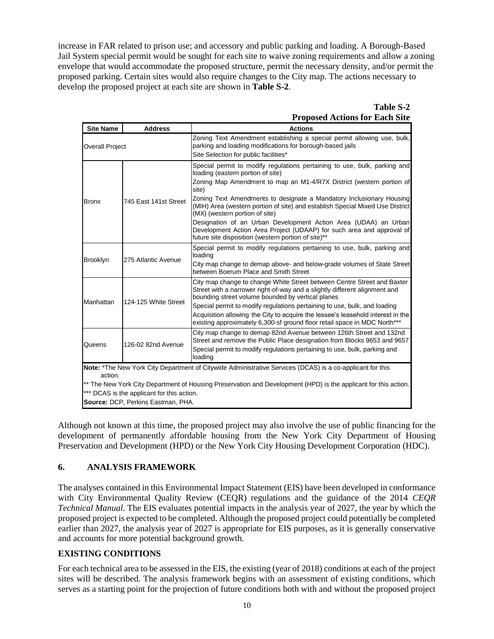increase in FAR related to prison use; and accessory and public parking and loading. A Borough-Based Jail System special permit would be sought for each site to waive zoning requirements and allow a zoning envelope that would accommodate the proposed structure, permit the necessary density, and/or permit the proposed parking. Certain sites would also require changes to the City map. The actions necessary to develop the proposed project at each site are shown in **Table S-2**.

## **Table S-2 Proposed Actions for Each Site**

| <b>Site Name</b>                                                                                                           | <b>Address</b>                     | <b>Actions</b>                                                                                                                                                                                             |  |  |  |
|----------------------------------------------------------------------------------------------------------------------------|------------------------------------|------------------------------------------------------------------------------------------------------------------------------------------------------------------------------------------------------------|--|--|--|
| <b>Overall Project</b>                                                                                                     |                                    | Zoning Text Amendment establishing a special permit allowing use, bulk,<br>parking and loading modifications for borough-based jails<br>Site Selection for public facilities*                              |  |  |  |
|                                                                                                                            |                                    | Special permit to modify regulations pertaining to use, bulk, parking and<br>loading (eastern portion of site)                                                                                             |  |  |  |
|                                                                                                                            |                                    | Zoning Map Amendment to map an M1-4/R7X District (western portion of<br>site)                                                                                                                              |  |  |  |
| <b>Bronx</b>                                                                                                               | 745 East 141st Street              | Zoning Text Amendments to designate a Mandatory Inclusionary Housing<br>(MIH) Area (western portion of site) and establish Special Mixed Use District<br>(MX) (western portion of site)                    |  |  |  |
|                                                                                                                            |                                    | Designation of an Urban Development Action Area (UDAA) an Urban<br>Development Action Area Project (UDAAP) for such area and approval of<br>future site disposition (western portion of site)**            |  |  |  |
|                                                                                                                            |                                    | Special permit to modify regulations pertaining to use, bulk, parking and<br>loading                                                                                                                       |  |  |  |
| <b>Brooklyn</b>                                                                                                            | 275 Atlantic Avenue                | City map change to demap above- and below-grade volumes of State Street<br>between Boerum Place and Smith Street                                                                                           |  |  |  |
|                                                                                                                            |                                    | City map change to change White Street between Centre Street and Baxter<br>Street with a narrower right-of-way and a slightly different alignment and<br>bounding street volume bounded by vertical planes |  |  |  |
| Manhattan                                                                                                                  | 124-125 White Street               | Special permit to modify regulations pertaining to use, bulk, and loading                                                                                                                                  |  |  |  |
|                                                                                                                            |                                    | Acquisition allowing the City to acquire the lessee's leasehold interest in the<br>existing approximately 6,300-sf ground floor retail space in MDC North***                                               |  |  |  |
|                                                                                                                            |                                    | City map change to demap 82nd Avenue between 126th Street and 132nd<br>Street and remove the Public Place designation from Blocks 9653 and 9657                                                            |  |  |  |
| Queens                                                                                                                     | 126-02 82nd Avenue                 | Special permit to modify regulations pertaining to use, bulk, parking and<br>loading                                                                                                                       |  |  |  |
| Note: *The New York City Department of Citywide Administrative Services (DCAS) is a co-applicant for this                  |                                    |                                                                                                                                                                                                            |  |  |  |
| action.<br>** The New York City Department of Housing Preservation and Development (HPD) is the applicant for this action. |                                    |                                                                                                                                                                                                            |  |  |  |
| *** DCAS is the applicant for this action.                                                                                 |                                    |                                                                                                                                                                                                            |  |  |  |
|                                                                                                                            | Source: DCP, Perkins Eastman, PHA. |                                                                                                                                                                                                            |  |  |  |

Although not known at this time, the proposed project may also involve the use of public financing for the development of permanently affordable housing from the New York City Department of Housing Preservation and Development (HPD) or the New York City Housing Development Corporation (HDC).

## **6. ANALYSIS FRAMEWORK**

The analyses contained in this Environmental Impact Statement (EIS) have been developed in conformance with City Environmental Quality Review (CEQR) regulations and the guidance of the 2014 *CEQR Technical Manual*. The EIS evaluates potential impacts in the analysis year of 2027, the year by which the proposed project is expected to be completed. Although the proposed project could potentially be completed earlier than 2027, the analysis year of 2027 is appropriate for EIS purposes, as it is generally conservative and accounts for more potential background growth.

## **EXISTING CONDITIONS**

For each technical area to be assessed in the EIS, the existing (year of 2018) conditions at each of the project sites will be described. The analysis framework begins with an assessment of existing conditions, which serves as a starting point for the projection of future conditions both with and without the proposed project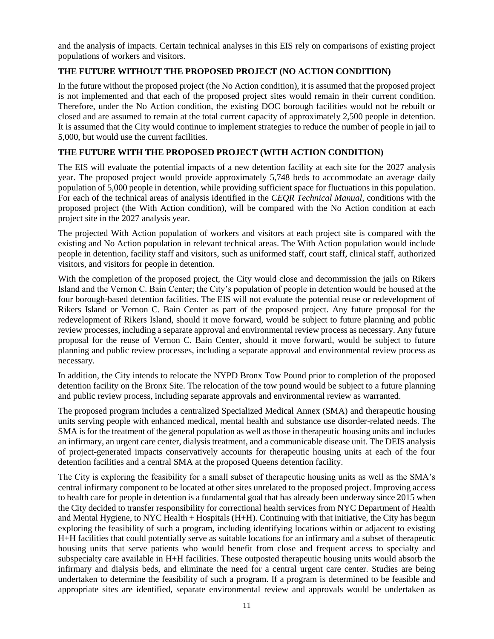and the analysis of impacts. Certain technical analyses in this EIS rely on comparisons of existing project populations of workers and visitors.

## **THE FUTURE WITHOUT THE PROPOSED PROJECT (NO ACTION CONDITION)**

In the future without the proposed project (the No Action condition), it is assumed that the proposed project is not implemented and that each of the proposed project sites would remain in their current condition. Therefore, under the No Action condition, the existing DOC borough facilities would not be rebuilt or closed and are assumed to remain at the total current capacity of approximately 2,500 people in detention. It is assumed that the City would continue to implement strategies to reduce the number of people in jail to 5,000, but would use the current facilities.

### **THE FUTURE WITH THE PROPOSED PROJECT (WITH ACTION CONDITION)**

The EIS will evaluate the potential impacts of a new detention facility at each site for the 2027 analysis year. The proposed project would provide approximately 5,748 beds to accommodate an average daily population of 5,000 people in detention, while providing sufficient space for fluctuations in this population. For each of the technical areas of analysis identified in the *CEQR Technical Manual*, conditions with the proposed project (the With Action condition), will be compared with the No Action condition at each project site in the 2027 analysis year.

The projected With Action population of workers and visitors at each project site is compared with the existing and No Action population in relevant technical areas. The With Action population would include people in detention, facility staff and visitors, such as uniformed staff, court staff, clinical staff, authorized visitors, and visitors for people in detention.

With the completion of the proposed project, the City would close and decommission the jails on Rikers Island and the Vernon C. Bain Center; the City's population of people in detention would be housed at the four borough-based detention facilities. The EIS will not evaluate the potential reuse or redevelopment of Rikers Island or Vernon C. Bain Center as part of the proposed project. Any future proposal for the redevelopment of Rikers Island, should it move forward, would be subject to future planning and public review processes, including a separate approval and environmental review process as necessary. Any future proposal for the reuse of Vernon C. Bain Center, should it move forward, would be subject to future planning and public review processes, including a separate approval and environmental review process as necessary.

In addition, the City intends to relocate the NYPD Bronx Tow Pound prior to completion of the proposed detention facility on the Bronx Site. The relocation of the tow pound would be subject to a future planning and public review process, including separate approvals and environmental review as warranted.

The proposed program includes a centralized Specialized Medical Annex (SMA) and therapeutic housing units serving people with enhanced medical, mental health and substance use disorder-related needs. The SMA is for the treatment of the general population as well as those in therapeutic housing units and includes an infirmary, an urgent care center, dialysis treatment, and a communicable disease unit. The DEIS analysis of project-generated impacts conservatively accounts for therapeutic housing units at each of the four detention facilities and a central SMA at the proposed Queens detention facility.

The City is exploring the feasibility for a small subset of therapeutic housing units as well as the SMA's central infirmary component to be located at other sites unrelated to the proposed project. Improving access to health care for people in detention is a fundamental goal that has already been underway since 2015 when the City decided to transfer responsibility for correctional health services from NYC Department of Health and Mental Hygiene, to NYC Health + Hospitals (H+H). Continuing with that initiative, the City has begun exploring the feasibility of such a program, including identifying locations within or adjacent to existing H+H facilities that could potentially serve as suitable locations for an infirmary and a subset of therapeutic housing units that serve patients who would benefit from close and frequent access to specialty and subspecialty care available in H+H facilities. These outposted therapeutic housing units would absorb the infirmary and dialysis beds, and eliminate the need for a central urgent care center. Studies are being undertaken to determine the feasibility of such a program. If a program is determined to be feasible and appropriate sites are identified, separate environmental review and approvals would be undertaken as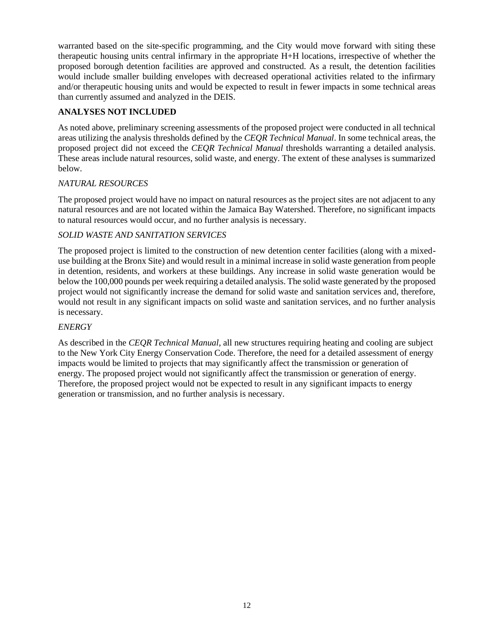warranted based on the site-specific programming, and the City would move forward with siting these therapeutic housing units central infirmary in the appropriate H+H locations, irrespective of whether the proposed borough detention facilities are approved and constructed. As a result, the detention facilities would include smaller building envelopes with decreased operational activities related to the infirmary and/or therapeutic housing units and would be expected to result in fewer impacts in some technical areas than currently assumed and analyzed in the DEIS.

### **ANALYSES NOT INCLUDED**

As noted above, preliminary screening assessments of the proposed project were conducted in all technical areas utilizing the analysis thresholds defined by the *CEQR Technical Manual*. In some technical areas, the proposed project did not exceed the *CEQR Technical Manual* thresholds warranting a detailed analysis. These areas include natural resources, solid waste, and energy. The extent of these analyses is summarized below.

### *NATURAL RESOURCES*

The proposed project would have no impact on natural resources as the project sites are not adjacent to any natural resources and are not located within the Jamaica Bay Watershed. Therefore, no significant impacts to natural resources would occur, and no further analysis is necessary.

### *SOLID WASTE AND SANITATION SERVICES*

The proposed project is limited to the construction of new detention center facilities (along with a mixeduse building at the Bronx Site) and would result in a minimal increase in solid waste generation from people in detention, residents, and workers at these buildings. Any increase in solid waste generation would be below the 100,000 pounds per week requiring a detailed analysis. The solid waste generated by the proposed project would not significantly increase the demand for solid waste and sanitation services and, therefore, would not result in any significant impacts on solid waste and sanitation services, and no further analysis is necessary.

#### *ENERGY*

As described in the *CEQR Technical Manual*, all new structures requiring heating and cooling are subject to the New York City Energy Conservation Code. Therefore, the need for a detailed assessment of energy impacts would be limited to projects that may significantly affect the transmission or generation of energy. The proposed project would not significantly affect the transmission or generation of energy. Therefore, the proposed project would not be expected to result in any significant impacts to energy generation or transmission, and no further analysis is necessary.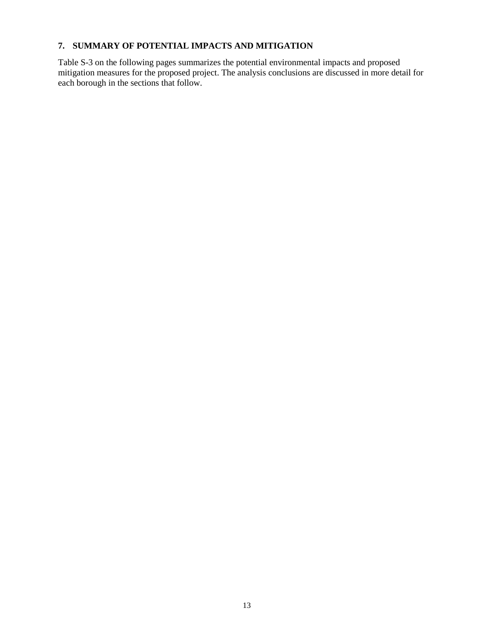## **7. SUMMARY OF POTENTIAL IMPACTS AND MITIGATION**

Table S-3 on the following pages summarizes the potential environmental impacts and proposed mitigation measures for the proposed project. The analysis conclusions are discussed in more detail for each borough in the sections that follow.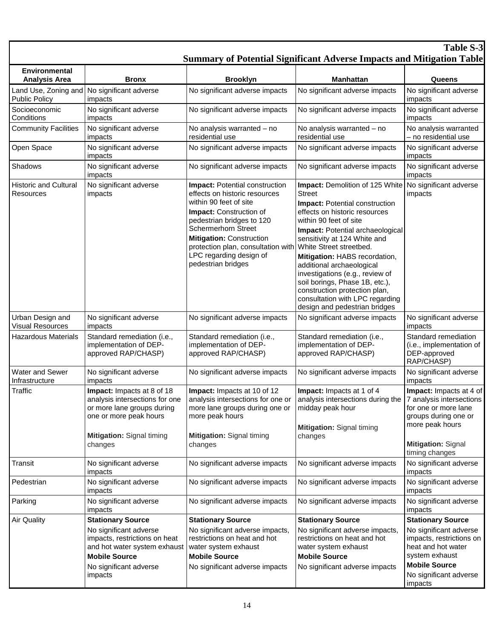| <b>Table S-3</b><br><b>Summary of Potential Significant Adverse Impacts and Mitigation Table</b> |                                                                                                                                                                                  |                                                                                                                                                                                                                                                                                                                  |                                                                                                                                                                                                                                                                                                                                                                                                                                                                                                             |                                                                                                                                                                          |  |
|--------------------------------------------------------------------------------------------------|----------------------------------------------------------------------------------------------------------------------------------------------------------------------------------|------------------------------------------------------------------------------------------------------------------------------------------------------------------------------------------------------------------------------------------------------------------------------------------------------------------|-------------------------------------------------------------------------------------------------------------------------------------------------------------------------------------------------------------------------------------------------------------------------------------------------------------------------------------------------------------------------------------------------------------------------------------------------------------------------------------------------------------|--------------------------------------------------------------------------------------------------------------------------------------------------------------------------|--|
| <b>Environmental</b><br><b>Analysis Area</b>                                                     | <b>Bronx</b>                                                                                                                                                                     | <b>Brooklyn</b>                                                                                                                                                                                                                                                                                                  | <b>Manhattan</b>                                                                                                                                                                                                                                                                                                                                                                                                                                                                                            | Queens                                                                                                                                                                   |  |
| Land Use, Zoning and<br><b>Public Policy</b>                                                     | No significant adverse<br>impacts                                                                                                                                                | No significant adverse impacts                                                                                                                                                                                                                                                                                   | No significant adverse impacts                                                                                                                                                                                                                                                                                                                                                                                                                                                                              | No significant adverse<br>impacts                                                                                                                                        |  |
| Socioeconomic<br>Conditions                                                                      | No significant adverse<br>impacts                                                                                                                                                | No significant adverse impacts                                                                                                                                                                                                                                                                                   | No significant adverse impacts                                                                                                                                                                                                                                                                                                                                                                                                                                                                              | No significant adverse<br>impacts                                                                                                                                        |  |
| <b>Community Facilities</b>                                                                      | No significant adverse<br>impacts                                                                                                                                                | No analysis warranted - no<br>residential use                                                                                                                                                                                                                                                                    | No analysis warranted - no<br>residential use                                                                                                                                                                                                                                                                                                                                                                                                                                                               | No analysis warranted<br>- no residential use                                                                                                                            |  |
| Open Space                                                                                       | No significant adverse<br>impacts                                                                                                                                                | No significant adverse impacts                                                                                                                                                                                                                                                                                   | No significant adverse impacts                                                                                                                                                                                                                                                                                                                                                                                                                                                                              | No significant adverse<br>impacts                                                                                                                                        |  |
| Shadows                                                                                          | No significant adverse<br>impacts                                                                                                                                                | No significant adverse impacts                                                                                                                                                                                                                                                                                   | No significant adverse impacts                                                                                                                                                                                                                                                                                                                                                                                                                                                                              | No significant adverse<br>impacts                                                                                                                                        |  |
| <b>Historic and Cultural</b><br>Resources                                                        | No significant adverse<br>impacts                                                                                                                                                | Impact: Potential construction<br>effects on historic resources<br>within 90 feet of site<br><b>Impact:</b> Construction of<br>pedestrian bridges to 120<br><b>Schermerhorn Street</b><br><b>Mitigation: Construction</b><br>protection plan, consultation with<br>LPC regarding design of<br>pedestrian bridges | Impact: Demolition of 125 White No significant adverse<br><b>Street</b><br>Impact: Potential construction<br>effects on historic resources<br>within 90 feet of site<br>Impact: Potential archaeological<br>sensitivity at 124 White and<br>White Street streetbed.<br>Mitigation: HABS recordation,<br>additional archaeological<br>investigations (e.g., review of<br>soil borings, Phase 1B, etc.),<br>construction protection plan,<br>consultation with LPC regarding<br>design and pedestrian bridges | impacts                                                                                                                                                                  |  |
| Urban Design and<br><b>Visual Resources</b>                                                      | No significant adverse<br>impacts                                                                                                                                                | No significant adverse impacts                                                                                                                                                                                                                                                                                   | No significant adverse impacts                                                                                                                                                                                                                                                                                                                                                                                                                                                                              | No significant adverse<br>impacts                                                                                                                                        |  |
| <b>Hazardous Materials</b>                                                                       | Standard remediation (i.e.,<br>implementation of DEP-<br>approved RAP/CHASP)                                                                                                     | Standard remediation (i.e.,<br>implementation of DEP-<br>approved RAP/CHASP)                                                                                                                                                                                                                                     | Standard remediation (i.e.,<br>implementation of DEP-<br>approved RAP/CHASP)                                                                                                                                                                                                                                                                                                                                                                                                                                | Standard remediation<br>(i.e., implementation of<br>DEP-approved<br>RAP/CHASP)                                                                                           |  |
| Water and Sewer<br>Infrastructure                                                                | No significant adverse<br>impacts                                                                                                                                                | No significant adverse impacts                                                                                                                                                                                                                                                                                   | No significant adverse impacts                                                                                                                                                                                                                                                                                                                                                                                                                                                                              | No significant adverse<br>impacts                                                                                                                                        |  |
| Traffic                                                                                          | Impact: Impacts at 8 of 18<br>analysis intersections for one<br>or more lane groups during<br>one or more peak hours<br>Mitigation: Signal timing<br>changes                     | Impact: Impacts at 10 of 12<br>analysis intersections for one or<br>more lane groups during one or<br>more peak hours<br>Mitigation: Signal timing<br>changes                                                                                                                                                    | Impact: Impacts at 1 of 4<br>analysis intersections during the<br>midday peak hour<br>Mitigation: Signal timing<br>changes                                                                                                                                                                                                                                                                                                                                                                                  | Impact: Impacts at 4 of<br>7 analysis intersections<br>for one or more lane<br>groups during one or<br>more peak hours<br><b>Mitigation: Signal</b>                      |  |
| Transit                                                                                          | No significant adverse                                                                                                                                                           | No significant adverse impacts                                                                                                                                                                                                                                                                                   | No significant adverse impacts                                                                                                                                                                                                                                                                                                                                                                                                                                                                              | timing changes<br>No significant adverse                                                                                                                                 |  |
| Pedestrian                                                                                       | impacts<br>No significant adverse                                                                                                                                                | No significant adverse impacts                                                                                                                                                                                                                                                                                   | No significant adverse impacts                                                                                                                                                                                                                                                                                                                                                                                                                                                                              | impacts<br>No significant adverse                                                                                                                                        |  |
| Parking                                                                                          | impacts<br>No significant adverse                                                                                                                                                | No significant adverse impacts                                                                                                                                                                                                                                                                                   | No significant adverse impacts                                                                                                                                                                                                                                                                                                                                                                                                                                                                              | impacts<br>No significant adverse                                                                                                                                        |  |
|                                                                                                  | impacts                                                                                                                                                                          |                                                                                                                                                                                                                                                                                                                  |                                                                                                                                                                                                                                                                                                                                                                                                                                                                                                             | impacts                                                                                                                                                                  |  |
| <b>Air Quality</b>                                                                               | <b>Stationary Source</b><br>No significant adverse<br>impacts, restrictions on heat<br>and hot water system exhaust<br><b>Mobile Source</b><br>No significant adverse<br>impacts | <b>Stationary Source</b><br>No significant adverse impacts,<br>restrictions on heat and hot<br>water system exhaust<br><b>Mobile Source</b><br>No significant adverse impacts                                                                                                                                    | <b>Stationary Source</b><br>No significant adverse impacts,<br>restrictions on heat and hot<br>water system exhaust<br><b>Mobile Source</b><br>No significant adverse impacts                                                                                                                                                                                                                                                                                                                               | <b>Stationary Source</b><br>No significant adverse<br>impacts, restrictions on<br>heat and hot water<br>system exhaust<br><b>Mobile Source</b><br>No significant adverse |  |
|                                                                                                  |                                                                                                                                                                                  |                                                                                                                                                                                                                                                                                                                  |                                                                                                                                                                                                                                                                                                                                                                                                                                                                                                             | impacts                                                                                                                                                                  |  |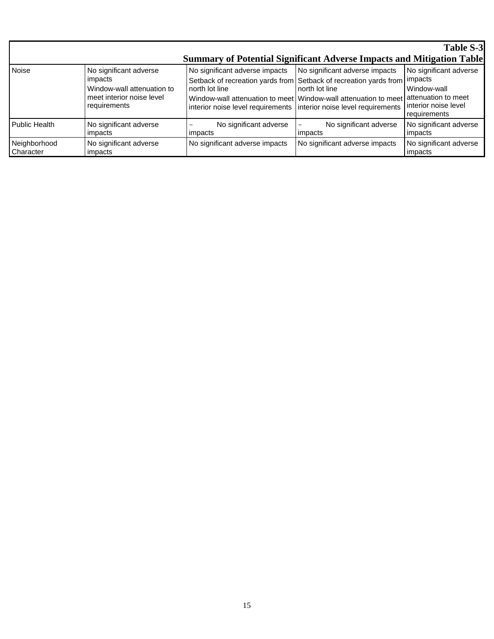|                           |                                                                                                              |                                                                                                                         |                                                                                                                                                                                                                          | <b>Table S-3</b>                                                              |
|---------------------------|--------------------------------------------------------------------------------------------------------------|-------------------------------------------------------------------------------------------------------------------------|--------------------------------------------------------------------------------------------------------------------------------------------------------------------------------------------------------------------------|-------------------------------------------------------------------------------|
|                           |                                                                                                              | <b>Summary of Potential Significant Adverse Impacts and Mitigation Table</b>                                            |                                                                                                                                                                                                                          |                                                                               |
| <b>Noise</b>              | No significant adverse<br>impacts<br>Window-wall attenuation to<br>meet interior noise level<br>requirements | No significant adverse impacts<br>north lot line<br>interior noise level requirements interior noise level requirements | No significant adverse impacts<br>Setback of recreation yards from Setback of recreation yards from impacts<br>north lot line<br>Window-wall attenuation to meet   Window-wall attenuation to meet   attenuation to meet | No significant adverse<br>Window-wall<br>interior noise level<br>requirements |
| Public Health             | No significant adverse<br>impacts                                                                            | No significant adverse<br>impacts                                                                                       | No significant adverse<br>impacts                                                                                                                                                                                        | No significant adverse<br>impacts                                             |
| Neighborhood<br>Character | No significant adverse<br>impacts                                                                            | No significant adverse impacts                                                                                          | No significant adverse impacts                                                                                                                                                                                           | No significant adverse<br>impacts                                             |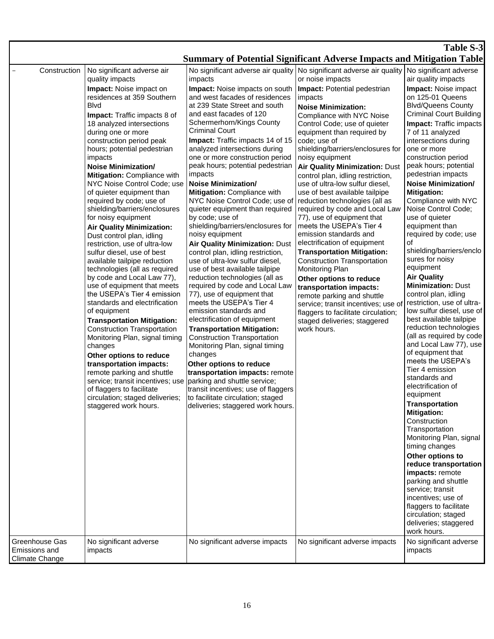#### **Table S-3 Summary of Potential Significant Adverse Impacts and Mitigation Table** Construction | No significant adverse air quality impacts **Impact:** Noise impact on residences at 359 Southern Blvd **Impact:** Traffic impacts 8 of 18 analyzed intersections during one or more construction period peak hours; potential pedestrian impacts **Noise Minimization/ Mitigation:** Compliance with NYC Noise Control Code; use of quieter equipment than required by code; use of shielding/barriers/enclosures for noisy equipment **Air Quality Minimization:**  Dust control plan, idling restriction, use of ultra-low sulfur diesel, use of best available tailpipe reduction technologies (all as required by code and Local Law 77), use of equipment that meets the USEPA's Tier 4 emission standards and electrification of equipment **Transportation Mitigation:** Construction Transportation Monitoring Plan, signal timing changes **Other options to reduce transportation impacts:**  remote parking and shuttle service; transit incentives; use of flaggers to facilitate circulation; staged deliveries; staggered work hours. No significant adverse air quality impacts **Impact:** Noise impacts on south and west facades of residences at 239 State Street and south and east facades of 120 Schermerhorn/Kings County Criminal Court **Impact:** Traffic impacts 14 of 15 analyzed intersections during one or more construction period peak hours; potential pedestrian impacts **Noise Minimization/ Mitigation:** Compliance with NYC Noise Control Code; use of quieter equipment than required by code; use of shielding/barriers/enclosures for noisy equipment **Air Quality Minimization:** Dust control plan, idling restriction, use of ultra-low sulfur diesel, use of best available tailpipe reduction technologies (all as required by code and Local Law 77), use of equipment that meets the USEPA's Tier 4 emission standards and electrification of equipment **Transportation Mitigation:** Construction Transportation Monitoring Plan, signal timing changes **Other options to reduce transportation impacts:** remote parking and shuttle service; transit incentives; use of flaggers to facilitate circulation; staged deliveries; staggered work hours. No significant adverse air quality or noise impacts **Impact:** Potential pedestrian impacts **Noise Minimization:** Compliance with NYC Noise Control Code: use of quieter equipment than required by code; use of shielding/barriers/enclosures for noisy equipment **Air Quality Minimization:** Dust control plan, idling restriction, use of ultra-low sulfur diesel, use of best available tailpipe reduction technologies (all as required by code and Local Law 77), use of equipment that meets the USEPA's Tier 4 emission standards and electrification of equipment **Transportation Mitigation:** Construction Transportation Monitoring Plan **Other options to reduce transportation impacts:**  remote parking and shuttle service; transit incentives; use of flaggers to facilitate circulation; staged deliveries; staggered work hours. No significant adverse air quality impacts **Impact:** Noise impact on 125-01 Queens Blvd/Queens County Criminal Court Building **Impact:** Traffic impacts 7 of 11 analyzed intersections during one or more construction period peak hours; potential pedestrian impacts **Noise Minimization/ Mitigation:** Compliance with NYC Noise Control Code; use of quieter equipment than required by code; use of shielding/barriers/enclo sures for noisy equipment **Air Quality Minimization:** Dust control plan, idling restriction, use of ultralow sulfur diesel, use of best available tailpipe reduction technologies (all as required by code and Local Law 77), use of equipment that meets the USEPA's Tier 4 emission standards and electrification of equipment **Transportation Mitigation: Construction Transportation** Monitoring Plan, signal timing changes **Other options to reduce transportation impacts:** remote parking and shuttle service; transit incentives; use of flaggers to facilitate circulation; staged deliveries; staggered work hours. Greenhouse Gas Emissions and Climate Change No significant adverse impacts No significant adverse impacts  $\vert$  No significant adverse impacts  $\vert$  No significant adverse impacts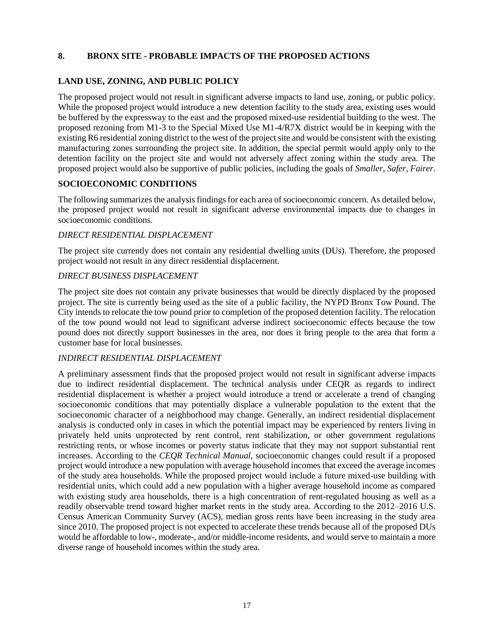### **8. BRONX SITE - PROBABLE IMPACTS OF THE PROPOSED ACTIONS**

#### **LAND USE, ZONING, AND PUBLIC POLICY**

The proposed project would not result in significant adverse impacts to land use, zoning, or public policy. While the proposed project would introduce a new detention facility to the study area, existing uses would be buffered by the expressway to the east and the proposed mixed-use residential building to the west. The proposed rezoning from M1-3 to the Special Mixed Use M1-4/R7X district would be in keeping with the existing R6 residential zoning district to the west of the project site and would be consistent with the existing manufacturing zones surrounding the project site. In addition, the special permit would apply only to the detention facility on the project site and would not adversely affect zoning within the study area. The proposed project would also be supportive of public policies, including the goals of *Smaller, Safer, Fairer*.

## **SOCIOECONOMIC CONDITIONS**

The following summarizes the analysis findings for each area of socioeconomic concern. As detailed below, the proposed project would not result in significant adverse environmental impacts due to changes in socioeconomic conditions.

#### *DIRECT RESIDENTIAL DISPLACEMENT*

The project site currently does not contain any residential dwelling units (DUs). Therefore, the proposed project would not result in any direct residential displacement.

#### *DIRECT BUSINESS DISPLACEMENT*

The project site does not contain any private businesses that would be directly displaced by the proposed project. The site is currently being used as the site of a public facility, the NYPD Bronx Tow Pound. The City intends to relocate the tow pound prior to completion of the proposed detention facility. The relocation of the tow pound would not lead to significant adverse indirect socioeconomic effects because the tow pound does not directly support businesses in the area, nor does it bring people to the area that form a customer base for local businesses.

#### *INDIRECT RESIDENTIAL DISPLACEMENT*

A preliminary assessment finds that the proposed project would not result in significant adverse impacts due to indirect residential displacement. The technical analysis under CEQR as regards to indirect residential displacement is whether a project would introduce a trend or accelerate a trend of changing socioeconomic conditions that may potentially displace a vulnerable population to the extent that the socioeconomic character of a neighborhood may change. Generally, an indirect residential displacement analysis is conducted only in cases in which the potential impact may be experienced by renters living in privately held units unprotected by rent control, rent stabilization, or other government regulations restricting rents, or whose incomes or poverty status indicate that they may not support substantial rent increases. According to the *CEQR Technical Manual*, socioeconomic changes could result if a proposed project would introduce a new population with average household incomes that exceed the average incomes of the study area households. While the proposed project would include a future mixed-use building with residential units, which could add a new population with a higher average household income as compared with existing study area households, there is a high concentration of rent-regulated housing as well as a readily observable trend toward higher market rents in the study area. According to the 2012–2016 U.S. Census American Community Survey (ACS), median gross rents have been increasing in the study area since 2010. The proposed project is not expected to accelerate these trends because all of the proposed DUs would be affordable to low-, moderate-, and/or middle-income residents, and would serve to maintain a more diverse range of household incomes within the study area.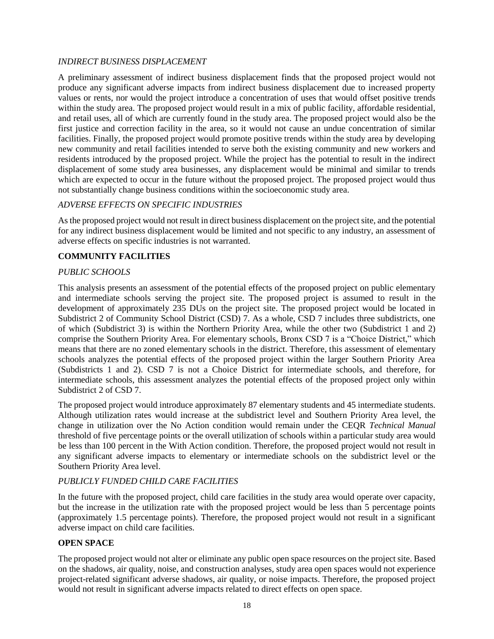### *INDIRECT BUSINESS DISPLACEMENT*

A preliminary assessment of indirect business displacement finds that the proposed project would not produce any significant adverse impacts from indirect business displacement due to increased property values or rents, nor would the project introduce a concentration of uses that would offset positive trends within the study area. The proposed project would result in a mix of public facility, affordable residential, and retail uses, all of which are currently found in the study area. The proposed project would also be the first justice and correction facility in the area, so it would not cause an undue concentration of similar facilities. Finally, the proposed project would promote positive trends within the study area by developing new community and retail facilities intended to serve both the existing community and new workers and residents introduced by the proposed project. While the project has the potential to result in the indirect displacement of some study area businesses, any displacement would be minimal and similar to trends which are expected to occur in the future without the proposed project. The proposed project would thus not substantially change business conditions within the socioeconomic study area.

#### *ADVERSE EFFECTS ON SPECIFIC INDUSTRIES*

As the proposed project would not result in direct business displacement on the project site, and the potential for any indirect business displacement would be limited and not specific to any industry, an assessment of adverse effects on specific industries is not warranted.

### **COMMUNITY FACILITIES**

#### *PUBLIC SCHOOLS*

This analysis presents an assessment of the potential effects of the proposed project on public elementary and intermediate schools serving the project site. The proposed project is assumed to result in the development of approximately 235 DUs on the project site. The proposed project would be located in Subdistrict 2 of Community School District (CSD) 7. As a whole, CSD 7 includes three subdistricts, one of which (Subdistrict 3) is within the Northern Priority Area, while the other two (Subdistrict 1 and 2) comprise the Southern Priority Area. For elementary schools, Bronx CSD 7 is a "Choice District," which means that there are no zoned elementary schools in the district. Therefore, this assessment of elementary schools analyzes the potential effects of the proposed project within the larger Southern Priority Area (Subdistricts 1 and 2). CSD 7 is not a Choice District for intermediate schools, and therefore, for intermediate schools, this assessment analyzes the potential effects of the proposed project only within Subdistrict 2 of CSD 7.

The proposed project would introduce approximately 87 elementary students and 45 intermediate students. Although utilization rates would increase at the subdistrict level and Southern Priority Area level, the change in utilization over the No Action condition would remain under the CEQR *Technical Manual* threshold of five percentage points or the overall utilization of schools within a particular study area would be less than 100 percent in the With Action condition. Therefore, the proposed project would not result in any significant adverse impacts to elementary or intermediate schools on the subdistrict level or the Southern Priority Area level.

#### *PUBLICLY FUNDED CHILD CARE FACILITIES*

In the future with the proposed project, child care facilities in the study area would operate over capacity, but the increase in the utilization rate with the proposed project would be less than 5 percentage points (approximately 1.5 percentage points). Therefore, the proposed project would not result in a significant adverse impact on child care facilities.

#### **OPEN SPACE**

The proposed project would not alter or eliminate any public open space resources on the project site. Based on the shadows, air quality, noise, and construction analyses, study area open spaces would not experience project-related significant adverse shadows, air quality, or noise impacts. Therefore, the proposed project would not result in significant adverse impacts related to direct effects on open space.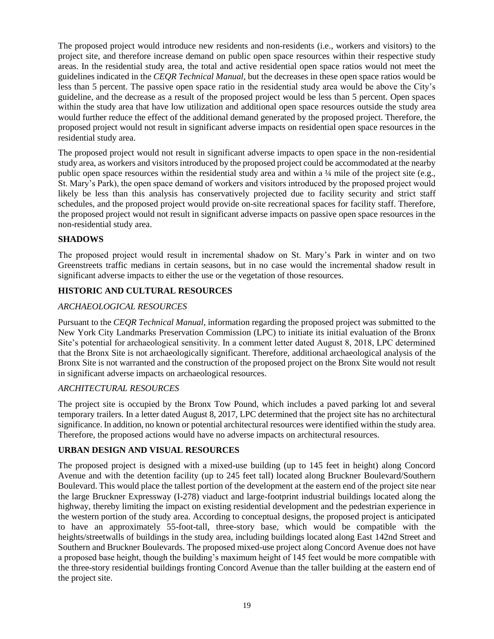The proposed project would introduce new residents and non-residents (i.e., workers and visitors) to the project site, and therefore increase demand on public open space resources within their respective study areas. In the residential study area, the total and active residential open space ratios would not meet the guidelines indicated in the *CEQR Technical Manual*, but the decreases in these open space ratios would be less than 5 percent. The passive open space ratio in the residential study area would be above the City's guideline, and the decrease as a result of the proposed project would be less than 5 percent. Open spaces within the study area that have low utilization and additional open space resources outside the study area would further reduce the effect of the additional demand generated by the proposed project. Therefore, the proposed project would not result in significant adverse impacts on residential open space resources in the residential study area.

The proposed project would not result in significant adverse impacts to open space in the non-residential study area, as workers and visitors introduced by the proposed project could be accommodated at the nearby public open space resources within the residential study area and within a ¼ mile of the project site (e.g., St. Mary's Park), the open space demand of workers and visitors introduced by the proposed project would likely be less than this analysis has conservatively projected due to facility security and strict staff schedules, and the proposed project would provide on-site recreational spaces for facility staff. Therefore, the proposed project would not result in significant adverse impacts on passive open space resources in the non-residential study area.

## **SHADOWS**

The proposed project would result in incremental shadow on St. Mary's Park in winter and on two Greenstreets traffic medians in certain seasons, but in no case would the incremental shadow result in significant adverse impacts to either the use or the vegetation of those resources.

## **HISTORIC AND CULTURAL RESOURCES**

## *ARCHAEOLOGICAL RESOURCES*

Pursuant to the *CEQR Technical Manual*, information regarding the proposed project was submitted to the New York City Landmarks Preservation Commission (LPC) to initiate its initial evaluation of the Bronx Site's potential for archaeological sensitivity. In a comment letter dated August 8, 2018, LPC determined that the Bronx Site is not archaeologically significant. Therefore, additional archaeological analysis of the Bronx Site is not warranted and the construction of the proposed project on the Bronx Site would not result in significant adverse impacts on archaeological resources.

#### *ARCHITECTURAL RESOURCES*

The project site is occupied by the Bronx Tow Pound, which includes a paved parking lot and several temporary trailers. In a letter dated August 8, 2017, LPC determined that the project site has no architectural significance. In addition, no known or potential architectural resources were identified within the study area. Therefore, the proposed actions would have no adverse impacts on architectural resources.

## **URBAN DESIGN AND VISUAL RESOURCES**

The proposed project is designed with a mixed-use building (up to 145 feet in height) along Concord Avenue and with the detention facility (up to 245 feet tall) located along Bruckner Boulevard/Southern Boulevard. This would place the tallest portion of the development at the eastern end of the project site near the large Bruckner Expressway (I-278) viaduct and large-footprint industrial buildings located along the highway, thereby limiting the impact on existing residential development and the pedestrian experience in the western portion of the study area. According to conceptual designs, the proposed project is anticipated to have an approximately 55-foot-tall, three-story base, which would be compatible with the heights/streetwalls of buildings in the study area, including buildings located along East 142nd Street and Southern and Bruckner Boulevards. The proposed mixed-use project along Concord Avenue does not have a proposed base height, though the building's maximum height of 145 feet would be more compatible with the three-story residential buildings fronting Concord Avenue than the taller building at the eastern end of the project site.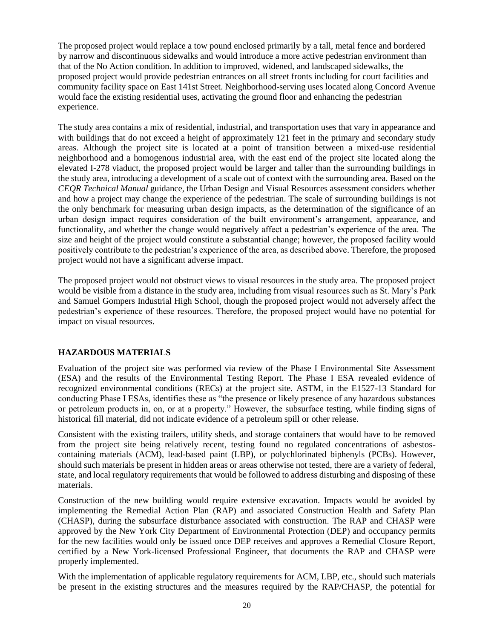The proposed project would replace a tow pound enclosed primarily by a tall, metal fence and bordered by narrow and discontinuous sidewalks and would introduce a more active pedestrian environment than that of the No Action condition. In addition to improved, widened, and landscaped sidewalks, the proposed project would provide pedestrian entrances on all street fronts including for court facilities and community facility space on East 141st Street. Neighborhood-serving uses located along Concord Avenue would face the existing residential uses, activating the ground floor and enhancing the pedestrian experience.

The study area contains a mix of residential, industrial, and transportation uses that vary in appearance and with buildings that do not exceed a height of approximately 121 feet in the primary and secondary study areas. Although the project site is located at a point of transition between a mixed-use residential neighborhood and a homogenous industrial area, with the east end of the project site located along the elevated I-278 viaduct, the proposed project would be larger and taller than the surrounding buildings in the study area, introducing a development of a scale out of context with the surrounding area. Based on the *CEQR Technical Manual* guidance, the Urban Design and Visual Resources assessment considers whether and how a project may change the experience of the pedestrian. The scale of surrounding buildings is not the only benchmark for measuring urban design impacts, as the determination of the significance of an urban design impact requires consideration of the built environment's arrangement, appearance, and functionality, and whether the change would negatively affect a pedestrian's experience of the area. The size and height of the project would constitute a substantial change; however, the proposed facility would positively contribute to the pedestrian's experience of the area, as described above. Therefore, the proposed project would not have a significant adverse impact.

The proposed project would not obstruct views to visual resources in the study area. The proposed project would be visible from a distance in the study area, including from visual resources such as St. Mary's Park and Samuel Gompers Industrial High School, though the proposed project would not adversely affect the pedestrian's experience of these resources. Therefore, the proposed project would have no potential for impact on visual resources.

## **HAZARDOUS MATERIALS**

Evaluation of the project site was performed via review of the Phase I Environmental Site Assessment (ESA) and the results of the Environmental Testing Report. The Phase I ESA revealed evidence of recognized environmental conditions (RECs) at the project site. ASTM, in the E1527-13 Standard for conducting Phase I ESAs, identifies these as "the presence or likely presence of any hazardous substances or petroleum products in, on, or at a property." However, the subsurface testing, while finding signs of historical fill material, did not indicate evidence of a petroleum spill or other release.

Consistent with the existing trailers, utility sheds, and storage containers that would have to be removed from the project site being relatively recent, testing found no regulated concentrations of asbestoscontaining materials (ACM), lead-based paint (LBP), or polychlorinated biphenyls (PCBs). However, should such materials be present in hidden areas or areas otherwise not tested, there are a variety of federal, state, and local regulatory requirements that would be followed to address disturbing and disposing of these materials.

Construction of the new building would require extensive excavation. Impacts would be avoided by implementing the Remedial Action Plan (RAP) and associated Construction Health and Safety Plan (CHASP), during the subsurface disturbance associated with construction. The RAP and CHASP were approved by the New York City Department of Environmental Protection (DEP) and occupancy permits for the new facilities would only be issued once DEP receives and approves a Remedial Closure Report, certified by a New York-licensed Professional Engineer, that documents the RAP and CHASP were properly implemented.

With the implementation of applicable regulatory requirements for ACM, LBP, etc., should such materials be present in the existing structures and the measures required by the RAP/CHASP, the potential for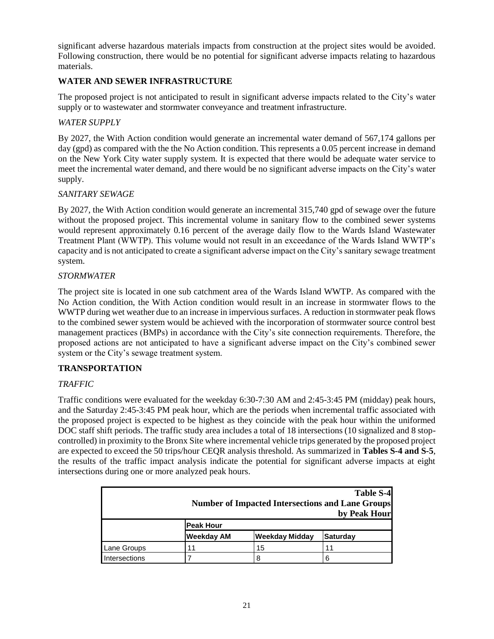significant adverse hazardous materials impacts from construction at the project sites would be avoided. Following construction, there would be no potential for significant adverse impacts relating to hazardous materials.

## **WATER AND SEWER INFRASTRUCTURE**

The proposed project is not anticipated to result in significant adverse impacts related to the City's water supply or to wastewater and stormwater conveyance and treatment infrastructure.

## *WATER SUPPLY*

By 2027, the With Action condition would generate an incremental water demand of 567,174 gallons per day (gpd) as compared with the the No Action condition. This represents a 0.05 percent increase in demand on the New York City water supply system. It is expected that there would be adequate water service to meet the incremental water demand, and there would be no significant adverse impacts on the City's water supply.

### *SANITARY SEWAGE*

By 2027, the With Action condition would generate an incremental 315,740 gpd of sewage over the future without the proposed project. This incremental volume in sanitary flow to the combined sewer systems would represent approximately 0.16 percent of the average daily flow to the Wards Island Wastewater Treatment Plant (WWTP). This volume would not result in an exceedance of the Wards Island WWTP's capacity and is not anticipated to create a significant adverse impact on the City's sanitary sewage treatment system.

### *STORMWATER*

The project site is located in one sub catchment area of the Wards Island WWTP. As compared with the No Action condition, the With Action condition would result in an increase in stormwater flows to the WWTP during wet weather due to an increase in impervious surfaces. A reduction in stormwater peak flows to the combined sewer system would be achieved with the incorporation of stormwater source control best management practices (BMPs) in accordance with the City's site connection requirements. Therefore, the proposed actions are not anticipated to have a significant adverse impact on the City's combined sewer system or the City's sewage treatment system.

## **TRANSPORTATION**

#### *TRAFFIC*

Traffic conditions were evaluated for the weekday 6:30-7:30 AM and 2:45-3:45 PM (midday) peak hours, and the Saturday 2:45-3:45 PM peak hour, which are the periods when incremental traffic associated with the proposed project is expected to be highest as they coincide with the peak hour within the uniformed DOC staff shift periods. The traffic study area includes a total of 18 intersections (10 signalized and 8 stopcontrolled) in proximity to the Bronx Site where incremental vehicle trips generated by the proposed project are expected to exceed the 50 trips/hour CEQR analysis threshold. As summarized in **Tables S-4 and S-5**, the results of the traffic impact analysis indicate the potential for significant adverse impacts at eight intersections during one or more analyzed peak hours.

| Table S-4<br><b>Number of Impacted Intersections and Lane Groups</b><br>by Peak Hour |                                                               |    |    |  |  |
|--------------------------------------------------------------------------------------|---------------------------------------------------------------|----|----|--|--|
|                                                                                      | <b>Peak Hour</b>                                              |    |    |  |  |
|                                                                                      | <b>Weekday AM</b><br><b>Weekday Midday</b><br><b>Saturday</b> |    |    |  |  |
| <b>Lane Groups</b>                                                                   | 11                                                            | 15 | 11 |  |  |
| Intersections                                                                        |                                                               | 8  |    |  |  |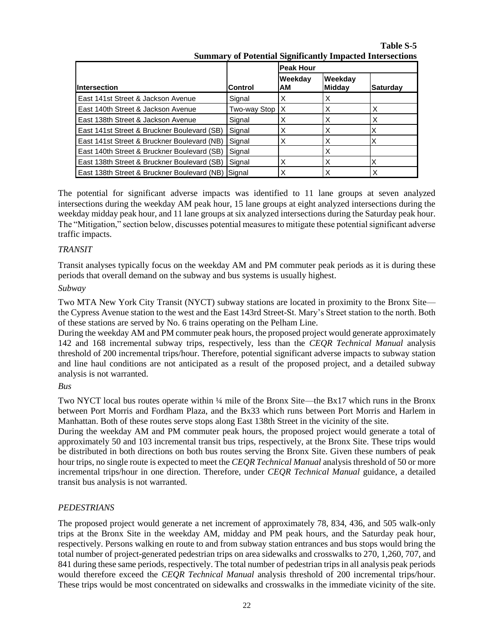**Summary of Potential Significantly Impacted Intersections Intersection Control Peak Hour Weekday AM Weekday Midday Saturday** East 141st Street & Jackson Avenue Signal X X X East 140th Street & Jackson Avenue  $\vert$ Two-way Stop  $\vert$  X  $\vert$  X  $\vert$  X  $\vert$  X East 138th Street & Jackson Avenue  $\begin{array}{c|c} |Signal & X \end{array}$   $\begin{array}{c|c} |X & |X \end{array}$ East 141st Street & Bruckner Boulevard (SB) Signal  $\begin{array}{ccc} \vert x & \vert x & \vert x \end{array}$   $\begin{array}{ccc} \vert x & \vert x & \vert x \end{array}$ East 141st Street & Bruckner Boulevard (NB) Signal  $\begin{array}{ccc} \mid \times \end{array}$   $\begin{array}{ccc} \mid \times \end{array}$   $\begin{array}{ccc} \mid \times \end{array}$ East 140th Street & Bruckner Boulevard (SB) Signal  $\vert$  X East 138th Street & Bruckner Boulevard (SB) Signal  $\begin{array}{ccc} \vert & X \vert & \vert & \vert \end{array}$   $\begin{array}{ccc} \vert & \vert & \vert & \vert \end{array}$ East 138th Street & Bruckner Boulevard (NB) Signal  $\begin{array}{ccc} \mid \times \end{array}$   $\begin{array}{ccc} \mid \times \end{array}$   $\begin{array}{ccc} \mid \times \end{array}$ 

**Table S-5**

The potential for significant adverse impacts was identified to 11 lane groups at seven analyzed intersections during the weekday AM peak hour, 15 lane groups at eight analyzed intersections during the weekday midday peak hour, and 11 lane groups at six analyzed intersections during the Saturday peak hour. The "Mitigation," section below, discusses potential measures to mitigate these potential significant adverse traffic impacts.

### *TRANSIT*

Transit analyses typically focus on the weekday AM and PM commuter peak periods as it is during these periods that overall demand on the subway and bus systems is usually highest.

### *Subway*

Two MTA New York City Transit (NYCT) subway stations are located in proximity to the Bronx Site the Cypress Avenue station to the west and the East 143rd Street-St. Mary's Street station to the north. Both of these stations are served by No. 6 trains operating on the Pelham Line.

During the weekday AM and PM commuter peak hours, the proposed project would generate approximately 142 and 168 incremental subway trips, respectively, less than the *CEQR Technical Manual* analysis threshold of 200 incremental trips/hour. Therefore, potential significant adverse impacts to subway station and line haul conditions are not anticipated as a result of the proposed project, and a detailed subway analysis is not warranted.

#### *Bus*

Two NYCT local bus routes operate within ¼ mile of the Bronx Site—the Bx17 which runs in the Bronx between Port Morris and Fordham Plaza, and the Bx33 which runs between Port Morris and Harlem in Manhattan. Both of these routes serve stops along East 138th Street in the vicinity of the site.

During the weekday AM and PM commuter peak hours, the proposed project would generate a total of approximately 50 and 103 incremental transit bus trips, respectively, at the Bronx Site. These trips would be distributed in both directions on both bus routes serving the Bronx Site. Given these numbers of peak hour trips, no single route is expected to meet the *CEQR Technical Manual* analysis threshold of 50 or more incremental trips/hour in one direction. Therefore, under *CEQR Technical Manual* guidance, a detailed transit bus analysis is not warranted.

#### *PEDESTRIANS*

The proposed project would generate a net increment of approximately 78, 834, 436, and 505 walk-only trips at the Bronx Site in the weekday AM, midday and PM peak hours, and the Saturday peak hour, respectively. Persons walking en route to and from subway station entrances and bus stops would bring the total number of project-generated pedestrian trips on area sidewalks and crosswalks to 270, 1,260, 707, and 841 during these same periods, respectively. The total number of pedestrian trips in all analysis peak periods would therefore exceed the *CEQR Technical Manual* analysis threshold of 200 incremental trips/hour. These trips would be most concentrated on sidewalks and crosswalks in the immediate vicinity of the site.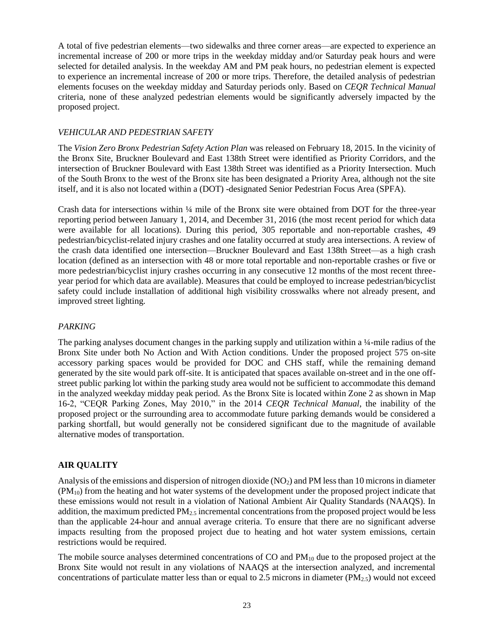A total of five pedestrian elements—two sidewalks and three corner areas—are expected to experience an incremental increase of 200 or more trips in the weekday midday and/or Saturday peak hours and were selected for detailed analysis. In the weekday AM and PM peak hours, no pedestrian element is expected to experience an incremental increase of 200 or more trips. Therefore, the detailed analysis of pedestrian elements focuses on the weekday midday and Saturday periods only. Based on *CEQR Technical Manual* criteria, none of these analyzed pedestrian elements would be significantly adversely impacted by the proposed project.

#### *VEHICULAR AND PEDESTRIAN SAFETY*

The *Vision Zero Bronx Pedestrian Safety Action Plan* was released on February 18, 2015. In the vicinity of the Bronx Site, Bruckner Boulevard and East 138th Street were identified as Priority Corridors, and the intersection of Bruckner Boulevard with East 138th Street was identified as a Priority Intersection. Much of the South Bronx to the west of the Bronx site has been designated a Priority Area, although not the site itself, and it is also not located within a (DOT) -designated Senior Pedestrian Focus Area (SPFA).

Crash data for intersections within ¼ mile of the Bronx site were obtained from DOT for the three-year reporting period between January 1, 2014, and December 31, 2016 (the most recent period for which data were available for all locations). During this period, 305 reportable and non-reportable crashes, 49 pedestrian/bicyclist-related injury crashes and one fatality occurred at study area intersections. A review of the crash data identified one intersection—Bruckner Boulevard and East 138th Street—as a high crash location (defined as an intersection with 48 or more total reportable and non-reportable crashes or five or more pedestrian/bicyclist injury crashes occurring in any consecutive 12 months of the most recent threeyear period for which data are available). Measures that could be employed to increase pedestrian/bicyclist safety could include installation of additional high visibility crosswalks where not already present, and improved street lighting.

## *PARKING*

The parking analyses document changes in the parking supply and utilization within a ¼-mile radius of the Bronx Site under both No Action and With Action conditions. Under the proposed project 575 on-site accessory parking spaces would be provided for DOC and CHS staff, while the remaining demand generated by the site would park off-site. It is anticipated that spaces available on-street and in the one offstreet public parking lot within the parking study area would not be sufficient to accommodate this demand in the analyzed weekday midday peak period. As the Bronx Site is located within Zone 2 as shown in Map 16-2, "CEQR Parking Zones, May 2010," in the 2014 *CEQR Technical Manual*, the inability of the proposed project or the surrounding area to accommodate future parking demands would be considered a parking shortfall, but would generally not be considered significant due to the magnitude of available alternative modes of transportation.

## **AIR QUALITY**

Analysis of the emissions and dispersion of nitrogen dioxide  $(NO<sub>2</sub>)$  and PM less than 10 microns in diameter (PM10) from the heating and hot water systems of the development under the proposed project indicate that these emissions would not result in a violation of National Ambient Air Quality Standards (NAAQS). In addition, the maximum predicted  $PM_{2.5}$  incremental concentrations from the proposed project would be less than the applicable 24-hour and annual average criteria. To ensure that there are no significant adverse impacts resulting from the proposed project due to heating and hot water system emissions, certain restrictions would be required.

The mobile source analyses determined concentrations of CO and  $PM_{10}$  due to the proposed project at the Bronx Site would not result in any violations of NAAQS at the intersection analyzed, and incremental concentrations of particulate matter less than or equal to 2.5 microns in diameter  $(PM_{2.5})$  would not exceed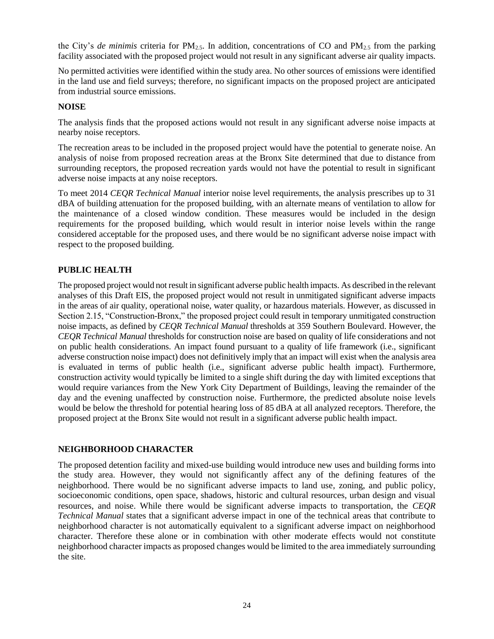the City's *de minimis* criteria for  $PM_{2.5}$ . In addition, concentrations of CO and  $PM_{2.5}$  from the parking facility associated with the proposed project would not result in any significant adverse air quality impacts.

No permitted activities were identified within the study area. No other sources of emissions were identified in the land use and field surveys; therefore, no significant impacts on the proposed project are anticipated from industrial source emissions.

#### **NOISE**

The analysis finds that the proposed actions would not result in any significant adverse noise impacts at nearby noise receptors.

The recreation areas to be included in the proposed project would have the potential to generate noise. An analysis of noise from proposed recreation areas at the Bronx Site determined that due to distance from surrounding receptors, the proposed recreation yards would not have the potential to result in significant adverse noise impacts at any noise receptors.

To meet 2014 *CEQR Technical Manual* interior noise level requirements, the analysis prescribes up to 31 dBA of building attenuation for the proposed building, with an alternate means of ventilation to allow for the maintenance of a closed window condition. These measures would be included in the design requirements for the proposed building, which would result in interior noise levels within the range considered acceptable for the proposed uses, and there would be no significant adverse noise impact with respect to the proposed building.

### **PUBLIC HEALTH**

The proposed project would not result in significant adverse public health impacts. As described in the relevant analyses of this Draft EIS, the proposed project would not result in unmitigated significant adverse impacts in the areas of air quality, operational noise, water quality, or hazardous materials. However, as discussed in Section 2.15, "Construction-Bronx," the proposed project could result in temporary unmitigated construction noise impacts, as defined by *CEQR Technical Manual* thresholds at 359 Southern Boulevard. However, the *CEQR Technical Manual* thresholds for construction noise are based on quality of life considerations and not on public health considerations. An impact found pursuant to a quality of life framework (i.e., significant adverse construction noise impact) does not definitively imply that an impact will exist when the analysis area is evaluated in terms of public health (i.e., significant adverse public health impact). Furthermore, construction activity would typically be limited to a single shift during the day with limited exceptions that would require variances from the New York City Department of Buildings, leaving the remainder of the day and the evening unaffected by construction noise. Furthermore, the predicted absolute noise levels would be below the threshold for potential hearing loss of 85 dBA at all analyzed receptors. Therefore, the proposed project at the Bronx Site would not result in a significant adverse public health impact.

#### **NEIGHBORHOOD CHARACTER**

The proposed detention facility and mixed-use building would introduce new uses and building forms into the study area. However, they would not significantly affect any of the defining features of the neighborhood. There would be no significant adverse impacts to land use, zoning, and public policy, socioeconomic conditions, open space, shadows, historic and cultural resources, urban design and visual resources, and noise. While there would be significant adverse impacts to transportation, the *CEQR Technical Manual* states that a significant adverse impact in one of the technical areas that contribute to neighborhood character is not automatically equivalent to a significant adverse impact on neighborhood character. Therefore these alone or in combination with other moderate effects would not constitute neighborhood character impacts as proposed changes would be limited to the area immediately surrounding the site.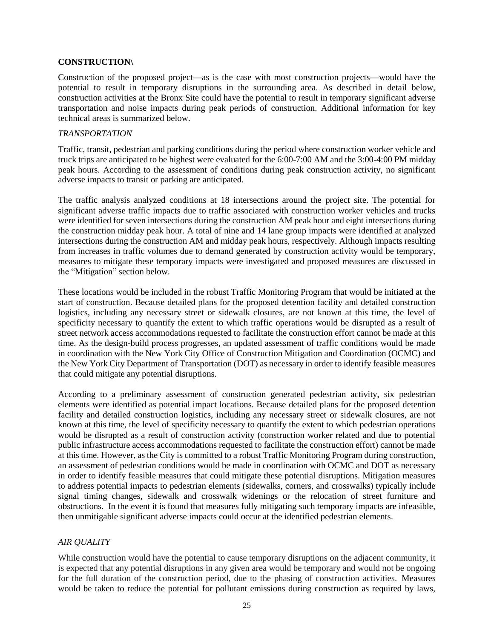#### **CONSTRUCTION\**

Construction of the proposed project—as is the case with most construction projects—would have the potential to result in temporary disruptions in the surrounding area. As described in detail below, construction activities at the Bronx Site could have the potential to result in temporary significant adverse transportation and noise impacts during peak periods of construction. Additional information for key technical areas is summarized below.

#### *TRANSPORTATION*

Traffic, transit, pedestrian and parking conditions during the period where construction worker vehicle and truck trips are anticipated to be highest were evaluated for the 6:00-7:00 AM and the 3:00-4:00 PM midday peak hours. According to the assessment of conditions during peak construction activity, no significant adverse impacts to transit or parking are anticipated.

The traffic analysis analyzed conditions at 18 intersections around the project site. The potential for significant adverse traffic impacts due to traffic associated with construction worker vehicles and trucks were identified for seven intersections during the construction AM peak hour and eight intersections during the construction midday peak hour. A total of nine and 14 lane group impacts were identified at analyzed intersections during the construction AM and midday peak hours, respectively. Although impacts resulting from increases in traffic volumes due to demand generated by construction activity would be temporary, measures to mitigate these temporary impacts were investigated and proposed measures are discussed in the "Mitigation" section below.

These locations would be included in the robust Traffic Monitoring Program that would be initiated at the start of construction. Because detailed plans for the proposed detention facility and detailed construction logistics, including any necessary street or sidewalk closures, are not known at this time, the level of specificity necessary to quantify the extent to which traffic operations would be disrupted as a result of street network access accommodations requested to facilitate the construction effort cannot be made at this time. As the design-build process progresses, an updated assessment of traffic conditions would be made in coordination with the New York City Office of Construction Mitigation and Coordination (OCMC) and the New York City Department of Transportation (DOT) as necessary in order to identify feasible measures that could mitigate any potential disruptions.

According to a preliminary assessment of construction generated pedestrian activity, six pedestrian elements were identified as potential impact locations. Because detailed plans for the proposed detention facility and detailed construction logistics, including any necessary street or sidewalk closures, are not known at this time, the level of specificity necessary to quantify the extent to which pedestrian operations would be disrupted as a result of construction activity (construction worker related and due to potential public infrastructure access accommodations requested to facilitate the construction effort) cannot be made at this time. However, as the City is committed to a robust Traffic Monitoring Program during construction, an assessment of pedestrian conditions would be made in coordination with OCMC and DOT as necessary in order to identify feasible measures that could mitigate these potential disruptions. Mitigation measures to address potential impacts to pedestrian elements (sidewalks, corners, and crosswalks) typically include signal timing changes, sidewalk and crosswalk widenings or the relocation of street furniture and obstructions. In the event it is found that measures fully mitigating such temporary impacts are infeasible, then unmitigable significant adverse impacts could occur at the identified pedestrian elements.

#### *AIR QUALITY*

While construction would have the potential to cause temporary disruptions on the adjacent community, it is expected that any potential disruptions in any given area would be temporary and would not be ongoing for the full duration of the construction period, due to the phasing of construction activities. Measures would be taken to reduce the potential for pollutant emissions during construction as required by laws,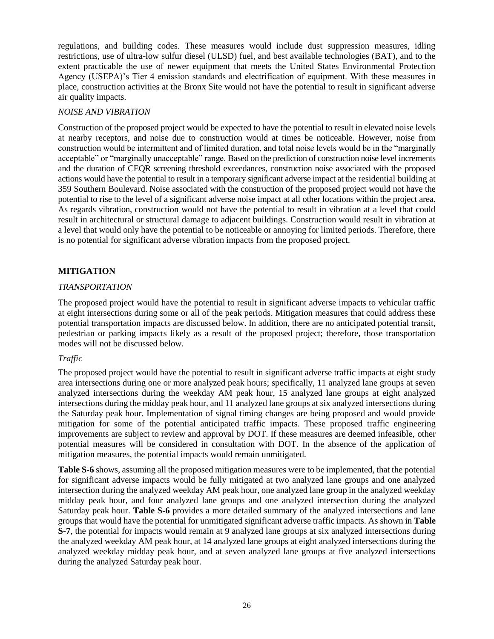regulations, and building codes. These measures would include dust suppression measures, idling restrictions, use of ultra-low sulfur diesel (ULSD) fuel, and best available technologies (BAT), and to the extent practicable the use of newer equipment that meets the United States Environmental Protection Agency (USEPA)'s Tier 4 emission standards and electrification of equipment. With these measures in place, construction activities at the Bronx Site would not have the potential to result in significant adverse air quality impacts.

#### *NOISE AND VIBRATION*

Construction of the proposed project would be expected to have the potential to result in elevated noise levels at nearby receptors, and noise due to construction would at times be noticeable. However, noise from construction would be intermittent and of limited duration, and total noise levels would be in the "marginally acceptable" or "marginally unacceptable" range. Based on the prediction of construction noise level increments and the duration of CEQR screening threshold exceedances, construction noise associated with the proposed actions would have the potential to result in a temporary significant adverse impact at the residential building at 359 Southern Boulevard. Noise associated with the construction of the proposed project would not have the potential to rise to the level of a significant adverse noise impact at all other locations within the project area. As regards vibration, construction would not have the potential to result in vibration at a level that could result in architectural or structural damage to adjacent buildings. Construction would result in vibration at a level that would only have the potential to be noticeable or annoying for limited periods. Therefore, there is no potential for significant adverse vibration impacts from the proposed project.

## **MITIGATION**

### *TRANSPORTATION*

The proposed project would have the potential to result in significant adverse impacts to vehicular traffic at eight intersections during some or all of the peak periods. Mitigation measures that could address these potential transportation impacts are discussed below. In addition, there are no anticipated potential transit, pedestrian or parking impacts likely as a result of the proposed project; therefore, those transportation modes will not be discussed below.

## *Traffic*

The proposed project would have the potential to result in significant adverse traffic impacts at eight study area intersections during one or more analyzed peak hours; specifically, 11 analyzed lane groups at seven analyzed intersections during the weekday AM peak hour, 15 analyzed lane groups at eight analyzed intersections during the midday peak hour, and 11 analyzed lane groups at six analyzed intersections during the Saturday peak hour. Implementation of signal timing changes are being proposed and would provide mitigation for some of the potential anticipated traffic impacts. These proposed traffic engineering improvements are subject to review and approval by DOT. If these measures are deemed infeasible, other potential measures will be considered in consultation with DOT. In the absence of the application of mitigation measures, the potential impacts would remain unmitigated.

**Table S–6** shows, assuming all the proposed mitigation measures were to be implemented, that the potential for significant adverse impacts would be fully mitigated at two analyzed lane groups and one analyzed intersection during the analyzed weekday AM peak hour, one analyzed lane group in the analyzed weekday midday peak hour, and four analyzed lane groups and one analyzed intersection during the analyzed Saturday peak hour. **Table S-6** provides a more detailed summary of the analyzed intersections and lane groups that would have the potential for unmitigated significant adverse traffic impacts. As shown in **Table S-7**, the potential for impacts would remain at 9 analyzed lane groups at six analyzed intersections during the analyzed weekday AM peak hour, at 14 analyzed lane groups at eight analyzed intersections during the analyzed weekday midday peak hour, and at seven analyzed lane groups at five analyzed intersections during the analyzed Saturday peak hour.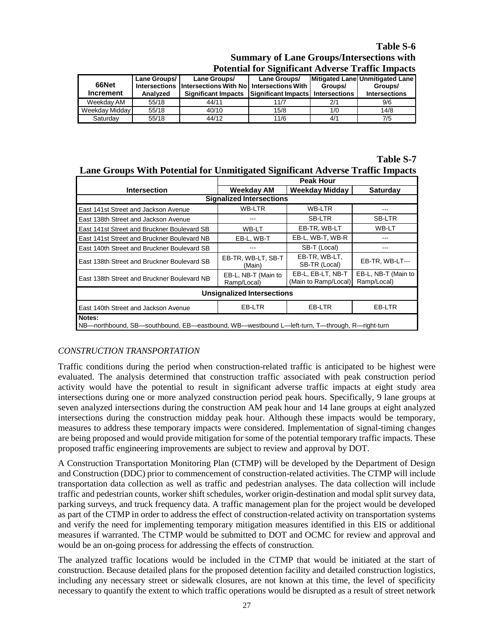## **Table S-6**

| <b>Summary of Lane Groups/Intersections with</b>         |  |
|----------------------------------------------------------|--|
| <b>Potential for Significant Adverse Traffic Impacts</b> |  |

| 66Net<br><b>Increment</b> | Lane Groups/<br>Analyzed | Lane Groups/<br>Intersections Intersections With No Intersections With<br>Significant Impacts Significant Impacts Intersections | Lane Groups/ | Groups/ | Mitigated Lane Unmitigated Lane<br>Groups/<br><b>Intersections</b> |
|---------------------------|--------------------------|---------------------------------------------------------------------------------------------------------------------------------|--------------|---------|--------------------------------------------------------------------|
| Weekdav AM                | 55/18                    | 44/11                                                                                                                           | 11/7         | 2/1     | 9/6                                                                |
| Weekday Midday            | 55/18                    | 40/10                                                                                                                           | 15/8         | 1/0     | 14/8                                                               |
| Saturdav                  | 55/18                    | 44/12                                                                                                                           | 11/6         | 4/1     | 7/5                                                                |

### **Table S-7 Lane Groups With Potential for Unmitigated Significant Adverse Traffic Impacts**

|                                                                                                         | <b>Peak Hour</b>                   |                                           |                                    |  |  |  |
|---------------------------------------------------------------------------------------------------------|------------------------------------|-------------------------------------------|------------------------------------|--|--|--|
| <b>Intersection</b>                                                                                     | Weekday AM                         | <b>Weekday Midday</b>                     | <b>Saturday</b>                    |  |  |  |
| <b>Signalized Intersections</b>                                                                         |                                    |                                           |                                    |  |  |  |
| East 141st Street and Jackson Avenue                                                                    | WB-LTR                             | WB-LTR                                    |                                    |  |  |  |
| East 138th Street and Jackson Avenue                                                                    |                                    | SB-LTR                                    | SB-LTR                             |  |  |  |
| East 141st Street and Bruckner Boulevard SB                                                             | WB-LT                              | EB-TR, WB-LT                              | WB-LT                              |  |  |  |
| East 141st Street and Bruckner Boulevard NB                                                             | EB-L. WB-T                         | EB-L, WB-T, WB-R                          |                                    |  |  |  |
| East 140th Street and Bruckner Boulevard SB                                                             |                                    | SB-T (Local)                              |                                    |  |  |  |
| East 138th Street and Bruckner Boulevard SB                                                             | EB-TR, WB-LT, SB-T<br>(Main)       | EB-TR, WB-LT,<br>SB-TR (Local)            | EB-TR. WB-LT---                    |  |  |  |
| East 138th Street and Bruckner Boulevard NB                                                             | EB-L, NB-T (Main to<br>Ramp/Local) | EB-L, EB-LT, NB-T<br>(Main to Ramp/Local) | EB-L, NB-T (Main to<br>Ramp/Local) |  |  |  |
| <b>Unsignalized Intersections</b>                                                                       |                                    |                                           |                                    |  |  |  |
| EB-LTR<br>EB-LTR<br>EB-LTR<br>East 140th Street and Jackson Avenue                                      |                                    |                                           |                                    |  |  |  |
| Notes:<br>NB—northbound, SB—southbound, EB—eastbound, WB—westbound L—left-turn, T—through, R—right-turn |                                    |                                           |                                    |  |  |  |

## *CONSTRUCTION TRANSPORTATION*

Traffic conditions during the period when construction-related traffic is anticipated to be highest were evaluated. The analysis determined that construction traffic associated with peak construction period activity would have the potential to result in significant adverse traffic impacts at eight study area intersections during one or more analyzed construction period peak hours. Specifically, 9 lane groups at seven analyzed intersections during the construction AM peak hour and 14 lane groups at eight analyzed intersections during the construction midday peak hour. Although these impacts would be temporary, measures to address these temporary impacts were considered. Implementation of signal-timing changes are being proposed and would provide mitigation for some of the potential temporary traffic impacts. These proposed traffic engineering improvements are subject to review and approval by DOT.

A Construction Transportation Monitoring Plan (CTMP) will be developed by the Department of Design and Construction (DDC) prior to commencement of construction-related activities. The CTMP will include transportation data collection as well as traffic and pedestrian analyses. The data collection will include traffic and pedestrian counts, worker shift schedules, worker origin-destination and modal split survey data, parking surveys, and truck frequency data. A traffic management plan for the project would be developed as part of the CTMP in order to address the effect of construction-related activity on transportation systems and verify the need for implementing temporary mitigation measures identified in this EIS or additional measures if warranted. The CTMP would be submitted to DOT and OCMC for review and approval and would be an on-going process for addressing the effects of construction.

The analyzed traffic locations would be included in the CTMP that would be initiated at the start of construction. Because detailed plans for the proposed detention facility and detailed construction logistics, including any necessary street or sidewalk closures, are not known at this time, the level of specificity necessary to quantify the extent to which traffic operations would be disrupted as a result of street network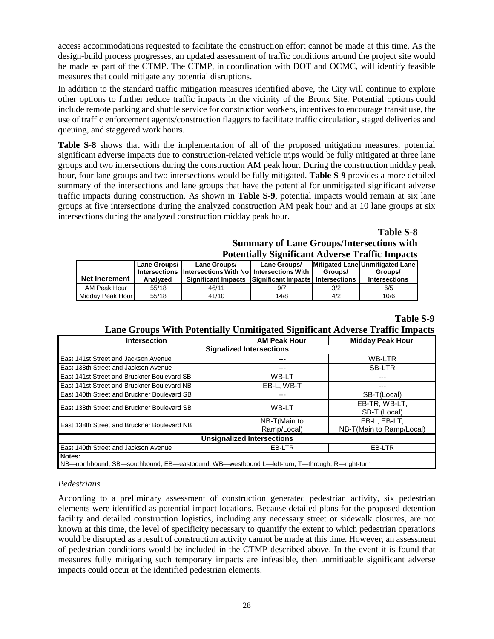access accommodations requested to facilitate the construction effort cannot be made at this time. As the design-build process progresses, an updated assessment of traffic conditions around the project site would be made as part of the CTMP. The CTMP, in coordination with DOT and OCMC, will identify feasible measures that could mitigate any potential disruptions.

In addition to the standard traffic mitigation measures identified above, the City will continue to explore other options to further reduce traffic impacts in the vicinity of the Bronx Site. Potential options could include remote parking and shuttle service for construction workers, incentives to encourage transit use, the use of traffic enforcement agents/construction flaggers to facilitate traffic circulation, staged deliveries and queuing, and staggered work hours.

**Table S-8** shows that with the implementation of all of the proposed mitigation measures, potential significant adverse impacts due to construction-related vehicle trips would be fully mitigated at three lane groups and two intersections during the construction AM peak hour. During the construction midday peak hour, four lane groups and two intersections would be fully mitigated. **Table S-9** provides a more detailed summary of the intersections and lane groups that have the potential for unmitigated significant adverse traffic impacts during construction. As shown in **Table S-9**, potential impacts would remain at six lane groups at five intersections during the analyzed construction AM peak hour and at 10 lane groups at six intersections during the analyzed construction midday peak hour.

## **Table S-8 Summary of Lane Groups/Intersections with Potentially Significant Adverse Traffic Impacts**

| <b>Net Increment</b> | Lane Groups/<br>Analyzed | Lane Groups/<br>Intersections Intersections With No Intersections With<br>Significant Impacts Significant Impacts   Intersections | Lane Groups/ | Groups/ | Mitigated Lane Unmitigated Lane<br>Groups/<br><b>Intersections</b> |
|----------------------|--------------------------|-----------------------------------------------------------------------------------------------------------------------------------|--------------|---------|--------------------------------------------------------------------|
| AM Peak Hour         | 55/18                    | 46/11                                                                                                                             | 9/7          | 3/2     | 6/5                                                                |
| Midday Peak Hour     | 55/18                    | 41/10                                                                                                                             | 14/8         | 4/2     | 10/6                                                               |

## **Table S-9**

## **Lane Groups With Potentially Unmitigated Significant Adverse Traffic Impacts**

| <b>Intersection</b>                                                                           | <b>AM Peak Hour</b> | <b>Midday Peak Hour</b>  |  |  |  |  |
|-----------------------------------------------------------------------------------------------|---------------------|--------------------------|--|--|--|--|
| <b>Signalized Intersections</b>                                                               |                     |                          |  |  |  |  |
| East 141st Street and Jackson Avenue                                                          | ---                 | <b>WB-LTR</b>            |  |  |  |  |
| East 138th Street and Jackson Avenue                                                          | ---                 | <b>SB-LTR</b>            |  |  |  |  |
| East 141st Street and Bruckner Boulevard SB                                                   | WB-LT               | ---                      |  |  |  |  |
| East 141st Street and Bruckner Boulevard NB                                                   | EB-L. WB-T          | ---                      |  |  |  |  |
| East 140th Street and Bruckner Boulevard SB                                                   | ---                 | SB-T(Local)              |  |  |  |  |
| East 138th Street and Bruckner Boulevard SB                                                   | <b>WB-LT</b>        | EB-TR. WB-LT.            |  |  |  |  |
|                                                                                               |                     | SB-T (Local)             |  |  |  |  |
| East 138th Street and Bruckner Boulevard NB                                                   | NB-T(Main to        | EB-L. EB-LT.             |  |  |  |  |
|                                                                                               | Ramp/Local)         | NB-T(Main to Ramp/Local) |  |  |  |  |
| <b>Unsignalized Intersections</b>                                                             |                     |                          |  |  |  |  |
| East 140th Street and Jackson Avenue<br>EB-LTR<br>EB-LTR                                      |                     |                          |  |  |  |  |
| Notes:                                                                                        |                     |                          |  |  |  |  |
| NB—northbound, SB—southbound, EB—eastbound, WB—westbound L—left-turn, T—through, R—right-turn |                     |                          |  |  |  |  |

#### *Pedestrians*

According to a preliminary assessment of construction generated pedestrian activity, six pedestrian elements were identified as potential impact locations. Because detailed plans for the proposed detention facility and detailed construction logistics, including any necessary street or sidewalk closures, are not known at this time, the level of specificity necessary to quantify the extent to which pedestrian operations would be disrupted as a result of construction activity cannot be made at this time. However, an assessment of pedestrian conditions would be included in the CTMP described above. In the event it is found that measures fully mitigating such temporary impacts are infeasible, then unmitigable significant adverse impacts could occur at the identified pedestrian elements.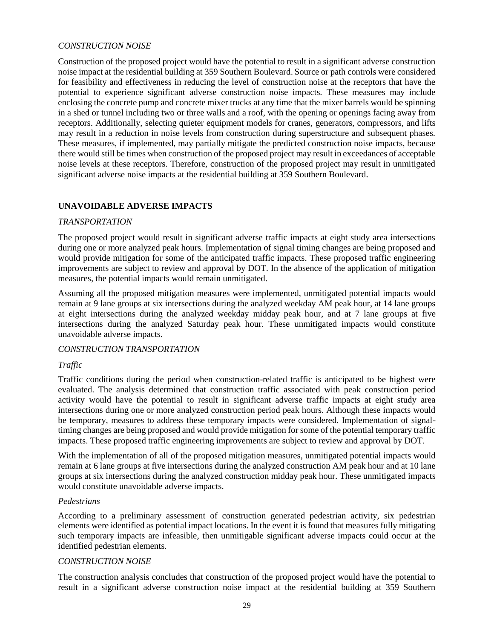#### *CONSTRUCTION NOISE*

Construction of the proposed project would have the potential to result in a significant adverse construction noise impact at the residential building at 359 Southern Boulevard. Source or path controls were considered for feasibility and effectiveness in reducing the level of construction noise at the receptors that have the potential to experience significant adverse construction noise impacts. These measures may include enclosing the concrete pump and concrete mixer trucks at any time that the mixer barrels would be spinning in a shed or tunnel including two or three walls and a roof, with the opening or openings facing away from receptors. Additionally, selecting quieter equipment models for cranes, generators, compressors, and lifts may result in a reduction in noise levels from construction during superstructure and subsequent phases. These measures, if implemented, may partially mitigate the predicted construction noise impacts, because there would still be times when construction of the proposed project may result in exceedances of acceptable noise levels at these receptors. Therefore, construction of the proposed project may result in unmitigated significant adverse noise impacts at the residential building at 359 Southern Boulevard.

### **UNAVOIDABLE ADVERSE IMPACTS**

#### *TRANSPORTATION*

The proposed project would result in significant adverse traffic impacts at eight study area intersections during one or more analyzed peak hours. Implementation of signal timing changes are being proposed and would provide mitigation for some of the anticipated traffic impacts. These proposed traffic engineering improvements are subject to review and approval by DOT. In the absence of the application of mitigation measures, the potential impacts would remain unmitigated.

Assuming all the proposed mitigation measures were implemented, unmitigated potential impacts would remain at 9 lane groups at six intersections during the analyzed weekday AM peak hour, at 14 lane groups at eight intersections during the analyzed weekday midday peak hour, and at 7 lane groups at five intersections during the analyzed Saturday peak hour. These unmitigated impacts would constitute unavoidable adverse impacts.

#### *CONSTRUCTION TRANSPORTATION*

#### *Traffic*

Traffic conditions during the period when construction-related traffic is anticipated to be highest were evaluated. The analysis determined that construction traffic associated with peak construction period activity would have the potential to result in significant adverse traffic impacts at eight study area intersections during one or more analyzed construction period peak hours. Although these impacts would be temporary, measures to address these temporary impacts were considered. Implementation of signaltiming changes are being proposed and would provide mitigation for some of the potential temporary traffic impacts. These proposed traffic engineering improvements are subject to review and approval by DOT.

With the implementation of all of the proposed mitigation measures, unmitigated potential impacts would remain at 6 lane groups at five intersections during the analyzed construction AM peak hour and at 10 lane groups at six intersections during the analyzed construction midday peak hour. These unmitigated impacts would constitute unavoidable adverse impacts.

#### *Pedestrians*

According to a preliminary assessment of construction generated pedestrian activity, six pedestrian elements were identified as potential impact locations. In the event it is found that measures fully mitigating such temporary impacts are infeasible, then unmitigable significant adverse impacts could occur at the identified pedestrian elements.

#### *CONSTRUCTION NOISE*

The construction analysis concludes that construction of the proposed project would have the potential to result in a significant adverse construction noise impact at the residential building at 359 Southern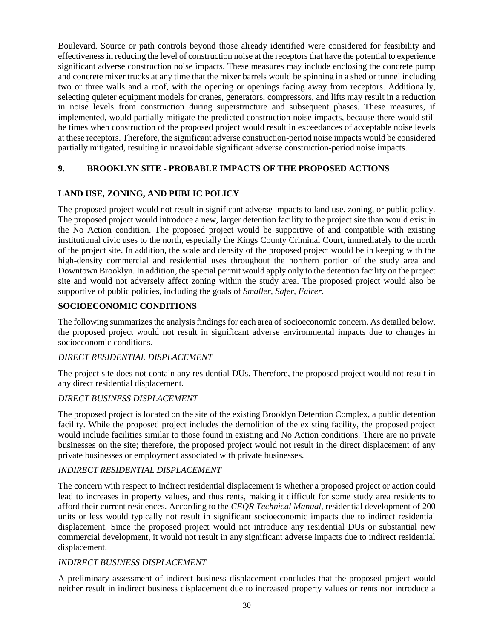Boulevard. Source or path controls beyond those already identified were considered for feasibility and effectiveness in reducing the level of construction noise at the receptors that have the potential to experience significant adverse construction noise impacts. These measures may include enclosing the concrete pump and concrete mixer trucks at any time that the mixer barrels would be spinning in a shed or tunnel including two or three walls and a roof, with the opening or openings facing away from receptors. Additionally, selecting quieter equipment models for cranes, generators, compressors, and lifts may result in a reduction in noise levels from construction during superstructure and subsequent phases. These measures, if implemented, would partially mitigate the predicted construction noise impacts, because there would still be times when construction of the proposed project would result in exceedances of acceptable noise levels at these receptors. Therefore, the significant adverse construction-period noise impacts would be considered partially mitigated, resulting in unavoidable significant adverse construction-period noise impacts.

## **9. BROOKLYN SITE - PROBABLE IMPACTS OF THE PROPOSED ACTIONS**

### **LAND USE, ZONING, AND PUBLIC POLICY**

The proposed project would not result in significant adverse impacts to land use, zoning, or public policy. The proposed project would introduce a new, larger detention facility to the project site than would exist in the No Action condition. The proposed project would be supportive of and compatible with existing institutional civic uses to the north, especially the Kings County Criminal Court, immediately to the north of the project site. In addition, the scale and density of the proposed project would be in keeping with the high-density commercial and residential uses throughout the northern portion of the study area and Downtown Brooklyn. In addition, the special permit would apply only to the detention facility on the project site and would not adversely affect zoning within the study area. The proposed project would also be supportive of public policies, including the goals of *Smaller, Safer, Fairer*.

## **SOCIOECONOMIC CONDITIONS**

The following summarizes the analysis findings for each area of socioeconomic concern. As detailed below, the proposed project would not result in significant adverse environmental impacts due to changes in socioeconomic conditions.

#### *DIRECT RESIDENTIAL DISPLACEMENT*

The project site does not contain any residential DUs. Therefore, the proposed project would not result in any direct residential displacement.

#### *DIRECT BUSINESS DISPLACEMENT*

The proposed project is located on the site of the existing Brooklyn Detention Complex, a public detention facility. While the proposed project includes the demolition of the existing facility, the proposed project would include facilities similar to those found in existing and No Action conditions. There are no private businesses on the site; therefore, the proposed project would not result in the direct displacement of any private businesses or employment associated with private businesses.

#### *INDIRECT RESIDENTIAL DISPLACEMENT*

The concern with respect to indirect residential displacement is whether a proposed project or action could lead to increases in property values, and thus rents, making it difficult for some study area residents to afford their current residences. According to the *CEQR Technical Manual*, residential development of 200 units or less would typically not result in significant socioeconomic impacts due to indirect residential displacement. Since the proposed project would not introduce any residential DUs or substantial new commercial development, it would not result in any significant adverse impacts due to indirect residential displacement.

#### *INDIRECT BUSINESS DISPLACEMENT*

A preliminary assessment of indirect business displacement concludes that the proposed project would neither result in indirect business displacement due to increased property values or rents nor introduce a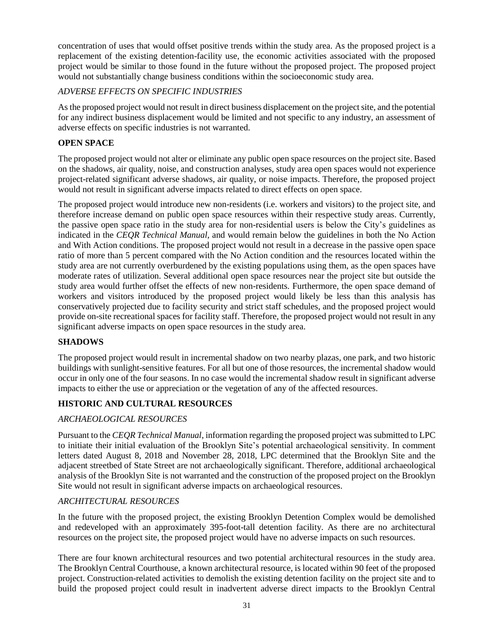concentration of uses that would offset positive trends within the study area. As the proposed project is a replacement of the existing detention-facility use, the economic activities associated with the proposed project would be similar to those found in the future without the proposed project. The proposed project would not substantially change business conditions within the socioeconomic study area.

## *ADVERSE EFFECTS ON SPECIFIC INDUSTRIES*

As the proposed project would not result in direct business displacement on the project site, and the potential for any indirect business displacement would be limited and not specific to any industry, an assessment of adverse effects on specific industries is not warranted.

## **OPEN SPACE**

The proposed project would not alter or eliminate any public open space resources on the project site. Based on the shadows, air quality, noise, and construction analyses, study area open spaces would not experience project-related significant adverse shadows, air quality, or noise impacts. Therefore, the proposed project would not result in significant adverse impacts related to direct effects on open space.

The proposed project would introduce new non-residents (i.e. workers and visitors) to the project site, and therefore increase demand on public open space resources within their respective study areas. Currently, the passive open space ratio in the study area for non-residential users is below the City's guidelines as indicated in the *CEQR Technical Manual*, and would remain below the guidelines in both the No Action and With Action conditions. The proposed project would not result in a decrease in the passive open space ratio of more than 5 percent compared with the No Action condition and the resources located within the study area are not currently overburdened by the existing populations using them, as the open spaces have moderate rates of utilization. Several additional open space resources near the project site but outside the study area would further offset the effects of new non-residents. Furthermore, the open space demand of workers and visitors introduced by the proposed project would likely be less than this analysis has conservatively projected due to facility security and strict staff schedules, and the proposed project would provide on-site recreational spaces for facility staff. Therefore, the proposed project would not result in any significant adverse impacts on open space resources in the study area.

## **SHADOWS**

The proposed project would result in incremental shadow on two nearby plazas, one park, and two historic buildings with sunlight-sensitive features. For all but one of those resources, the incremental shadow would occur in only one of the four seasons. In no case would the incremental shadow result in significant adverse impacts to either the use or appreciation or the vegetation of any of the affected resources.

## **HISTORIC AND CULTURAL RESOURCES**

## *ARCHAEOLOGICAL RESOURCES*

Pursuant to the *CEQR Technical Manual*, information regarding the proposed project was submitted to LPC to initiate their initial evaluation of the Brooklyn Site's potential archaeological sensitivity. In comment letters dated August 8, 2018 and November 28, 2018, LPC determined that the Brooklyn Site and the adjacent streetbed of State Street are not archaeologically significant. Therefore, additional archaeological analysis of the Brooklyn Site is not warranted and the construction of the proposed project on the Brooklyn Site would not result in significant adverse impacts on archaeological resources.

## *ARCHITECTURAL RESOURCES*

In the future with the proposed project, the existing Brooklyn Detention Complex would be demolished and redeveloped with an approximately 395-foot-tall detention facility. As there are no architectural resources on the project site, the proposed project would have no adverse impacts on such resources.

There are four known architectural resources and two potential architectural resources in the study area. The Brooklyn Central Courthouse, a known architectural resource, is located within 90 feet of the proposed project. Construction-related activities to demolish the existing detention facility on the project site and to build the proposed project could result in inadvertent adverse direct impacts to the Brooklyn Central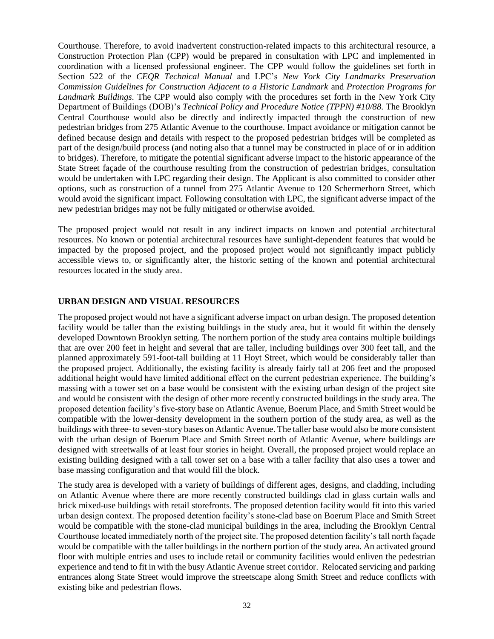Courthouse. Therefore, to avoid inadvertent construction-related impacts to this architectural resource, a Construction Protection Plan (CPP) would be prepared in consultation with LPC and implemented in coordination with a licensed professional engineer. The CPP would follow the guidelines set forth in Section 522 of the *CEQR Technical Manual* and LPC's *New York City Landmarks Preservation Commission Guidelines for Construction Adjacent to a Historic Landmark* and *Protection Programs for Landmark Buildings*. The CPP would also comply with the procedures set forth in the New York City Department of Buildings (DOB)'s *Technical Policy and Procedure Notice (TPPN) #10/88*. The Brooklyn Central Courthouse would also be directly and indirectly impacted through the construction of new pedestrian bridges from 275 Atlantic Avenue to the courthouse. Impact avoidance or mitigation cannot be defined because design and details with respect to the proposed pedestrian bridges will be completed as part of the design/build process (and noting also that a tunnel may be constructed in place of or in addition to bridges). Therefore, to mitigate the potential significant adverse impact to the historic appearance of the State Street façade of the courthouse resulting from the construction of pedestrian bridges, consultation would be undertaken with LPC regarding their design. The Applicant is also committed to consider other options, such as construction of a tunnel from 275 Atlantic Avenue to 120 Schermerhorn Street, which would avoid the significant impact. Following consultation with LPC, the significant adverse impact of the new pedestrian bridges may not be fully mitigated or otherwise avoided.

The proposed project would not result in any indirect impacts on known and potential architectural resources. No known or potential architectural resources have sunlight-dependent features that would be impacted by the proposed project, and the proposed project would not significantly impact publicly accessible views to, or significantly alter, the historic setting of the known and potential architectural resources located in the study area.

### **URBAN DESIGN AND VISUAL RESOURCES**

The proposed project would not have a significant adverse impact on urban design. The proposed detention facility would be taller than the existing buildings in the study area, but it would fit within the densely developed Downtown Brooklyn setting. The northern portion of the study area contains multiple buildings that are over 200 feet in height and several that are taller, including buildings over 300 feet tall, and the planned approximately 591-foot-tall building at 11 Hoyt Street, which would be considerably taller than the proposed project. Additionally, the existing facility is already fairly tall at 206 feet and the proposed additional height would have limited additional effect on the current pedestrian experience. The building's massing with a tower set on a base would be consistent with the existing urban design of the project site and would be consistent with the design of other more recently constructed buildings in the study area. The proposed detention facility's five-story base on Atlantic Avenue, Boerum Place, and Smith Street would be compatible with the lower-density development in the southern portion of the study area, as well as the buildings with three- to seven-story bases on Atlantic Avenue. The taller base would also be more consistent with the urban design of Boerum Place and Smith Street north of Atlantic Avenue, where buildings are designed with streetwalls of at least four stories in height. Overall, the proposed project would replace an existing building designed with a tall tower set on a base with a taller facility that also uses a tower and base massing configuration and that would fill the block.

The study area is developed with a variety of buildings of different ages, designs, and cladding, including on Atlantic Avenue where there are more recently constructed buildings clad in glass curtain walls and brick mixed-use buildings with retail storefronts. The proposed detention facility would fit into this varied urban design context. The proposed detention facility's stone-clad base on Boerum Place and Smith Street would be compatible with the stone-clad municipal buildings in the area, including the Brooklyn Central Courthouse located immediately north of the project site. The proposed detention facility's tall north façade would be compatible with the taller buildings in the northern portion of the study area. An activated ground floor with multiple entries and uses to include retail or community facilities would enliven the pedestrian experience and tend to fit in with the busy Atlantic Avenue street corridor. Relocated servicing and parking entrances along State Street would improve the streetscape along Smith Street and reduce conflicts with existing bike and pedestrian flows.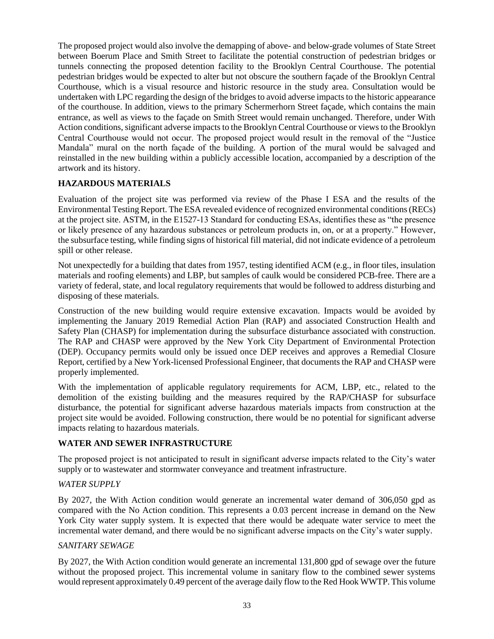The proposed project would also involve the demapping of above- and below-grade volumes of State Street between Boerum Place and Smith Street to facilitate the potential construction of pedestrian bridges or tunnels connecting the proposed detention facility to the Brooklyn Central Courthouse. The potential pedestrian bridges would be expected to alter but not obscure the southern façade of the Brooklyn Central Courthouse, which is a visual resource and historic resource in the study area. Consultation would be undertaken with LPC regarding the design of the bridges to avoid adverse impacts to the historic appearance of the courthouse. In addition, views to the primary Schermerhorn Street façade, which contains the main entrance, as well as views to the façade on Smith Street would remain unchanged. Therefore, under With Action conditions, significant adverse impacts to the Brooklyn Central Courthouse or views to the Brooklyn Central Courthouse would not occur. The proposed project would result in the removal of the "Justice Mandala" mural on the north façade of the building. A portion of the mural would be salvaged and reinstalled in the new building within a publicly accessible location, accompanied by a description of the artwork and its history.

### **HAZARDOUS MATERIALS**

Evaluation of the project site was performed via review of the Phase I ESA and the results of the Environmental Testing Report. The ESA revealed evidence of recognized environmental conditions (RECs) at the project site. ASTM, in the E1527-13 Standard for conducting ESAs, identifies these as "the presence or likely presence of any hazardous substances or petroleum products in, on, or at a property." However, the subsurface testing, while finding signs of historical fill material, did not indicate evidence of a petroleum spill or other release.

Not unexpectedly for a building that dates from 1957, testing identified ACM (e.g., in floor tiles, insulation materials and roofing elements) and LBP, but samples of caulk would be considered PCB-free. There are a variety of federal, state, and local regulatory requirements that would be followed to address disturbing and disposing of these materials.

Construction of the new building would require extensive excavation. Impacts would be avoided by implementing the January 2019 Remedial Action Plan (RAP) and associated Construction Health and Safety Plan (CHASP) for implementation during the subsurface disturbance associated with construction. The RAP and CHASP were approved by the New York City Department of Environmental Protection (DEP). Occupancy permits would only be issued once DEP receives and approves a Remedial Closure Report, certified by a New York-licensed Professional Engineer, that documents the RAP and CHASP were properly implemented.

With the implementation of applicable regulatory requirements for ACM, LBP, etc., related to the demolition of the existing building and the measures required by the RAP/CHASP for subsurface disturbance, the potential for significant adverse hazardous materials impacts from construction at the project site would be avoided. Following construction, there would be no potential for significant adverse impacts relating to hazardous materials.

#### **WATER AND SEWER INFRASTRUCTURE**

The proposed project is not anticipated to result in significant adverse impacts related to the City's water supply or to wastewater and stormwater conveyance and treatment infrastructure.

#### *WATER SUPPLY*

By 2027, the With Action condition would generate an incremental water demand of 306,050 gpd as compared with the No Action condition. This represents a 0.03 percent increase in demand on the New York City water supply system. It is expected that there would be adequate water service to meet the incremental water demand, and there would be no significant adverse impacts on the City's water supply.

#### *SANITARY SEWAGE*

By 2027, the With Action condition would generate an incremental 131,800 gpd of sewage over the future without the proposed project. This incremental volume in sanitary flow to the combined sewer systems would represent approximately 0.49 percent of the average daily flow to the Red Hook WWTP. This volume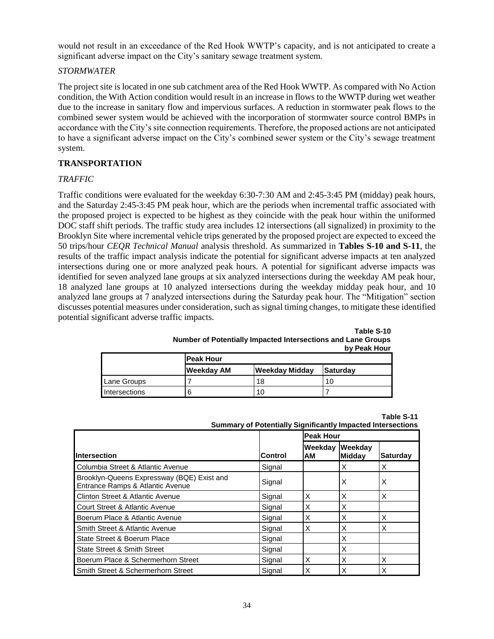would not result in an exceedance of the Red Hook WWTP's capacity, and is not anticipated to create a significant adverse impact on the City's sanitary sewage treatment system.

### *STORMWATER*

The project site is located in one sub catchment area of the Red Hook WWTP. As compared with No Action condition, the With Action condition would result in an increase in flows to the WWTP during wet weather due to the increase in sanitary flow and impervious surfaces. A reduction in stormwater peak flows to the combined sewer system would be achieved with the incorporation of stormwater source control BMPs in accordance with the City's site connection requirements. Therefore, the proposed actions are not anticipated to have a significant adverse impact on the City's combined sewer system or the City's sewage treatment system.

### **TRANSPORTATION**

### *TRAFFIC*

Traffic conditions were evaluated for the weekday 6:30-7:30 AM and 2:45-3:45 PM (midday) peak hours, and the Saturday 2:45-3:45 PM peak hour, which are the periods when incremental traffic associated with the proposed project is expected to be highest as they coincide with the peak hour within the uniformed DOC staff shift periods. The traffic study area includes 12 intersections (all signalized) in proximity to the Brooklyn Site where incremental vehicle trips generated by the proposed project are expected to exceed the 50 trips/hour *CEQR Technical Manual* analysis threshold. As summarized in **Tables S-10 and S-11**, the results of the traffic impact analysis indicate the potential for significant adverse impacts at ten analyzed intersections during one or more analyzed peak hours. A potential for significant adverse impacts was identified for seven analyzed lane groups at six analyzed intersections during the weekday AM peak hour, 18 analyzed lane groups at 10 analyzed intersections during the weekday midday peak hour, and 10 analyzed lane groups at 7 analyzed intersections during the Saturday peak hour. The "Mitigation" section discusses potential measures under consideration, such as signal timing changes, to mitigate these identified potential significant adverse traffic impacts.

|               |                   |                       | <b>DY FEAR FIGUL</b> |  |  |
|---------------|-------------------|-----------------------|----------------------|--|--|
|               | <b>Peak Hour</b>  |                       |                      |  |  |
|               | <b>Weekday AM</b> | <b>Weekday Midday</b> | Saturday             |  |  |
| Lane Groups   |                   | 18                    | 10                   |  |  |
| Intersections |                   | 10                    |                      |  |  |

| Number of Potentially Impacted Intersections and Lane Groups | Table S-10<br>by Peak Hour |
|--------------------------------------------------------------|----------------------------|
| $P_{\text{max}}$ $P_{\text{max}}$                            |                            |

|                                                                    |  | Table S-11 |
|--------------------------------------------------------------------|--|------------|
| <b>Summary of Potentially Significantly Impacted Intersections</b> |  |            |

|                                                                                |         |               | <b>Peak Hour</b>  |                 |  |  |
|--------------------------------------------------------------------------------|---------|---------------|-------------------|-----------------|--|--|
| <b>Intersection</b>                                                            | Control | Weekdav<br>AM | Weekday<br>Midday | <b>Saturday</b> |  |  |
| Columbia Street & Atlantic Avenue                                              | Signal  |               | X                 | X               |  |  |
| Brooklyn-Queens Expressway (BQE) Exist and<br>Entrance Ramps & Atlantic Avenue | Signal  |               | X                 | X               |  |  |
| Clinton Street & Atlantic Avenue                                               | Signal  | X             | X                 | X               |  |  |
| Court Street & Atlantic Avenue                                                 | Signal  | X             | X                 |                 |  |  |
| Boerum Place & Atlantic Avenue                                                 | Signal  | X             | X                 | X               |  |  |
| Smith Street & Atlantic Avenue                                                 | Signal  | X             | X                 | X               |  |  |
| State Street & Boerum Place                                                    | Signal  |               | X                 |                 |  |  |
| State Street & Smith Street                                                    | Signal  |               | X                 |                 |  |  |
| Boerum Place & Schermerhorn Street                                             | Signal  | X             | X                 | X               |  |  |
| Smith Street & Schermerhorn Street                                             | Signal  | X             | X                 | X               |  |  |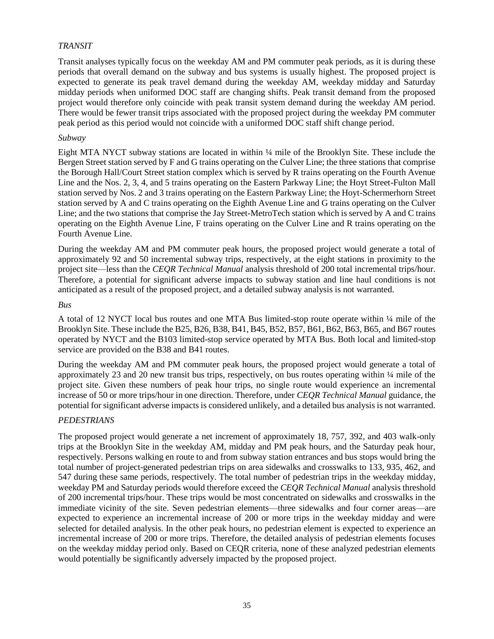#### *TRANSIT*

Transit analyses typically focus on the weekday AM and PM commuter peak periods, as it is during these periods that overall demand on the subway and bus systems is usually highest. The proposed project is expected to generate its peak travel demand during the weekday AM, weekday midday and Saturday midday periods when uniformed DOC staff are changing shifts. Peak transit demand from the proposed project would therefore only coincide with peak transit system demand during the weekday AM period. There would be fewer transit trips associated with the proposed project during the weekday PM commuter peak period as this period would not coincide with a uniformed DOC staff shift change period.

#### *Subway*

Eight MTA NYCT subway stations are located in within ¼ mile of the Brooklyn Site. These include the Bergen Street station served by F and G trains operating on the Culver Line; the three stations that comprise the Borough Hall/Court Street station complex which is served by R trains operating on the Fourth Avenue Line and the Nos. 2, 3, 4, and 5 trains operating on the Eastern Parkway Line; the Hoyt Street-Fulton Mall station served by Nos. 2 and 3 trains operating on the Eastern Parkway Line; the Hoyt-Schermerhorn Street station served by A and C trains operating on the Eighth Avenue Line and G trains operating on the Culver Line; and the two stations that comprise the Jay Street-MetroTech station which is served by A and C trains operating on the Eighth Avenue Line, F trains operating on the Culver Line and R trains operating on the Fourth Avenue Line.

During the weekday AM and PM commuter peak hours, the proposed project would generate a total of approximately 92 and 50 incremental subway trips, respectively, at the eight stations in proximity to the project site—less than the *CEQR Technical Manual* analysis threshold of 200 total incremental trips/hour. Therefore, a potential for significant adverse impacts to subway station and line haul conditions is not anticipated as a result of the proposed project, and a detailed subway analysis is not warranted.

#### *Bus*

A total of 12 NYCT local bus routes and one MTA Bus limited-stop route operate within ¼ mile of the Brooklyn Site. These include the B25, B26, B38, B41, B45, B52, B57, B61, B62, B63, B65, and B67 routes operated by NYCT and the B103 limited-stop service operated by MTA Bus. Both local and limited-stop service are provided on the B38 and B41 routes.

During the weekday AM and PM commuter peak hours, the proposed project would generate a total of approximately 23 and 20 new transit bus trips, respectively, on bus routes operating within ¼ mile of the project site. Given these numbers of peak hour trips, no single route would experience an incremental increase of 50 or more trips/hour in one direction. Therefore, under *CEQR Technical Manual* guidance, the potential for significant adverse impacts is considered unlikely, and a detailed bus analysis is not warranted.

#### *PEDESTRIANS*

The proposed project would generate a net increment of approximately 18, 757, 392, and 403 walk-only trips at the Brooklyn Site in the weekday AM, midday and PM peak hours, and the Saturday peak hour, respectively. Persons walking en route to and from subway station entrances and bus stops would bring the total number of project-generated pedestrian trips on area sidewalks and crosswalks to 133, 935, 462, and 547 during these same periods, respectively. The total number of pedestrian trips in the weekday midday, weekday PM and Saturday periods would therefore exceed the *CEQR Technical Manual* analysis threshold of 200 incremental trips/hour. These trips would be most concentrated on sidewalks and crosswalks in the immediate vicinity of the site. Seven pedestrian elements—three sidewalks and four corner areas—are expected to experience an incremental increase of 200 or more trips in the weekday midday and were selected for detailed analysis. In the other peak hours, no pedestrian element is expected to experience an incremental increase of 200 or more trips. Therefore, the detailed analysis of pedestrian elements focuses on the weekday midday period only. Based on CEQR criteria, none of these analyzed pedestrian elements would potentially be significantly adversely impacted by the proposed project.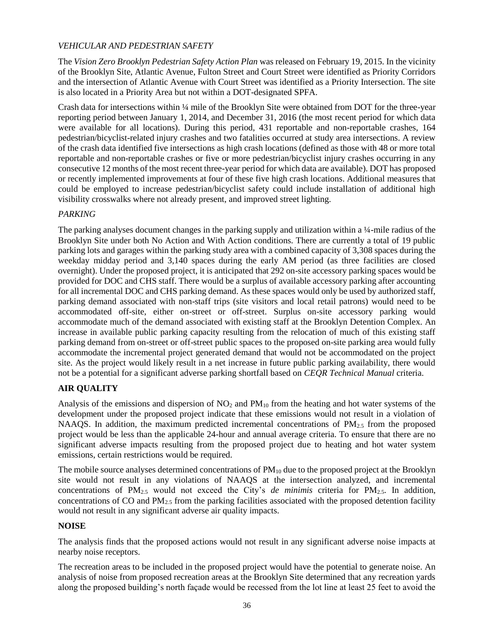## *VEHICULAR AND PEDESTRIAN SAFETY*

The *Vision Zero Brooklyn Pedestrian Safety Action Plan* was released on February 19, 2015. In the vicinity of the Brooklyn Site, Atlantic Avenue, Fulton Street and Court Street were identified as Priority Corridors and the intersection of Atlantic Avenue with Court Street was identified as a Priority Intersection. The site is also located in a Priority Area but not within a DOT-designated SPFA.

Crash data for intersections within ¼ mile of the Brooklyn Site were obtained from DOT for the three-year reporting period between January 1, 2014, and December 31, 2016 (the most recent period for which data were available for all locations). During this period, 431 reportable and non-reportable crashes, 164 pedestrian/bicyclist-related injury crashes and two fatalities occurred at study area intersections. A review of the crash data identified five intersections as high crash locations (defined as those with 48 or more total reportable and non-reportable crashes or five or more pedestrian/bicyclist injury crashes occurring in any consecutive 12 months of the most recent three-year period for which data are available). DOT has proposed or recently implemented improvements at four of these five high crash locations. Additional measures that could be employed to increase pedestrian/bicyclist safety could include installation of additional high visibility crosswalks where not already present, and improved street lighting.

### *PARKING*

The parking analyses document changes in the parking supply and utilization within a ¼-mile radius of the Brooklyn Site under both No Action and With Action conditions. There are currently a total of 19 public parking lots and garages within the parking study area with a combined capacity of 3,308 spaces during the weekday midday period and 3,140 spaces during the early AM period (as three facilities are closed overnight). Under the proposed project, it is anticipated that 292 on-site accessory parking spaces would be provided for DOC and CHS staff. There would be a surplus of available accessory parking after accounting for all incremental DOC and CHS parking demand. As these spaces would only be used by authorized staff, parking demand associated with non-staff trips (site visitors and local retail patrons) would need to be accommodated off-site, either on-street or off-street. Surplus on-site accessory parking would accommodate much of the demand associated with existing staff at the Brooklyn Detention Complex. An increase in available public parking capacity resulting from the relocation of much of this existing staff parking demand from on-street or off-street public spaces to the proposed on-site parking area would fully accommodate the incremental project generated demand that would not be accommodated on the project site. As the project would likely result in a net increase in future public parking availability, there would not be a potential for a significant adverse parking shortfall based on *CEQR Technical Manual* criteria.

## **AIR QUALITY**

Analysis of the emissions and dispersion of  $NO<sub>2</sub>$  and  $PM<sub>10</sub>$  from the heating and hot water systems of the development under the proposed project indicate that these emissions would not result in a violation of NAAQS. In addition, the maximum predicted incremental concentrations of  $PM_{2.5}$  from the proposed project would be less than the applicable 24-hour and annual average criteria. To ensure that there are no significant adverse impacts resulting from the proposed project due to heating and hot water system emissions, certain restrictions would be required.

The mobile source analyses determined concentrations of  $PM_{10}$  due to the proposed project at the Brooklyn site would not result in any violations of NAAQS at the intersection analyzed, and incremental concentrations of  $PM_{2.5}$  would not exceed the City's *de minimis* criteria for  $PM_{2.5}$ . In addition, concentrations of CO and  $PM_{2.5}$  from the parking facilities associated with the proposed detention facility would not result in any significant adverse air quality impacts.

#### **NOISE**

The analysis finds that the proposed actions would not result in any significant adverse noise impacts at nearby noise receptors.

The recreation areas to be included in the proposed project would have the potential to generate noise. An analysis of noise from proposed recreation areas at the Brooklyn Site determined that any recreation yards along the proposed building's north façade would be recessed from the lot line at least 25 feet to avoid the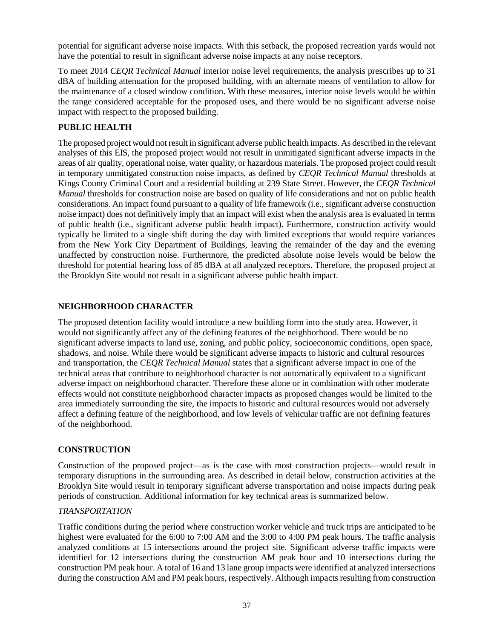potential for significant adverse noise impacts. With this setback, the proposed recreation yards would not have the potential to result in significant adverse noise impacts at any noise receptors.

To meet 2014 *CEQR Technical Manual* interior noise level requirements, the analysis prescribes up to 31 dBA of building attenuation for the proposed building, with an alternate means of ventilation to allow for the maintenance of a closed window condition. With these measures, interior noise levels would be within the range considered acceptable for the proposed uses, and there would be no significant adverse noise impact with respect to the proposed building.

## **PUBLIC HEALTH**

The proposed project would not result in significant adverse public health impacts. As described in the relevant analyses of this EIS, the proposed project would not result in unmitigated significant adverse impacts in the areas of air quality, operational noise, water quality, or hazardous materials. The proposed project could result in temporary unmitigated construction noise impacts, as defined by *CEQR Technical Manual* thresholds at Kings County Criminal Court and a residential building at 239 State Street. However, the *CEQR Technical Manual* thresholds for construction noise are based on quality of life considerations and not on public health considerations. An impact found pursuant to a quality of life framework (i.e., significant adverse construction noise impact) does not definitively imply that an impact will exist when the analysis area is evaluated in terms of public health (i.e., significant adverse public health impact). Furthermore, construction activity would typically be limited to a single shift during the day with limited exceptions that would require variances from the New York City Department of Buildings, leaving the remainder of the day and the evening unaffected by construction noise. Furthermore, the predicted absolute noise levels would be below the threshold for potential hearing loss of 85 dBA at all analyzed receptors. Therefore, the proposed project at the Brooklyn Site would not result in a significant adverse public health impact.

## **NEIGHBORHOOD CHARACTER**

The proposed detention facility would introduce a new building form into the study area. However, it would not significantly affect any of the defining features of the neighborhood. There would be no significant adverse impacts to land use, zoning, and public policy, socioeconomic conditions, open space, shadows, and noise. While there would be significant adverse impacts to historic and cultural resources and transportation, the *CEQR Technical Manual* states that a significant adverse impact in one of the technical areas that contribute to neighborhood character is not automatically equivalent to a significant adverse impact on neighborhood character. Therefore these alone or in combination with other moderate effects would not constitute neighborhood character impacts as proposed changes would be limited to the area immediately surrounding the site, the impacts to historic and cultural resources would not adversely affect a defining feature of the neighborhood, and low levels of vehicular traffic are not defining features of the neighborhood.

## **CONSTRUCTION**

Construction of the proposed project—as is the case with most construction projects—would result in temporary disruptions in the surrounding area. As described in detail below, construction activities at the Brooklyn Site would result in temporary significant adverse transportation and noise impacts during peak periods of construction. Additional information for key technical areas is summarized below.

#### *TRANSPORTATION*

Traffic conditions during the period where construction worker vehicle and truck trips are anticipated to be highest were evaluated for the 6:00 to 7:00 AM and the 3:00 to 4:00 PM peak hours. The traffic analysis analyzed conditions at 15 intersections around the project site. Significant adverse traffic impacts were identified for 12 intersections during the construction AM peak hour and 10 intersections during the construction PM peak hour. A total of 16 and 13 lane group impacts were identified at analyzed intersections during the construction AM and PM peak hours, respectively. Although impacts resulting from construction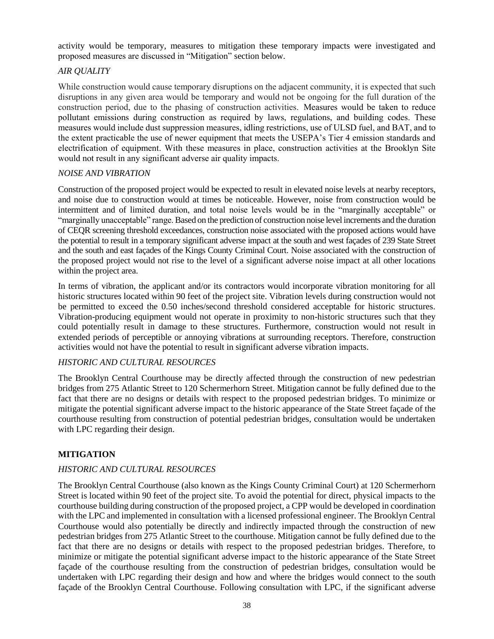activity would be temporary, measures to mitigation these temporary impacts were investigated and proposed measures are discussed in "Mitigation" section below.

## *AIR QUALITY*

While construction would cause temporary disruptions on the adjacent community, it is expected that such disruptions in any given area would be temporary and would not be ongoing for the full duration of the construction period, due to the phasing of construction activities. Measures would be taken to reduce pollutant emissions during construction as required by laws, regulations, and building codes. These measures would include dust suppression measures, idling restrictions, use of ULSD fuel, and BAT, and to the extent practicable the use of newer equipment that meets the USEPA's Tier 4 emission standards and electrification of equipment. With these measures in place, construction activities at the Brooklyn Site would not result in any significant adverse air quality impacts.

### *NOISE AND VIBRATION*

Construction of the proposed project would be expected to result in elevated noise levels at nearby receptors, and noise due to construction would at times be noticeable. However, noise from construction would be intermittent and of limited duration, and total noise levels would be in the "marginally acceptable" or "marginally unacceptable" range. Based on the prediction of construction noise level increments and the duration of CEQR screening threshold exceedances, construction noise associated with the proposed actions would have the potential to result in a temporary significant adverse impact at the south and west façades of 239 State Street and the south and east façades of the Kings County Criminal Court. Noise associated with the construction of the proposed project would not rise to the level of a significant adverse noise impact at all other locations within the project area.

In terms of vibration, the applicant and/or its contractors would incorporate vibration monitoring for all historic structures located within 90 feet of the project site. Vibration levels during construction would not be permitted to exceed the 0.50 inches/second threshold considered acceptable for historic structures. Vibration-producing equipment would not operate in proximity to non-historic structures such that they could potentially result in damage to these structures. Furthermore, construction would not result in extended periods of perceptible or annoying vibrations at surrounding receptors. Therefore, construction activities would not have the potential to result in significant adverse vibration impacts.

## *HISTORIC AND CULTURAL RESOURCES*

The Brooklyn Central Courthouse may be directly affected through the construction of new pedestrian bridges from 275 Atlantic Street to 120 Schermerhorn Street. Mitigation cannot be fully defined due to the fact that there are no designs or details with respect to the proposed pedestrian bridges. To minimize or mitigate the potential significant adverse impact to the historic appearance of the State Street façade of the courthouse resulting from construction of potential pedestrian bridges, consultation would be undertaken with LPC regarding their design.

## **MITIGATION**

## *HISTORIC AND CULTURAL RESOURCES*

The Brooklyn Central Courthouse (also known as the Kings County Criminal Court) at 120 Schermerhorn Street is located within 90 feet of the project site. To avoid the potential for direct, physical impacts to the courthouse building during construction of the proposed project, a CPP would be developed in coordination with the LPC and implemented in consultation with a licensed professional engineer. The Brooklyn Central Courthouse would also potentially be directly and indirectly impacted through the construction of new pedestrian bridges from 275 Atlantic Street to the courthouse. Mitigation cannot be fully defined due to the fact that there are no designs or details with respect to the proposed pedestrian bridges. Therefore, to minimize or mitigate the potential significant adverse impact to the historic appearance of the State Street façade of the courthouse resulting from the construction of pedestrian bridges, consultation would be undertaken with LPC regarding their design and how and where the bridges would connect to the south façade of the Brooklyn Central Courthouse. Following consultation with LPC, if the significant adverse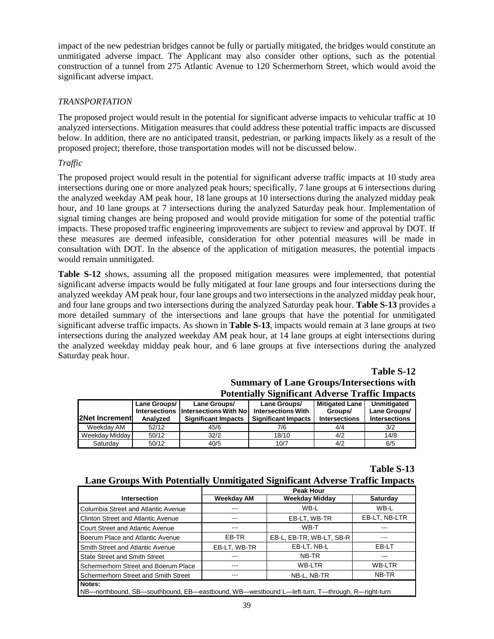impact of the new pedestrian bridges cannot be fully or partially mitigated, the bridges would constitute an unmitigated adverse impact. The Applicant may also consider other options, such as the potential construction of a tunnel from 275 Atlantic Avenue to 120 Schermerhorn Street, which would avoid the significant adverse impact.

## *TRANSPORTATION*

The proposed project would result in the potential for significant adverse impacts to vehicular traffic at 10 analyzed intersections. Mitigation measures that could address these potential traffic impacts are discussed below. In addition, there are no anticipated transit, pedestrian, or parking impacts likely as a result of the proposed project; therefore, those transportation modes will not be discussed below.

#### *Traffic*

The proposed project would result in the potential for significant adverse traffic impacts at 10 study area intersections during one or more analyzed peak hours; specifically, 7 lane groups at 6 intersections during the analyzed weekday AM peak hour, 18 lane groups at 10 intersections during the analyzed midday peak hour, and 10 lane groups at 7 intersections during the analyzed Saturday peak hour. Implementation of signal timing changes are being proposed and would provide mitigation for some of the potential traffic impacts. These proposed traffic engineering improvements are subject to review and approval by DOT. If these measures are deemed infeasible, consideration for other potential measures will be made in consultation with DOT. In the absence of the application of mitigation measures, the potential impacts would remain unmitigated.

**Table S-12** shows, assuming all the proposed mitigation measures were implemented, that potential significant adverse impacts would be fully mitigated at four lane groups and four intersections during the analyzed weekday AM peak hour, four lane groups and two intersections in the analyzed midday peak hour, and four lane groups and two intersections during the analyzed Saturday peak hour. **Table S-13** provides a more detailed summary of the intersections and lane groups that have the potential for unmitigated significant adverse traffic impacts. As shown in **Table S-13**, impacts would remain at 3 lane groups at two intersections during the analyzed weekday AM peak hour, at 14 lane groups at eight intersections during the analyzed weekday midday peak hour, and 6 lane groups at five intersections during the analyzed Saturday peak hour.

#### **Table S-12**

## **Summary of Lane Groups/Intersections with Potentially Significant Adverse Traffic Impacts**

| <b>2Net Increment</b> | Lane Groups/<br><b>Intersections</b><br>Analyzed | Lane Groups/<br><b>Intersections With No</b><br><b>Significant Impacts</b> | Lane Groups/<br><b>Intersections With</b><br><b>Significant Impacts</b> | <b>Mitigated Lane</b><br>Groups/<br><b>Intersections</b> | Unmitigated<br>Lane Groups/<br><b>Intersections</b> |
|-----------------------|--------------------------------------------------|----------------------------------------------------------------------------|-------------------------------------------------------------------------|----------------------------------------------------------|-----------------------------------------------------|
| Weekdav AM            | 52/12                                            | 45/6                                                                       | 7/6                                                                     | 4/4                                                      | 3/2                                                 |
| Weekday Midday        | 50/12                                            | 32/2                                                                       | 18/10                                                                   | 4/2                                                      | 14/8                                                |
| Saturdav              | 50/12                                            | 40/5                                                                       | 10/7                                                                    | 4/2                                                      | 6/5                                                 |

#### **Table S-13**

#### **Lane Groups With Potentially Unmitigated Significant Adverse Traffic Impacts**

|                                                                                               | <b>Peak Hour</b> |                          |                 |  |  |
|-----------------------------------------------------------------------------------------------|------------------|--------------------------|-----------------|--|--|
| <b>Intersection</b>                                                                           | Weekday AM       | <b>Weekday Midday</b>    | <b>Saturday</b> |  |  |
| Columbia Street and Atlantic Avenue                                                           |                  | WB-L                     | WB-L            |  |  |
| <b>Clinton Street and Atlantic Avenue</b>                                                     |                  | EB-LT, WB-TR             | EB-LT, NB-LTR   |  |  |
| Court Street and Atlantic Avenue                                                              |                  | WB-T                     |                 |  |  |
| Boerum Place and Atlantic Avenue                                                              | EB-TR            | EB-L, EB-TR, WB-LT, SB-R |                 |  |  |
| Smith Street and Atlantic Avenue                                                              | EB-LT. WB-TR     | EB-LT, NB-L              | EB-LT           |  |  |
| <b>State Street and Smith Street</b>                                                          |                  | NB-TR                    | ---             |  |  |
| Schermerhorn Street and Boerum Place                                                          |                  | <b>WB-LTR</b>            | <b>WB-LTR</b>   |  |  |
| Schermerhorn Street and Smith Street                                                          |                  | NB-L, NB-TR              | NB-TR           |  |  |
| Notes:                                                                                        |                  |                          |                 |  |  |
| NB—northbound, SB—southbound, EB—eastbound, WB—westbound L—left-turn, T—through, R—right-turn |                  |                          |                 |  |  |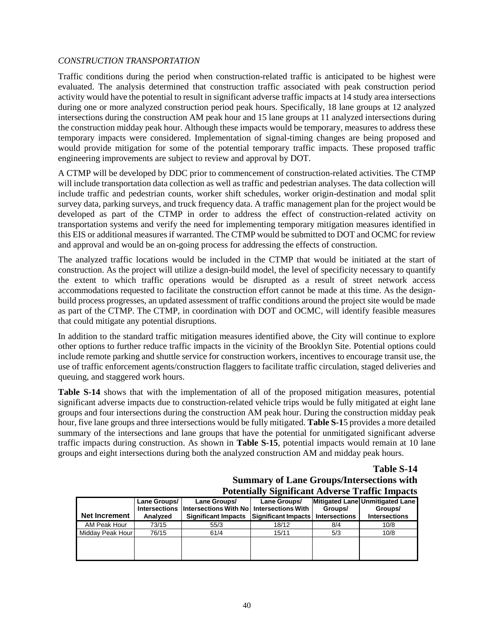#### *CONSTRUCTION TRANSPORTATION*

Traffic conditions during the period when construction-related traffic is anticipated to be highest were evaluated. The analysis determined that construction traffic associated with peak construction period activity would have the potential to result in significant adverse traffic impacts at 14 study area intersections during one or more analyzed construction period peak hours. Specifically, 18 lane groups at 12 analyzed intersections during the construction AM peak hour and 15 lane groups at 11 analyzed intersections during the construction midday peak hour. Although these impacts would be temporary, measures to address these temporary impacts were considered. Implementation of signal-timing changes are being proposed and would provide mitigation for some of the potential temporary traffic impacts. These proposed traffic engineering improvements are subject to review and approval by DOT.

A CTMP will be developed by DDC prior to commencement of construction-related activities. The CTMP will include transportation data collection as well as traffic and pedestrian analyses. The data collection will include traffic and pedestrian counts, worker shift schedules, worker origin-destination and modal split survey data, parking surveys, and truck frequency data. A traffic management plan for the project would be developed as part of the CTMP in order to address the effect of construction-related activity on transportation systems and verify the need for implementing temporary mitigation measures identified in this EIS or additional measures if warranted. The CTMP would be submitted to DOT and OCMC for review and approval and would be an on-going process for addressing the effects of construction.

The analyzed traffic locations would be included in the CTMP that would be initiated at the start of construction. As the project will utilize a design-build model, the level of specificity necessary to quantify the extent to which traffic operations would be disrupted as a result of street network access accommodations requested to facilitate the construction effort cannot be made at this time. As the designbuild process progresses, an updated assessment of traffic conditions around the project site would be made as part of the CTMP. The CTMP, in coordination with DOT and OCMC, will identify feasible measures that could mitigate any potential disruptions.

In addition to the standard traffic mitigation measures identified above, the City will continue to explore other options to further reduce traffic impacts in the vicinity of the Brooklyn Site. Potential options could include remote parking and shuttle service for construction workers, incentives to encourage transit use, the use of traffic enforcement agents/construction flaggers to facilitate traffic circulation, staged deliveries and queuing, and staggered work hours.

**Table S-14** shows that with the implementation of all of the proposed mitigation measures, potential significant adverse impacts due to construction-related vehicle trips would be fully mitigated at eight lane groups and four intersections during the construction AM peak hour. During the construction midday peak hour, five lane groups and three intersections would be fully mitigated. **Table S-1**5 provides a more detailed summary of the intersections and lane groups that have the potential for unmitigated significant adverse traffic impacts during construction. As shown in **Table S-15**, potential impacts would remain at 10 lane groups and eight intersections during both the analyzed construction AM and midday peak hours.

**Table S-14**

#### **Summary of Lane Groups/Intersections with Potentially Significant Adverse Traffic Impacts**

|                      |              |                                                                          | T otentially biginiteally Auverse Traffic Impacts |         |                                            |
|----------------------|--------------|--------------------------------------------------------------------------|---------------------------------------------------|---------|--------------------------------------------|
|                      | Lane Groups/ | Lane Groups/<br>Intersections Intersections With Noll Intersections With | Lane Groups/                                      | Groups/ | Mitigated Lane Unmitigated Lane<br>Groups/ |
| <b>Net Increment</b> | Analyzed     | <b>Significant Impacts</b>                                               | Significant Impacts   Intersections               |         | <b>Intersections</b>                       |
| AM Peak Hour         | 73/15        | 55/3                                                                     | 18/12                                             | 8/4     | 10/8                                       |
| Midday Peak Hour     | 76/15        | 61/4                                                                     | 15/11                                             | 5/3     | 10/8                                       |
|                      |              |                                                                          |                                                   |         |                                            |
|                      |              |                                                                          |                                                   |         |                                            |
|                      |              |                                                                          |                                                   |         |                                            |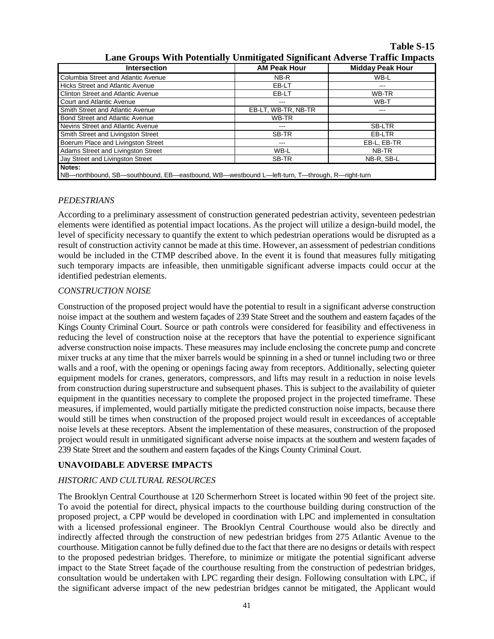**Table S-15**

| ение этопря тып голлинину спинидился эндиплинение гиппе пирилю                                |                     |                         |  |  |  |
|-----------------------------------------------------------------------------------------------|---------------------|-------------------------|--|--|--|
| <b>Intersection</b>                                                                           | <b>AM Peak Hour</b> | <b>Midday Peak Hour</b> |  |  |  |
| Columbia Street and Atlantic Avenue                                                           | NB-R                | WB-L                    |  |  |  |
| <b>Hicks Street and Atlantic Avenue</b>                                                       | EB-LT               | ---                     |  |  |  |
| <b>Clinton Street and Atlantic Avenue</b>                                                     | EB-LT               | WB-TR                   |  |  |  |
| <b>Court and Atlantic Avenue</b>                                                              | ---                 | WB-T                    |  |  |  |
| Smith Street and Atlantic Avenue                                                              | EB-LT, WB-TR, NB-TR | ---                     |  |  |  |
| <b>Bond Street and Atlantic Avenue</b>                                                        | WB-TR               |                         |  |  |  |
| Nevins Street and Atlantic Avenue                                                             | ---                 | SB-LTR                  |  |  |  |
| Smith Street and Livingston Street                                                            | SB-TR               | EB-LTR                  |  |  |  |
| Boerum Place and Livingston Street                                                            | ---                 | EB-L, EB-TR             |  |  |  |
| Adams Street and Livingston Street                                                            | WB-L                | NB-TR                   |  |  |  |
| Jay Street and Livingston Street                                                              | SB-TR               | NB-R, SB-L              |  |  |  |
| Notes:                                                                                        |                     |                         |  |  |  |
| NB—northbound, SB—southbound, EB—eastbound, WB—westbound L—left-turn, T—through, R—right-turn |                     |                         |  |  |  |

**Lane Groups With Potentially Unmitigated Significant Adverse Traffic Impacts**

## *PEDESTRIANS*

According to a preliminary assessment of construction generated pedestrian activity, seventeen pedestrian elements were identified as potential impact locations. As the project will utilize a design-build model, the level of specificity necessary to quantify the extent to which pedestrian operations would be disrupted as a result of construction activity cannot be made at this time. However, an assessment of pedestrian conditions would be included in the CTMP described above. In the event it is found that measures fully mitigating such temporary impacts are infeasible, then unmitigable significant adverse impacts could occur at the identified pedestrian elements.

### *CONSTRUCTION NOISE*

Construction of the proposed project would have the potential to result in a significant adverse construction noise impact at the southern and western façades of 239 State Street and the southern and eastern façades of the Kings County Criminal Court. Source or path controls were considered for feasibility and effectiveness in reducing the level of construction noise at the receptors that have the potential to experience significant adverse construction noise impacts. These measures may include enclosing the concrete pump and concrete mixer trucks at any time that the mixer barrels would be spinning in a shed or tunnel including two or three walls and a roof, with the opening or openings facing away from receptors. Additionally, selecting quieter equipment models for cranes, generators, compressors, and lifts may result in a reduction in noise levels from construction during superstructure and subsequent phases. This is subject to the availability of quieter equipment in the quantities necessary to complete the proposed project in the projected timeframe. These measures, if implemented, would partially mitigate the predicted construction noise impacts, because there would still be times when construction of the proposed project would result in exceedances of acceptable noise levels at these receptors. Absent the implementation of these measures, construction of the proposed project would result in unmitigated significant adverse noise impacts at the southern and western façades of 239 State Street and the southern and eastern façades of the Kings County Criminal Court.

#### **UNAVOIDABLE ADVERSE IMPACTS**

## *HISTORIC AND CULTURAL RESOURCES*

The Brooklyn Central Courthouse at 120 Schermerhorn Street is located within 90 feet of the project site. To avoid the potential for direct, physical impacts to the courthouse building during construction of the proposed project, a CPP would be developed in coordination with LPC and implemented in consultation with a licensed professional engineer. The Brooklyn Central Courthouse would also be directly and indirectly affected through the construction of new pedestrian bridges from 275 Atlantic Avenue to the courthouse. Mitigation cannot be fully defined due to the fact that there are no designs or details with respect to the proposed pedestrian bridges. Therefore, to minimize or mitigate the potential significant adverse impact to the State Street façade of the courthouse resulting from the construction of pedestrian bridges, consultation would be undertaken with LPC regarding their design. Following consultation with LPC, if the significant adverse impact of the new pedestrian bridges cannot be mitigated, the Applicant would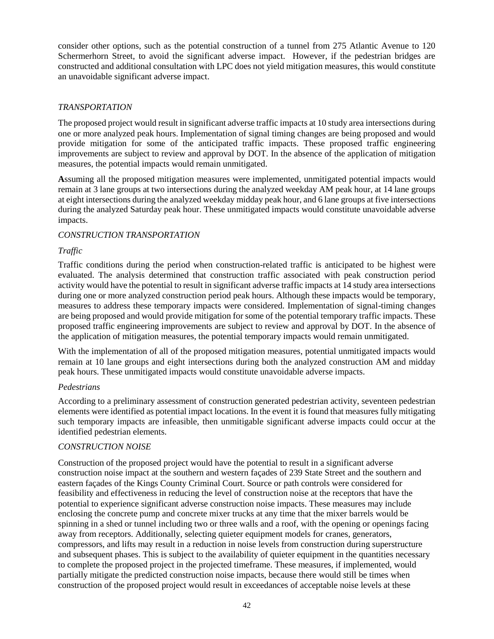consider other options, such as the potential construction of a tunnel from 275 Atlantic Avenue to 120 Schermerhorn Street, to avoid the significant adverse impact. However, if the pedestrian bridges are constructed and additional consultation with LPC does not yield mitigation measures, this would constitute an unavoidable significant adverse impact.

#### *TRANSPORTATION*

The proposed project would result in significant adverse traffic impacts at 10 study area intersections during one or more analyzed peak hours. Implementation of signal timing changes are being proposed and would provide mitigation for some of the anticipated traffic impacts. These proposed traffic engineering improvements are subject to review and approval by DOT. In the absence of the application of mitigation measures, the potential impacts would remain unmitigated.

**A**ssuming all the proposed mitigation measures were implemented, unmitigated potential impacts would remain at 3 lane groups at two intersections during the analyzed weekday AM peak hour, at 14 lane groups at eight intersections during the analyzed weekday midday peak hour, and 6 lane groups at five intersections during the analyzed Saturday peak hour. These unmitigated impacts would constitute unavoidable adverse impacts.

### *CONSTRUCTION TRANSPORTATION*

### *Traffic*

Traffic conditions during the period when construction-related traffic is anticipated to be highest were evaluated. The analysis determined that construction traffic associated with peak construction period activity would have the potential to result in significant adverse traffic impacts at 14 study area intersections during one or more analyzed construction period peak hours. Although these impacts would be temporary, measures to address these temporary impacts were considered. Implementation of signal-timing changes are being proposed and would provide mitigation for some of the potential temporary traffic impacts. These proposed traffic engineering improvements are subject to review and approval by DOT. In the absence of the application of mitigation measures, the potential temporary impacts would remain unmitigated.

With the implementation of all of the proposed mitigation measures, potential unmitigated impacts would remain at 10 lane groups and eight intersections during both the analyzed construction AM and midday peak hours. These unmitigated impacts would constitute unavoidable adverse impacts.

#### *Pedestrians*

According to a preliminary assessment of construction generated pedestrian activity, seventeen pedestrian elements were identified as potential impact locations. In the event it is found that measures fully mitigating such temporary impacts are infeasible, then unmitigable significant adverse impacts could occur at the identified pedestrian elements.

#### *CONSTRUCTION NOISE*

Construction of the proposed project would have the potential to result in a significant adverse construction noise impact at the southern and western façades of 239 State Street and the southern and eastern façades of the Kings County Criminal Court. Source or path controls were considered for feasibility and effectiveness in reducing the level of construction noise at the receptors that have the potential to experience significant adverse construction noise impacts. These measures may include enclosing the concrete pump and concrete mixer trucks at any time that the mixer barrels would be spinning in a shed or tunnel including two or three walls and a roof, with the opening or openings facing away from receptors. Additionally, selecting quieter equipment models for cranes, generators, compressors, and lifts may result in a reduction in noise levels from construction during superstructure and subsequent phases. This is subject to the availability of quieter equipment in the quantities necessary to complete the proposed project in the projected timeframe. These measures, if implemented, would partially mitigate the predicted construction noise impacts, because there would still be times when construction of the proposed project would result in exceedances of acceptable noise levels at these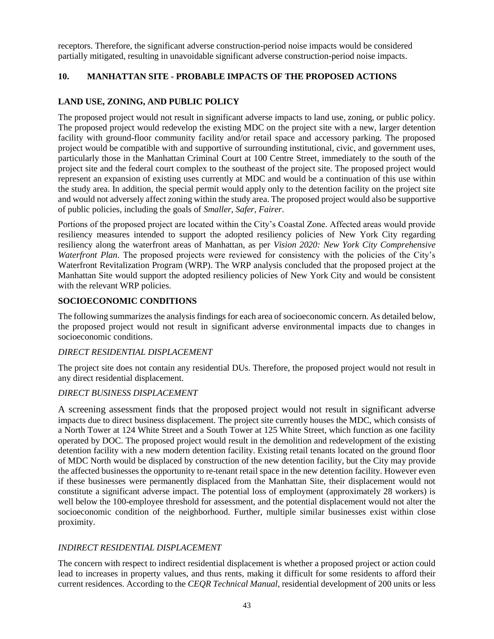receptors. Therefore, the significant adverse construction-period noise impacts would be considered partially mitigated, resulting in unavoidable significant adverse construction-period noise impacts.

## **10. MANHATTAN SITE - PROBABLE IMPACTS OF THE PROPOSED ACTIONS**

## **LAND USE, ZONING, AND PUBLIC POLICY**

The proposed project would not result in significant adverse impacts to land use, zoning, or public policy. The proposed project would redevelop the existing MDC on the project site with a new, larger detention facility with ground-floor community facility and/or retail space and accessory parking. The proposed project would be compatible with and supportive of surrounding institutional, civic, and government uses, particularly those in the Manhattan Criminal Court at 100 Centre Street, immediately to the south of the project site and the federal court complex to the southeast of the project site. The proposed project would represent an expansion of existing uses currently at MDC and would be a continuation of this use within the study area. In addition, the special permit would apply only to the detention facility on the project site and would not adversely affect zoning within the study area. The proposed project would also be supportive of public policies, including the goals of *Smaller, Safer, Fairer*.

Portions of the proposed project are located within the City's Coastal Zone. Affected areas would provide resiliency measures intended to support the adopted resiliency policies of New York City regarding resiliency along the waterfront areas of Manhattan, as per *Vision 2020: New York City Comprehensive Waterfront Plan*. The proposed projects were reviewed for consistency with the policies of the City's Waterfront Revitalization Program (WRP). The WRP analysis concluded that the proposed project at the Manhattan Site would support the adopted resiliency policies of New York City and would be consistent with the relevant WRP policies.

## **SOCIOECONOMIC CONDITIONS**

The following summarizes the analysis findings for each area of socioeconomic concern. As detailed below, the proposed project would not result in significant adverse environmental impacts due to changes in socioeconomic conditions.

#### *DIRECT RESIDENTIAL DISPLACEMENT*

The project site does not contain any residential DUs. Therefore, the proposed project would not result in any direct residential displacement.

#### *DIRECT BUSINESS DISPLACEMENT*

A screening assessment finds that the proposed project would not result in significant adverse impacts due to direct business displacement. The project site currently houses the MDC, which consists of a North Tower at 124 White Street and a South Tower at 125 White Street, which function as one facility operated by DOC. The proposed project would result in the demolition and redevelopment of the existing detention facility with a new modern detention facility. Existing retail tenants located on the ground floor of MDC North would be displaced by construction of the new detention facility, but the City may provide the affected businesses the opportunity to re-tenant retail space in the new detention facility. However even if these businesses were permanently displaced from the Manhattan Site, their displacement would not constitute a significant adverse impact. The potential loss of employment (approximately 28 workers) is well below the 100-employee threshold for assessment, and the potential displacement would not alter the socioeconomic condition of the neighborhood. Further, multiple similar businesses exist within close proximity.

## *INDIRECT RESIDENTIAL DISPLACEMENT*

The concern with respect to indirect residential displacement is whether a proposed project or action could lead to increases in property values, and thus rents, making it difficult for some residents to afford their current residences. According to the *CEQR Technical Manual*, residential development of 200 units or less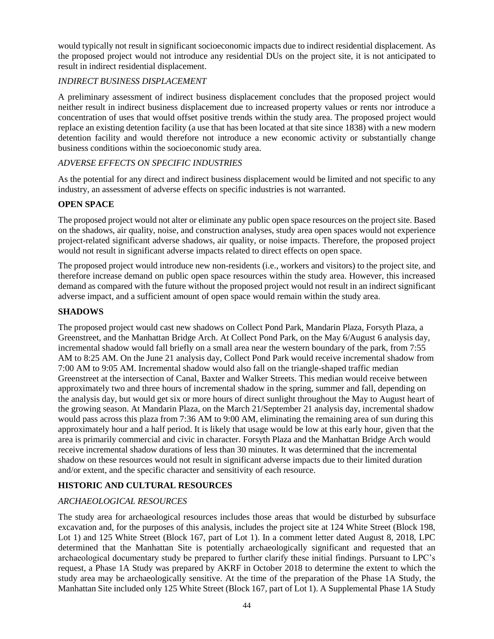would typically not result in significant socioeconomic impacts due to indirect residential displacement. As the proposed project would not introduce any residential DUs on the project site, it is not anticipated to result in indirect residential displacement.

## *INDIRECT BUSINESS DISPLACEMENT*

A preliminary assessment of indirect business displacement concludes that the proposed project would neither result in indirect business displacement due to increased property values or rents nor introduce a concentration of uses that would offset positive trends within the study area. The proposed project would replace an existing detention facility (a use that has been located at that site since 1838) with a new modern detention facility and would therefore not introduce a new economic activity or substantially change business conditions within the socioeconomic study area.

### *ADVERSE EFFECTS ON SPECIFIC INDUSTRIES*

As the potential for any direct and indirect business displacement would be limited and not specific to any industry, an assessment of adverse effects on specific industries is not warranted.

### **OPEN SPACE**

The proposed project would not alter or eliminate any public open space resources on the project site. Based on the shadows, air quality, noise, and construction analyses, study area open spaces would not experience project-related significant adverse shadows, air quality, or noise impacts. Therefore, the proposed project would not result in significant adverse impacts related to direct effects on open space.

The proposed project would introduce new non-residents (i.e., workers and visitors) to the project site, and therefore increase demand on public open space resources within the study area. However, this increased demand as compared with the future without the proposed project would not result in an indirect significant adverse impact, and a sufficient amount of open space would remain within the study area.

#### **SHADOWS**

The proposed project would cast new shadows on Collect Pond Park, Mandarin Plaza, Forsyth Plaza, a Greenstreet, and the Manhattan Bridge Arch. At Collect Pond Park, on the May 6/August 6 analysis day, incremental shadow would fall briefly on a small area near the western boundary of the park, from 7:55 AM to 8:25 AM. On the June 21 analysis day, Collect Pond Park would receive incremental shadow from 7:00 AM to 9:05 AM. Incremental shadow would also fall on the triangle-shaped traffic median Greenstreet at the intersection of Canal, Baxter and Walker Streets. This median would receive between approximately two and three hours of incremental shadow in the spring, summer and fall, depending on the analysis day, but would get six or more hours of direct sunlight throughout the May to August heart of the growing season. At Mandarin Plaza, on the March 21/September 21 analysis day, incremental shadow would pass across this plaza from 7:36 AM to 9:00 AM, eliminating the remaining area of sun during this approximately hour and a half period. It is likely that usage would be low at this early hour, given that the area is primarily commercial and civic in character. Forsyth Plaza and the Manhattan Bridge Arch would receive incremental shadow durations of less than 30 minutes. It was determined that the incremental shadow on these resources would not result in significant adverse impacts due to their limited duration and/or extent, and the specific character and sensitivity of each resource.

## **HISTORIC AND CULTURAL RESOURCES**

#### *ARCHAEOLOGICAL RESOURCES*

The study area for archaeological resources includes those areas that would be disturbed by subsurface excavation and, for the purposes of this analysis, includes the project site at 124 White Street (Block 198, Lot 1) and 125 White Street (Block 167, part of Lot 1). In a comment letter dated August 8, 2018, LPC determined that the Manhattan Site is potentially archaeologically significant and requested that an archaeological documentary study be prepared to further clarify these initial findings. Pursuant to LPC's request, a Phase 1A Study was prepared by AKRF in October 2018 to determine the extent to which the study area may be archaeologically sensitive. At the time of the preparation of the Phase 1A Study, the Manhattan Site included only 125 White Street (Block 167, part of Lot 1). A Supplemental Phase 1A Study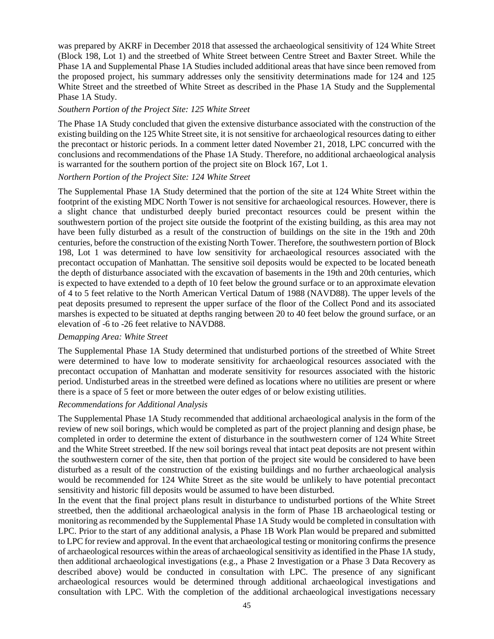was prepared by AKRF in December 2018 that assessed the archaeological sensitivity of 124 White Street (Block 198, Lot 1) and the streetbed of White Street between Centre Street and Baxter Street. While the Phase 1A and Supplemental Phase 1A Studies included additional areas that have since been removed from the proposed project, his summary addresses only the sensitivity determinations made for 124 and 125 White Street and the streetbed of White Street as described in the Phase 1A Study and the Supplemental Phase 1A Study.

#### *Southern Portion of the Project Site: 125 White Street*

The Phase 1A Study concluded that given the extensive disturbance associated with the construction of the existing building on the 125 White Street site, it is not sensitive for archaeological resources dating to either the precontact or historic periods. In a comment letter dated November 21, 2018, LPC concurred with the conclusions and recommendations of the Phase 1A Study. Therefore, no additional archaeological analysis is warranted for the southern portion of the project site on Block 167, Lot 1.

#### *Northern Portion of the Project Site: 124 White Street*

The Supplemental Phase 1A Study determined that the portion of the site at 124 White Street within the footprint of the existing MDC North Tower is not sensitive for archaeological resources. However, there is a slight chance that undisturbed deeply buried precontact resources could be present within the southwestern portion of the project site outside the footprint of the existing building, as this area may not have been fully disturbed as a result of the construction of buildings on the site in the 19th and 20th centuries, before the construction of the existing North Tower. Therefore, the southwestern portion of Block 198, Lot 1 was determined to have low sensitivity for archaeological resources associated with the precontact occupation of Manhattan. The sensitive soil deposits would be expected to be located beneath the depth of disturbance associated with the excavation of basements in the 19th and 20th centuries, which is expected to have extended to a depth of 10 feet below the ground surface or to an approximate elevation of 4 to 5 feet relative to the North American Vertical Datum of 1988 (NAVD88). The upper levels of the peat deposits presumed to represent the upper surface of the floor of the Collect Pond and its associated marshes is expected to be situated at depths ranging between 20 to 40 feet below the ground surface, or an elevation of -6 to -26 feet relative to NAVD88.

#### *Demapping Area: White Street*

The Supplemental Phase 1A Study determined that undisturbed portions of the streetbed of White Street were determined to have low to moderate sensitivity for archaeological resources associated with the precontact occupation of Manhattan and moderate sensitivity for resources associated with the historic period. Undisturbed areas in the streetbed were defined as locations where no utilities are present or where there is a space of 5 feet or more between the outer edges of or below existing utilities.

#### *Recommendations for Additional Analysis*

The Supplemental Phase 1A Study recommended that additional archaeological analysis in the form of the review of new soil borings, which would be completed as part of the project planning and design phase, be completed in order to determine the extent of disturbance in the southwestern corner of 124 White Street and the White Street streetbed. If the new soil borings reveal that intact peat deposits are not present within the southwestern corner of the site, then that portion of the project site would be considered to have been disturbed as a result of the construction of the existing buildings and no further archaeological analysis would be recommended for 124 White Street as the site would be unlikely to have potential precontact sensitivity and historic fill deposits would be assumed to have been disturbed.

In the event that the final project plans result in disturbance to undisturbed portions of the White Street streetbed, then the additional archaeological analysis in the form of Phase 1B archaeological testing or monitoring as recommended by the Supplemental Phase 1A Study would be completed in consultation with LPC. Prior to the start of any additional analysis, a Phase 1B Work Plan would be prepared and submitted to LPC for review and approval. In the event that archaeological testing or monitoring confirms the presence of archaeological resources within the areas of archaeological sensitivity as identified in the Phase 1A study, then additional archaeological investigations (e.g., a Phase 2 Investigation or a Phase 3 Data Recovery as described above) would be conducted in consultation with LPC. The presence of any significant archaeological resources would be determined through additional archaeological investigations and consultation with LPC. With the completion of the additional archaeological investigations necessary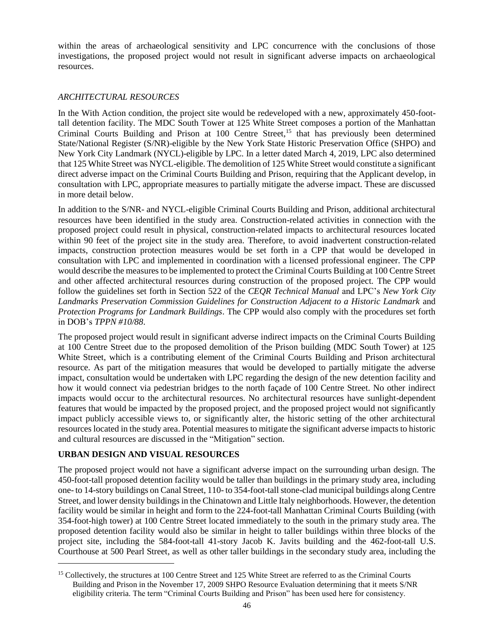within the areas of archaeological sensitivity and LPC concurrence with the conclusions of those investigations, the proposed project would not result in significant adverse impacts on archaeological resources.

## *ARCHITECTURAL RESOURCES*

In the With Action condition, the project site would be redeveloped with a new, approximately 450-foottall detention facility. The MDC South Tower at 125 White Street composes a portion of the Manhattan Criminal Courts Building and Prison at 100 Centre Street,<sup>15</sup> that has previously been determined State/National Register (S/NR)-eligible by the New York State Historic Preservation Office (SHPO) and New York City Landmark (NYCL)-eligible by LPC. In a letter dated March 4, 2019, LPC also determined that 125 White Street was NYCL-eligible. The demolition of 125 White Street would constitute a significant direct adverse impact on the Criminal Courts Building and Prison, requiring that the Applicant develop, in consultation with LPC, appropriate measures to partially mitigate the adverse impact. These are discussed in more detail below.

In addition to the S/NR- and NYCL-eligible Criminal Courts Building and Prison, additional architectural resources have been identified in the study area. Construction-related activities in connection with the proposed project could result in physical, construction-related impacts to architectural resources located within 90 feet of the project site in the study area. Therefore, to avoid inadvertent construction-related impacts, construction protection measures would be set forth in a CPP that would be developed in consultation with LPC and implemented in coordination with a licensed professional engineer. The CPP would describe the measures to be implemented to protect the Criminal Courts Building at 100 Centre Street and other affected architectural resources during construction of the proposed project. The CPP would follow the guidelines set forth in Section 522 of the *CEQR Technical Manual* and LPC's *New York City Landmarks Preservation Commission Guidelines for Construction Adjacent to a Historic Landmark* and *Protection Programs for Landmark Buildings*. The CPP would also comply with the procedures set forth in DOB's *TPPN #10/88*.

The proposed project would result in significant adverse indirect impacts on the Criminal Courts Building at 100 Centre Street due to the proposed demolition of the Prison building (MDC South Tower) at 125 White Street, which is a contributing element of the Criminal Courts Building and Prison architectural resource. As part of the mitigation measures that would be developed to partially mitigate the adverse impact, consultation would be undertaken with LPC regarding the design of the new detention facility and how it would connect via pedestrian bridges to the north façade of 100 Centre Street. No other indirect impacts would occur to the architectural resources. No architectural resources have sunlight-dependent features that would be impacted by the proposed project, and the proposed project would not significantly impact publicly accessible views to, or significantly alter, the historic setting of the other architectural resources located in the study area. Potential measures to mitigate the significant adverse impacts to historic and cultural resources are discussed in the "Mitigation" section.

## **URBAN DESIGN AND VISUAL RESOURCES**

 $\overline{a}$ 

The proposed project would not have a significant adverse impact on the surrounding urban design. The 450-foot-tall proposed detention facility would be taller than buildings in the primary study area, including one- to 14-story buildings on Canal Street, 110- to 354-foot-tall stone-clad municipal buildings along Centre Street, and lower density buildings in the Chinatown and Little Italy neighborhoods. However, the detention facility would be similar in height and form to the 224-foot-tall Manhattan Criminal Courts Building (with 354-foot-high tower) at 100 Centre Street located immediately to the south in the primary study area. The proposed detention facility would also be similar in height to taller buildings within three blocks of the project site, including the 584-foot-tall 41-story Jacob K. Javits building and the 462-foot-tall U.S. Courthouse at 500 Pearl Street, as well as other taller buildings in the secondary study area, including the

<sup>&</sup>lt;sup>15</sup> Collectively, the structures at 100 Centre Street and 125 White Street are referred to as the Criminal Courts Building and Prison in the November 17, 2009 SHPO Resource Evaluation determining that it meets S/NR eligibility criteria. The term "Criminal Courts Building and Prison" has been used here for consistency.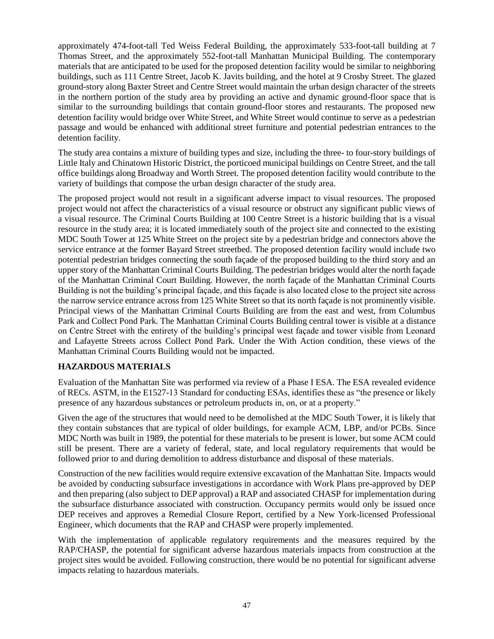approximately 474-foot-tall Ted Weiss Federal Building, the approximately 533-foot-tall building at 7 Thomas Street, and the approximately 552-foot-tall Manhattan Municipal Building. The contemporary materials that are anticipated to be used for the proposed detention facility would be similar to neighboring buildings, such as 111 Centre Street, Jacob K. Javits building, and the hotel at 9 Crosby Street. The glazed ground-story along Baxter Street and Centre Street would maintain the urban design character of the streets in the northern portion of the study area by providing an active and dynamic ground-floor space that is similar to the surrounding buildings that contain ground-floor stores and restaurants. The proposed new detention facility would bridge over White Street, and White Street would continue to serve as a pedestrian passage and would be enhanced with additional street furniture and potential pedestrian entrances to the detention facility.

The study area contains a mixture of building types and size, including the three- to four-story buildings of Little Italy and Chinatown Historic District, the porticoed municipal buildings on Centre Street, and the tall office buildings along Broadway and Worth Street. The proposed detention facility would contribute to the variety of buildings that compose the urban design character of the study area.

The proposed project would not result in a significant adverse impact to visual resources. The proposed project would not affect the characteristics of a visual resource or obstruct any significant public views of a visual resource. The Criminal Courts Building at 100 Centre Street is a historic building that is a visual resource in the study area; it is located immediately south of the project site and connected to the existing MDC South Tower at 125 White Street on the project site by a pedestrian bridge and connectors above the service entrance at the former Bayard Street streetbed. The proposed detention facility would include two potential pedestrian bridges connecting the south façade of the proposed building to the third story and an upper story of the Manhattan Criminal Courts Building. The pedestrian bridges would alter the north façade of the Manhattan Criminal Court Building. However, the north façade of the Manhattan Criminal Courts Building is not the building's principal façade, and this façade is also located close to the project site across the narrow service entrance across from 125 White Street so that its north façade is not prominently visible. Principal views of the Manhattan Criminal Courts Building are from the east and west, from Columbus Park and Collect Pond Park. The Manhattan Criminal Courts Building central tower is visible at a distance on Centre Street with the entirety of the building's principal west façade and tower visible from Leonard and Lafayette Streets across Collect Pond Park. Under the With Action condition, these views of the Manhattan Criminal Courts Building would not be impacted.

## **HAZARDOUS MATERIALS**

Evaluation of the Manhattan Site was performed via review of a Phase I ESA. The ESA revealed evidence of RECs. ASTM, in the E1527-13 Standard for conducting ESAs, identifies these as "the presence or likely presence of any hazardous substances or petroleum products in, on, or at a property."

Given the age of the structures that would need to be demolished at the MDC South Tower, it is likely that they contain substances that are typical of older buildings, for example ACM, LBP, and/or PCBs. Since MDC North was built in 1989, the potential for these materials to be present is lower, but some ACM could still be present. There are a variety of federal, state, and local regulatory requirements that would be followed prior to and during demolition to address disturbance and disposal of these materials.

Construction of the new facilities would require extensive excavation of the Manhattan Site. Impacts would be avoided by conducting subsurface investigations in accordance with Work Plans pre-approved by DEP and then preparing (also subject to DEP approval) a RAP and associated CHASP for implementation during the subsurface disturbance associated with construction. Occupancy permits would only be issued once DEP receives and approves a Remedial Closure Report, certified by a New York-licensed Professional Engineer, which documents that the RAP and CHASP were properly implemented.

With the implementation of applicable regulatory requirements and the measures required by the RAP/CHASP, the potential for significant adverse hazardous materials impacts from construction at the project sites would be avoided. Following construction, there would be no potential for significant adverse impacts relating to hazardous materials.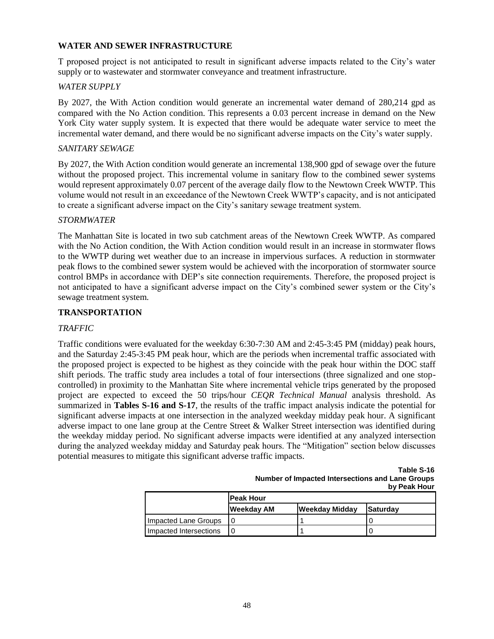### **WATER AND SEWER INFRASTRUCTURE**

T proposed project is not anticipated to result in significant adverse impacts related to the City's water supply or to wastewater and stormwater conveyance and treatment infrastructure.

#### *WATER SUPPLY*

By 2027, the With Action condition would generate an incremental water demand of 280,214 gpd as compared with the No Action condition. This represents a 0.03 percent increase in demand on the New York City water supply system. It is expected that there would be adequate water service to meet the incremental water demand, and there would be no significant adverse impacts on the City's water supply.

#### *SANITARY SEWAGE*

By 2027, the With Action condition would generate an incremental 138,900 gpd of sewage over the future without the proposed project. This incremental volume in sanitary flow to the combined sewer systems would represent approximately 0.07 percent of the average daily flow to the Newtown Creek WWTP. This volume would not result in an exceedance of the Newtown Creek WWTP's capacity, and is not anticipated to create a significant adverse impact on the City's sanitary sewage treatment system.

#### *STORMWATER*

The Manhattan Site is located in two sub catchment areas of the Newtown Creek WWTP. As compared with the No Action condition, the With Action condition would result in an increase in stormwater flows to the WWTP during wet weather due to an increase in impervious surfaces. A reduction in stormwater peak flows to the combined sewer system would be achieved with the incorporation of stormwater source control BMPs in accordance with DEP's site connection requirements. Therefore, the proposed project is not anticipated to have a significant adverse impact on the City's combined sewer system or the City's sewage treatment system.

#### **TRANSPORTATION**

#### *TRAFFIC*

Traffic conditions were evaluated for the weekday 6:30-7:30 AM and 2:45-3:45 PM (midday) peak hours, and the Saturday 2:45-3:45 PM peak hour, which are the periods when incremental traffic associated with the proposed project is expected to be highest as they coincide with the peak hour within the DOC staff shift periods. The traffic study area includes a total of four intersections (three signalized and one stopcontrolled) in proximity to the Manhattan Site where incremental vehicle trips generated by the proposed project are expected to exceed the 50 trips/hour *CEQR Technical Manual* analysis threshold. As summarized in **Tables S-16 and S-17**, the results of the traffic impact analysis indicate the potential for significant adverse impacts at one intersection in the analyzed weekday midday peak hour. A significant adverse impact to one lane group at the Centre Street & Walker Street intersection was identified during the weekday midday period. No significant adverse impacts were identified at any analyzed intersection during the analyzed weekday midday and Saturday peak hours. The "Mitigation" section below discusses potential measures to mitigate this significant adverse traffic impacts.

> **Table S-16 Number of Impacted Intersections and Lane Groups by Peak Hour**

|                        | lPeak Hour |                |          |  |  |
|------------------------|------------|----------------|----------|--|--|
|                        | Weekday AM | Weekday Midday | Saturday |  |  |
| Impacted Lane Groups   |            |                |          |  |  |
| Impacted Intersections |            |                |          |  |  |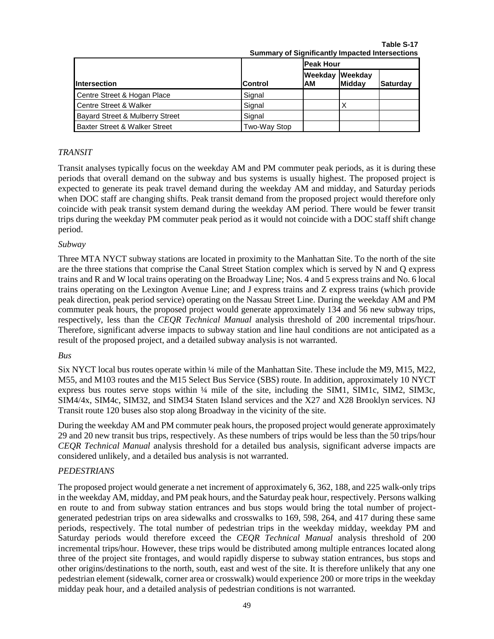|                                            | <u>oanmary or organizative</u> impactoa interceduono |                       |        |          |
|--------------------------------------------|------------------------------------------------------|-----------------------|--------|----------|
|                                            |                                                      | <b>Peak Hour</b>      |        |          |
| <b>Intersection</b>                        | <b>Control</b>                                       | Weekday Weekday<br>АM | Midday | Saturday |
| Centre Street & Hogan Place                | Signal                                               |                       |        |          |
| Centre Street & Walker                     | Signal                                               |                       | Χ      |          |
| <b>Bayard Street &amp; Mulberry Street</b> | Signal                                               |                       |        |          |
| Baxter Street & Walker Street              | Two-Way Stop                                         |                       |        |          |

**Table S-17 Summary of Significantly Impacted Intersections**

#### *TRANSIT*

Transit analyses typically focus on the weekday AM and PM commuter peak periods, as it is during these periods that overall demand on the subway and bus systems is usually highest. The proposed project is expected to generate its peak travel demand during the weekday AM and midday, and Saturday periods when DOC staff are changing shifts. Peak transit demand from the proposed project would therefore only coincide with peak transit system demand during the weekday AM period. There would be fewer transit trips during the weekday PM commuter peak period as it would not coincide with a DOC staff shift change period.

### *Subway*

Three MTA NYCT subway stations are located in proximity to the Manhattan Site. To the north of the site are the three stations that comprise the Canal Street Station complex which is served by N and Q express trains and R and W local trains operating on the Broadway Line; Nos. 4 and 5 express trains and No. 6 local trains operating on the Lexington Avenue Line; and J express trains and Z express trains (which provide peak direction, peak period service) operating on the Nassau Street Line. During the weekday AM and PM commuter peak hours, the proposed project would generate approximately 134 and 56 new subway trips, respectively, less than the *CEQR Technical Manual* analysis threshold of 200 incremental trips/hour. Therefore, significant adverse impacts to subway station and line haul conditions are not anticipated as a result of the proposed project, and a detailed subway analysis is not warranted.

#### *Bus*

Six NYCT local bus routes operate within ¼ mile of the Manhattan Site. These include the M9, M15, M22, M55, and M103 routes and the M15 Select Bus Service (SBS) route. In addition, approximately 10 NYCT express bus routes serve stops within ¼ mile of the site, including the SIM1, SIM1c, SIM2, SIM3c, SIM4/4x, SIM4c, SIM32, and SIM34 Staten Island services and the X27 and X28 Brooklyn services. NJ Transit route 120 buses also stop along Broadway in the vicinity of the site.

During the weekday AM and PM commuter peak hours, the proposed project would generate approximately 29 and 20 new transit bus trips, respectively. As these numbers of trips would be less than the 50 trips/hour *CEQR Technical Manual* analysis threshold for a detailed bus analysis, significant adverse impacts are considered unlikely, and a detailed bus analysis is not warranted.

## *PEDESTRIANS*

The proposed project would generate a net increment of approximately 6, 362, 188, and 225 walk-only trips in the weekday AM, midday, and PM peak hours, and the Saturday peak hour, respectively. Persons walking en route to and from subway station entrances and bus stops would bring the total number of projectgenerated pedestrian trips on area sidewalks and crosswalks to 169, 598, 264, and 417 during these same periods, respectively. The total number of pedestrian trips in the weekday midday, weekday PM and Saturday periods would therefore exceed the *CEQR Technical Manual* analysis threshold of 200 incremental trips/hour. However, these trips would be distributed among multiple entrances located along three of the project site frontages, and would rapidly disperse to subway station entrances, bus stops and other origins/destinations to the north, south, east and west of the site. It is therefore unlikely that any one pedestrian element (sidewalk, corner area or crosswalk) would experience 200 or more trips in the weekday midday peak hour, and a detailed analysis of pedestrian conditions is not warranted.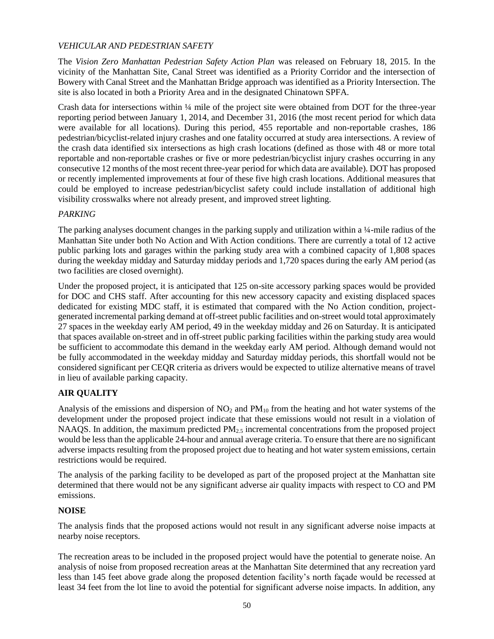## *VEHICULAR AND PEDESTRIAN SAFETY*

The *Vision Zero Manhattan Pedestrian Safety Action Plan* was released on February 18, 2015. In the vicinity of the Manhattan Site, Canal Street was identified as a Priority Corridor and the intersection of Bowery with Canal Street and the Manhattan Bridge approach was identified as a Priority Intersection. The site is also located in both a Priority Area and in the designated Chinatown SPFA.

Crash data for intersections within ¼ mile of the project site were obtained from DOT for the three-year reporting period between January 1, 2014, and December 31, 2016 (the most recent period for which data were available for all locations). During this period, 455 reportable and non-reportable crashes, 186 pedestrian/bicyclist-related injury crashes and one fatality occurred at study area intersections. A review of the crash data identified six intersections as high crash locations (defined as those with 48 or more total reportable and non-reportable crashes or five or more pedestrian/bicyclist injury crashes occurring in any consecutive 12 months of the most recent three-year period for which data are available). DOT has proposed or recently implemented improvements at four of these five high crash locations. Additional measures that could be employed to increase pedestrian/bicyclist safety could include installation of additional high visibility crosswalks where not already present, and improved street lighting.

#### *PARKING*

The parking analyses document changes in the parking supply and utilization within a ¼-mile radius of the Manhattan Site under both No Action and With Action conditions. There are currently a total of 12 active public parking lots and garages within the parking study area with a combined capacity of 1,808 spaces during the weekday midday and Saturday midday periods and 1,720 spaces during the early AM period (as two facilities are closed overnight).

Under the proposed project, it is anticipated that 125 on-site accessory parking spaces would be provided for DOC and CHS staff. After accounting for this new accessory capacity and existing displaced spaces dedicated for existing MDC staff, it is estimated that compared with the No Action condition, projectgenerated incremental parking demand at off-street public facilities and on-street would total approximately 27 spaces in the weekday early AM period, 49 in the weekday midday and 26 on Saturday. It is anticipated that spaces available on-street and in off-street public parking facilities within the parking study area would be sufficient to accommodate this demand in the weekday early AM period. Although demand would not be fully accommodated in the weekday midday and Saturday midday periods, this shortfall would not be considered significant per CEQR criteria as drivers would be expected to utilize alternative means of travel in lieu of available parking capacity.

## **AIR QUALITY**

Analysis of the emissions and dispersion of  $NO<sub>2</sub>$  and  $PM<sub>10</sub>$  from the heating and hot water systems of the development under the proposed project indicate that these emissions would not result in a violation of NAAQS. In addition, the maximum predicted  $PM_{2.5}$  incremental concentrations from the proposed project would be less than the applicable 24-hour and annual average criteria. To ensure that there are no significant adverse impacts resulting from the proposed project due to heating and hot water system emissions, certain restrictions would be required.

The analysis of the parking facility to be developed as part of the proposed project at the Manhattan site determined that there would not be any significant adverse air quality impacts with respect to CO and PM emissions.

## **NOISE**

The analysis finds that the proposed actions would not result in any significant adverse noise impacts at nearby noise receptors.

The recreation areas to be included in the proposed project would have the potential to generate noise. An analysis of noise from proposed recreation areas at the Manhattan Site determined that any recreation yard less than 145 feet above grade along the proposed detention facility's north façade would be recessed at least 34 feet from the lot line to avoid the potential for significant adverse noise impacts. In addition, any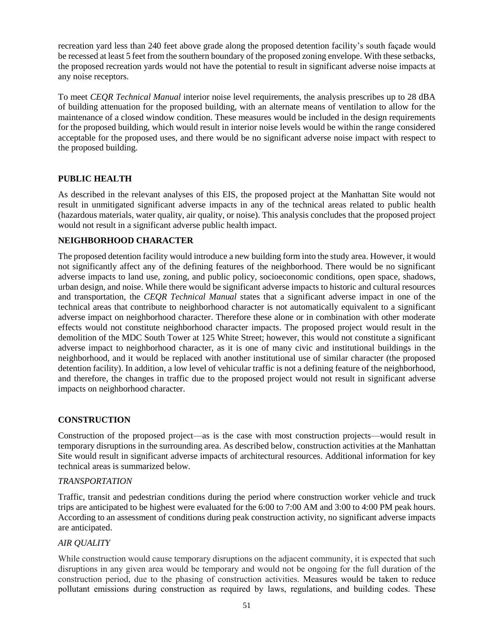recreation yard less than 240 feet above grade along the proposed detention facility's south façade would be recessed at least 5 feet from the southern boundary of the proposed zoning envelope. With these setbacks, the proposed recreation yards would not have the potential to result in significant adverse noise impacts at any noise receptors.

To meet *CEQR Technical Manual* interior noise level requirements, the analysis prescribes up to 28 dBA of building attenuation for the proposed building, with an alternate means of ventilation to allow for the maintenance of a closed window condition. These measures would be included in the design requirements for the proposed building, which would result in interior noise levels would be within the range considered acceptable for the proposed uses, and there would be no significant adverse noise impact with respect to the proposed building.

### **PUBLIC HEALTH**

As described in the relevant analyses of this EIS, the proposed project at the Manhattan Site would not result in unmitigated significant adverse impacts in any of the technical areas related to public health (hazardous materials, water quality, air quality, or noise). This analysis concludes that the proposed project would not result in a significant adverse public health impact.

### **NEIGHBORHOOD CHARACTER**

The proposed detention facility would introduce a new building form into the study area. However, it would not significantly affect any of the defining features of the neighborhood. There would be no significant adverse impacts to land use, zoning, and public policy, socioeconomic conditions, open space, shadows, urban design, and noise. While there would be significant adverse impacts to historic and cultural resources and transportation, the *CEQR Technical Manual* states that a significant adverse impact in one of the technical areas that contribute to neighborhood character is not automatically equivalent to a significant adverse impact on neighborhood character. Therefore these alone or in combination with other moderate effects would not constitute neighborhood character impacts. The proposed project would result in the demolition of the MDC South Tower at 125 White Street; however, this would not constitute a significant adverse impact to neighborhood character, as it is one of many civic and institutional buildings in the neighborhood, and it would be replaced with another institutional use of similar character (the proposed detention facility). In addition, a low level of vehicular traffic is not a defining feature of the neighborhood, and therefore, the changes in traffic due to the proposed project would not result in significant adverse impacts on neighborhood character.

#### **CONSTRUCTION**

Construction of the proposed project—as is the case with most construction projects—would result in temporary disruptions in the surrounding area. As described below, construction activities at the Manhattan Site would result in significant adverse impacts of architectural resources. Additional information for key technical areas is summarized below.

#### *TRANSPORTATION*

Traffic, transit and pedestrian conditions during the period where construction worker vehicle and truck trips are anticipated to be highest were evaluated for the 6:00 to 7:00 AM and 3:00 to 4:00 PM peak hours. According to an assessment of conditions during peak construction activity, no significant adverse impacts are anticipated.

#### *AIR QUALITY*

While construction would cause temporary disruptions on the adjacent community, it is expected that such disruptions in any given area would be temporary and would not be ongoing for the full duration of the construction period, due to the phasing of construction activities. Measures would be taken to reduce pollutant emissions during construction as required by laws, regulations, and building codes. These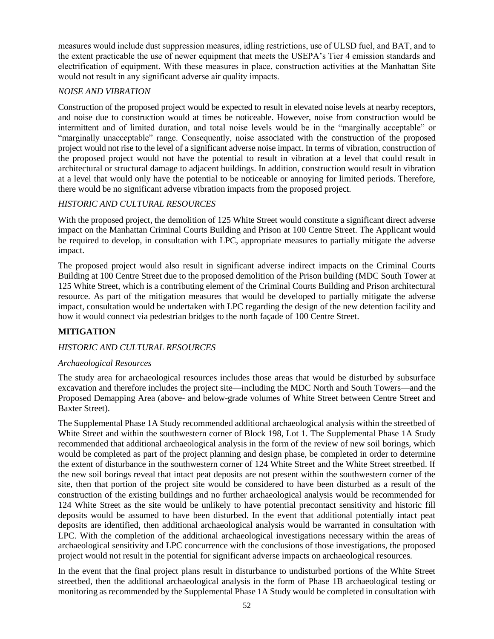measures would include dust suppression measures, idling restrictions, use of ULSD fuel, and BAT, and to the extent practicable the use of newer equipment that meets the USEPA's Tier 4 emission standards and electrification of equipment. With these measures in place, construction activities at the Manhattan Site would not result in any significant adverse air quality impacts.

## *NOISE AND VIBRATION*

Construction of the proposed project would be expected to result in elevated noise levels at nearby receptors, and noise due to construction would at times be noticeable. However, noise from construction would be intermittent and of limited duration, and total noise levels would be in the "marginally acceptable" or "marginally unacceptable" range. Consequently, noise associated with the construction of the proposed project would not rise to the level of a significant adverse noise impact. In terms of vibration, construction of the proposed project would not have the potential to result in vibration at a level that could result in architectural or structural damage to adjacent buildings. In addition, construction would result in vibration at a level that would only have the potential to be noticeable or annoying for limited periods. Therefore, there would be no significant adverse vibration impacts from the proposed project.

## *HISTORIC AND CULTURAL RESOURCES*

With the proposed project, the demolition of 125 White Street would constitute a significant direct adverse impact on the Manhattan Criminal Courts Building and Prison at 100 Centre Street. The Applicant would be required to develop, in consultation with LPC, appropriate measures to partially mitigate the adverse impact.

The proposed project would also result in significant adverse indirect impacts on the Criminal Courts Building at 100 Centre Street due to the proposed demolition of the Prison building (MDC South Tower at 125 White Street, which is a contributing element of the Criminal Courts Building and Prison architectural resource. As part of the mitigation measures that would be developed to partially mitigate the adverse impact, consultation would be undertaken with LPC regarding the design of the new detention facility and how it would connect via pedestrian bridges to the north façade of 100 Centre Street.

## **MITIGATION**

## *HISTORIC AND CULTURAL RESOURCES*

## *Archaeological Resources*

The study area for archaeological resources includes those areas that would be disturbed by subsurface excavation and therefore includes the project site—including the MDC North and South Towers—and the Proposed Demapping Area (above- and below-grade volumes of White Street between Centre Street and Baxter Street).

The Supplemental Phase 1A Study recommended additional archaeological analysis within the streetbed of White Street and within the southwestern corner of Block 198, Lot 1. The Supplemental Phase 1A Study recommended that additional archaeological analysis in the form of the review of new soil borings, which would be completed as part of the project planning and design phase, be completed in order to determine the extent of disturbance in the southwestern corner of 124 White Street and the White Street streetbed. If the new soil borings reveal that intact peat deposits are not present within the southwestern corner of the site, then that portion of the project site would be considered to have been disturbed as a result of the construction of the existing buildings and no further archaeological analysis would be recommended for 124 White Street as the site would be unlikely to have potential precontact sensitivity and historic fill deposits would be assumed to have been disturbed. In the event that additional potentially intact peat deposits are identified, then additional archaeological analysis would be warranted in consultation with LPC. With the completion of the additional archaeological investigations necessary within the areas of archaeological sensitivity and LPC concurrence with the conclusions of those investigations, the proposed project would not result in the potential for significant adverse impacts on archaeological resources.

In the event that the final project plans result in disturbance to undisturbed portions of the White Street streetbed, then the additional archaeological analysis in the form of Phase 1B archaeological testing or monitoring as recommended by the Supplemental Phase 1A Study would be completed in consultation with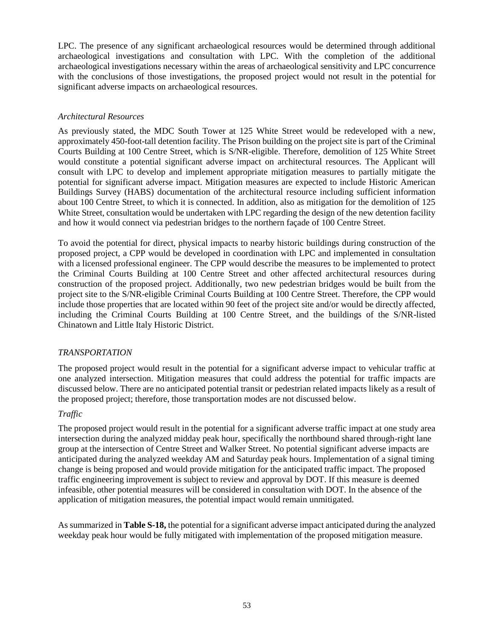LPC. The presence of any significant archaeological resources would be determined through additional archaeological investigations and consultation with LPC. With the completion of the additional archaeological investigations necessary within the areas of archaeological sensitivity and LPC concurrence with the conclusions of those investigations, the proposed project would not result in the potential for significant adverse impacts on archaeological resources.

### *Architectural Resources*

As previously stated, the MDC South Tower at 125 White Street would be redeveloped with a new, approximately 450-foot-tall detention facility. The Prison building on the project site is part of the Criminal Courts Building at 100 Centre Street, which is S/NR-eligible. Therefore, demolition of 125 White Street would constitute a potential significant adverse impact on architectural resources. The Applicant will consult with LPC to develop and implement appropriate mitigation measures to partially mitigate the potential for significant adverse impact. Mitigation measures are expected to include Historic American Buildings Survey (HABS) documentation of the architectural resource including sufficient information about 100 Centre Street, to which it is connected. In addition, also as mitigation for the demolition of 125 White Street, consultation would be undertaken with LPC regarding the design of the new detention facility and how it would connect via pedestrian bridges to the northern façade of 100 Centre Street.

To avoid the potential for direct, physical impacts to nearby historic buildings during construction of the proposed project, a CPP would be developed in coordination with LPC and implemented in consultation with a licensed professional engineer. The CPP would describe the measures to be implemented to protect the Criminal Courts Building at 100 Centre Street and other affected architectural resources during construction of the proposed project. Additionally, two new pedestrian bridges would be built from the project site to the S/NR-eligible Criminal Courts Building at 100 Centre Street. Therefore, the CPP would include those properties that are located within 90 feet of the project site and/or would be directly affected, including the Criminal Courts Building at 100 Centre Street, and the buildings of the S/NR-listed Chinatown and Little Italy Historic District.

#### *TRANSPORTATION*

The proposed project would result in the potential for a significant adverse impact to vehicular traffic at one analyzed intersection. Mitigation measures that could address the potential for traffic impacts are discussed below. There are no anticipated potential transit or pedestrian related impacts likely as a result of the proposed project; therefore, those transportation modes are not discussed below.

#### *Traffic*

The proposed project would result in the potential for a significant adverse traffic impact at one study area intersection during the analyzed midday peak hour, specifically the northbound shared through-right lane group at the intersection of Centre Street and Walker Street. No potential significant adverse impacts are anticipated during the analyzed weekday AM and Saturday peak hours. Implementation of a signal timing change is being proposed and would provide mitigation for the anticipated traffic impact. The proposed traffic engineering improvement is subject to review and approval by DOT. If this measure is deemed infeasible, other potential measures will be considered in consultation with DOT. In the absence of the application of mitigation measures, the potential impact would remain unmitigated.

As summarized in **Table S-18,** the potential for a significant adverse impact anticipated during the analyzed weekday peak hour would be fully mitigated with implementation of the proposed mitigation measure.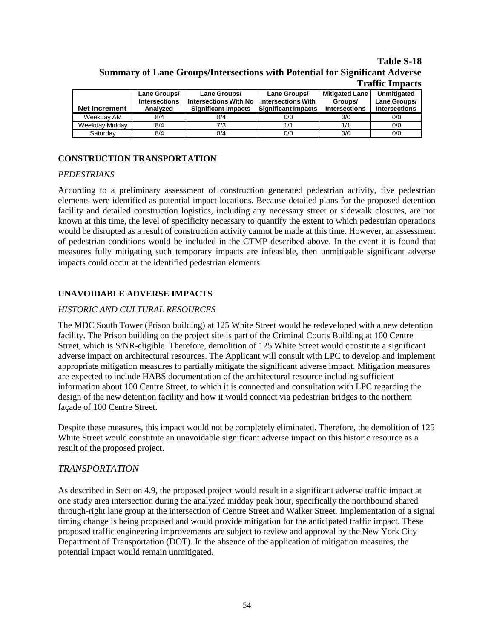#### **Table S-18 Summary of Lane Groups/Intersections with Potential for Significant Adverse Traffic Impacts**

| <b>Net Increment</b> | Lane Groups/<br><b>Intersections</b><br>Analyzed | Lane Groups/<br><b>Intersections With No</b><br><b>Significant Impacts</b> | Lane Groups/<br><b>Intersections With</b><br><b>Significant Impacts</b> | <b>Mitigated Lane</b><br>Groups/<br><b>Intersections</b> | Unmitigated<br>Lane Groups/<br><b>Intersections</b> |
|----------------------|--------------------------------------------------|----------------------------------------------------------------------------|-------------------------------------------------------------------------|----------------------------------------------------------|-----------------------------------------------------|
| Weekdav AM           | 8/4                                              | 8/4                                                                        | 0/0                                                                     | 0/0                                                      | 0/0                                                 |
| Weekday Midday       | 8/4                                              | 7/3                                                                        | 1/1                                                                     | 1/1                                                      | 0/0                                                 |
| Saturdav             | 8/4                                              | 8/4                                                                        | 0/0                                                                     | 0/0                                                      | 0/0                                                 |

## **CONSTRUCTION TRANSPORTATION**

#### *PEDESTRIANS*

According to a preliminary assessment of construction generated pedestrian activity, five pedestrian elements were identified as potential impact locations. Because detailed plans for the proposed detention facility and detailed construction logistics, including any necessary street or sidewalk closures, are not known at this time, the level of specificity necessary to quantify the extent to which pedestrian operations would be disrupted as a result of construction activity cannot be made at this time. However, an assessment of pedestrian conditions would be included in the CTMP described above. In the event it is found that measures fully mitigating such temporary impacts are infeasible, then unmitigable significant adverse impacts could occur at the identified pedestrian elements.

## **UNAVOIDABLE ADVERSE IMPACTS**

### *HISTORIC AND CULTURAL RESOURCES*

The MDC South Tower (Prison building) at 125 White Street would be redeveloped with a new detention facility. The Prison building on the project site is part of the Criminal Courts Building at 100 Centre Street, which is S/NR-eligible. Therefore, demolition of 125 White Street would constitute a significant adverse impact on architectural resources. The Applicant will consult with LPC to develop and implement appropriate mitigation measures to partially mitigate the significant adverse impact. Mitigation measures are expected to include HABS documentation of the architectural resource including sufficient information about 100 Centre Street, to which it is connected and consultation with LPC regarding the design of the new detention facility and how it would connect via pedestrian bridges to the northern façade of 100 Centre Street.

Despite these measures, this impact would not be completely eliminated. Therefore, the demolition of 125 White Street would constitute an unavoidable significant adverse impact on this historic resource as a result of the proposed project.

## *TRANSPORTATION*

As described in Section 4.9, the proposed project would result in a significant adverse traffic impact at one study area intersection during the analyzed midday peak hour, specifically the northbound shared through-right lane group at the intersection of Centre Street and Walker Street. Implementation of a signal timing change is being proposed and would provide mitigation for the anticipated traffic impact. These proposed traffic engineering improvements are subject to review and approval by the New York City Department of Transportation (DOT). In the absence of the application of mitigation measures, the potential impact would remain unmitigated.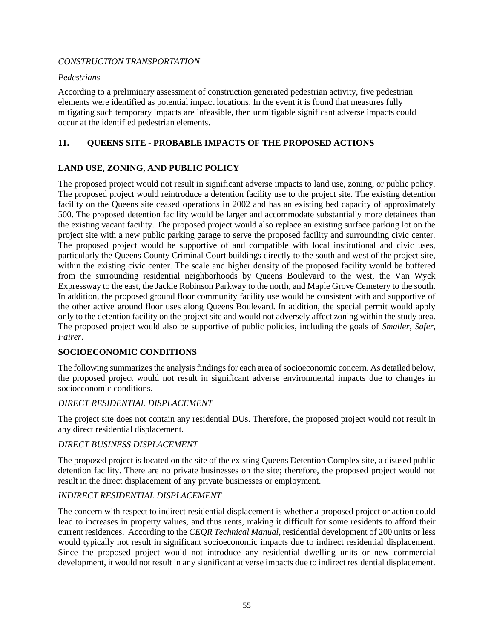#### *CONSTRUCTION TRANSPORTATION*

#### *Pedestrians*

According to a preliminary assessment of construction generated pedestrian activity, five pedestrian elements were identified as potential impact locations. In the event it is found that measures fully mitigating such temporary impacts are infeasible, then unmitigable significant adverse impacts could occur at the identified pedestrian elements.

### **11. QUEENS SITE - PROBABLE IMPACTS OF THE PROPOSED ACTIONS**

## **LAND USE, ZONING, AND PUBLIC POLICY**

The proposed project would not result in significant adverse impacts to land use, zoning, or public policy. The proposed project would reintroduce a detention facility use to the project site. The existing detention facility on the Queens site ceased operations in 2002 and has an existing bed capacity of approximately 500. The proposed detention facility would be larger and accommodate substantially more detainees than the existing vacant facility. The proposed project would also replace an existing surface parking lot on the project site with a new public parking garage to serve the proposed facility and surrounding civic center. The proposed project would be supportive of and compatible with local institutional and civic uses, particularly the Queens County Criminal Court buildings directly to the south and west of the project site, within the existing civic center. The scale and higher density of the proposed facility would be buffered from the surrounding residential neighborhoods by Queens Boulevard to the west, the Van Wyck Expressway to the east, the Jackie Robinson Parkway to the north, and Maple Grove Cemetery to the south. In addition, the proposed ground floor community facility use would be consistent with and supportive of the other active ground floor uses along Queens Boulevard. In addition, the special permit would apply only to the detention facility on the project site and would not adversely affect zoning within the study area. The proposed project would also be supportive of public policies, including the goals of *Smaller, Safer, Fairer*.

#### **SOCIOECONOMIC CONDITIONS**

The following summarizes the analysis findings for each area of socioeconomic concern. As detailed below, the proposed project would not result in significant adverse environmental impacts due to changes in socioeconomic conditions.

#### *DIRECT RESIDENTIAL DISPLACEMENT*

The project site does not contain any residential DUs. Therefore, the proposed project would not result in any direct residential displacement.

### *DIRECT BUSINESS DISPLACEMENT*

The proposed project is located on the site of the existing Queens Detention Complex site, a disused public detention facility. There are no private businesses on the site; therefore, the proposed project would not result in the direct displacement of any private businesses or employment.

#### *INDIRECT RESIDENTIAL DISPLACEMENT*

The concern with respect to indirect residential displacement is whether a proposed project or action could lead to increases in property values, and thus rents, making it difficult for some residents to afford their current residences. According to the *CEQR Technical Manual*, residential development of 200 units or less would typically not result in significant socioeconomic impacts due to indirect residential displacement. Since the proposed project would not introduce any residential dwelling units or new commercial development, it would not result in any significant adverse impacts due to indirect residential displacement.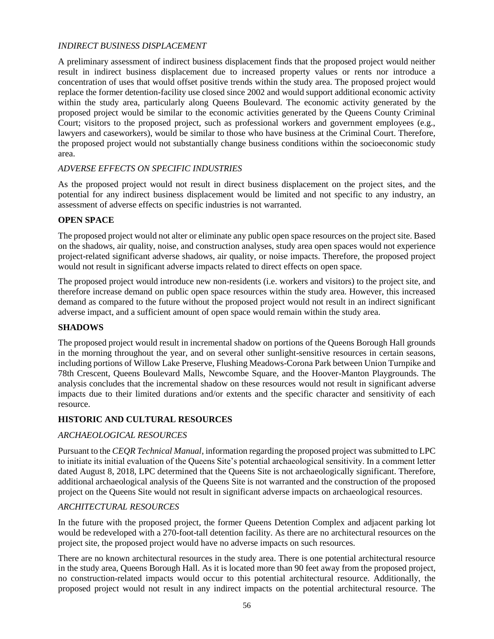### *INDIRECT BUSINESS DISPLACEMENT*

A preliminary assessment of indirect business displacement finds that the proposed project would neither result in indirect business displacement due to increased property values or rents nor introduce a concentration of uses that would offset positive trends within the study area. The proposed project would replace the former detention-facility use closed since 2002 and would support additional economic activity within the study area, particularly along Queens Boulevard. The economic activity generated by the proposed project would be similar to the economic activities generated by the Queens County Criminal Court; visitors to the proposed project, such as professional workers and government employees (e.g., lawyers and caseworkers), would be similar to those who have business at the Criminal Court. Therefore, the proposed project would not substantially change business conditions within the socioeconomic study area.

## *ADVERSE EFFECTS ON SPECIFIC INDUSTRIES*

As the proposed project would not result in direct business displacement on the project sites, and the potential for any indirect business displacement would be limited and not specific to any industry, an assessment of adverse effects on specific industries is not warranted.

### **OPEN SPACE**

The proposed project would not alter or eliminate any public open space resources on the project site. Based on the shadows, air quality, noise, and construction analyses, study area open spaces would not experience project-related significant adverse shadows, air quality, or noise impacts. Therefore, the proposed project would not result in significant adverse impacts related to direct effects on open space.

The proposed project would introduce new non-residents (i.e. workers and visitors) to the project site, and therefore increase demand on public open space resources within the study area. However, this increased demand as compared to the future without the proposed project would not result in an indirect significant adverse impact, and a sufficient amount of open space would remain within the study area.

#### **SHADOWS**

The proposed project would result in incremental shadow on portions of the Queens Borough Hall grounds in the morning throughout the year, and on several other sunlight-sensitive resources in certain seasons, including portions of Willow Lake Preserve, Flushing Meadows-Corona Park between Union Turnpike and 78th Crescent, Queens Boulevard Malls, Newcombe Square, and the Hoover-Manton Playgrounds. The analysis concludes that the incremental shadow on these resources would not result in significant adverse impacts due to their limited durations and/or extents and the specific character and sensitivity of each resource.

## **HISTORIC AND CULTURAL RESOURCES**

## *ARCHAEOLOGICAL RESOURCES*

Pursuant to the *CEQR Technical Manual*, information regarding the proposed project was submitted to LPC to initiate its initial evaluation of the Queens Site's potential archaeological sensitivity. In a comment letter dated August 8, 2018, LPC determined that the Queens Site is not archaeologically significant. Therefore, additional archaeological analysis of the Queens Site is not warranted and the construction of the proposed project on the Queens Site would not result in significant adverse impacts on archaeological resources.

#### *ARCHITECTURAL RESOURCES*

In the future with the proposed project, the former Queens Detention Complex and adjacent parking lot would be redeveloped with a 270-foot-tall detention facility. As there are no architectural resources on the project site, the proposed project would have no adverse impacts on such resources.

There are no known architectural resources in the study area. There is one potential architectural resource in the study area, Queens Borough Hall. As it is located more than 90 feet away from the proposed project, no construction-related impacts would occur to this potential architectural resource. Additionally, the proposed project would not result in any indirect impacts on the potential architectural resource. The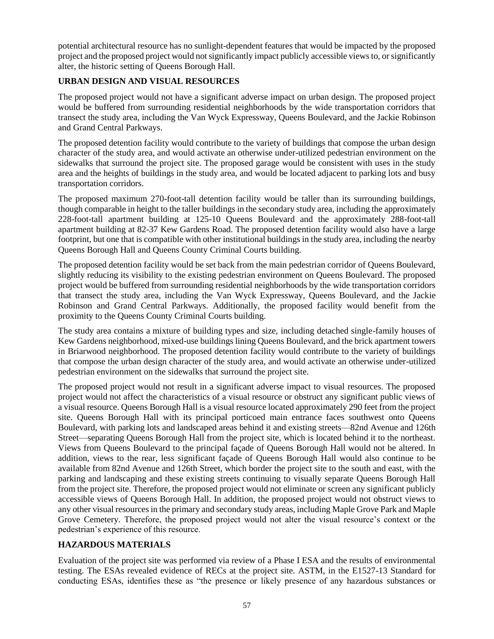potential architectural resource has no sunlight-dependent features that would be impacted by the proposed project and the proposed project would not significantly impact publicly accessible views to, or significantly alter, the historic setting of Queens Borough Hall.

## **URBAN DESIGN AND VISUAL RESOURCES**

The proposed project would not have a significant adverse impact on urban design. The proposed project would be buffered from surrounding residential neighborhoods by the wide transportation corridors that transect the study area, including the Van Wyck Expressway, Queens Boulevard, and the Jackie Robinson and Grand Central Parkways.

The proposed detention facility would contribute to the variety of buildings that compose the urban design character of the study area, and would activate an otherwise under-utilized pedestrian environment on the sidewalks that surround the project site. The proposed garage would be consistent with uses in the study area and the heights of buildings in the study area, and would be located adjacent to parking lots and busy transportation corridors.

The proposed maximum 270-foot-tall detention facility would be taller than its surrounding buildings, though comparable in height to the taller buildings in the secondary study area, including the approximately 228-foot-tall apartment building at 125-10 Queens Boulevard and the approximately 288-foot-tall apartment building at 82-37 Kew Gardens Road. The proposed detention facility would also have a large footprint, but one that is compatible with other institutional buildings in the study area, including the nearby Queens Borough Hall and Queens County Criminal Courts building.

The proposed detention facility would be set back from the main pedestrian corridor of Queens Boulevard, slightly reducing its visibility to the existing pedestrian environment on Queens Boulevard. The proposed project would be buffered from surrounding residential neighborhoods by the wide transportation corridors that transect the study area, including the Van Wyck Expressway, Queens Boulevard, and the Jackie Robinson and Grand Central Parkways. Additionally, the proposed facility would benefit from the proximity to the Queens County Criminal Courts building.

The study area contains a mixture of building types and size, including detached single-family houses of Kew Gardens neighborhood, mixed-use buildings lining Queens Boulevard, and the brick apartment towers in Briarwood neighborhood. The proposed detention facility would contribute to the variety of buildings that compose the urban design character of the study area, and would activate an otherwise under-utilized pedestrian environment on the sidewalks that surround the project site.

The proposed project would not result in a significant adverse impact to visual resources. The proposed project would not affect the characteristics of a visual resource or obstruct any significant public views of a visual resource. Queens Borough Hall is a visual resource located approximately 290 feet from the project site. Queens Borough Hall with its principal porticoed main entrance faces southwest onto Queens Boulevard, with parking lots and landscaped areas behind it and existing streets—82nd Avenue and 126th Street—separating Queens Borough Hall from the project site, which is located behind it to the northeast. Views from Queens Boulevard to the principal façade of Queens Borough Hall would not be altered. In addition, views to the rear, less significant façade of Queens Borough Hall would also continue to be available from 82nd Avenue and 126th Street, which border the project site to the south and east, with the parking and landscaping and these existing streets continuing to visually separate Queens Borough Hall from the project site. Therefore, the proposed project would not eliminate or screen any significant publicly accessible views of Queens Borough Hall. In addition, the proposed project would not obstruct views to any other visual resources in the primary and secondary study areas, including Maple Grove Park and Maple Grove Cemetery. Therefore, the proposed project would not alter the visual resource's context or the pedestrian's experience of this resource.

## **HAZARDOUS MATERIALS**

Evaluation of the project site was performed via review of a Phase I ESA and the results of environmental testing. The ESAs revealed evidence of RECs at the project site. ASTM, in the E1527-13 Standard for conducting ESAs, identifies these as "the presence or likely presence of any hazardous substances or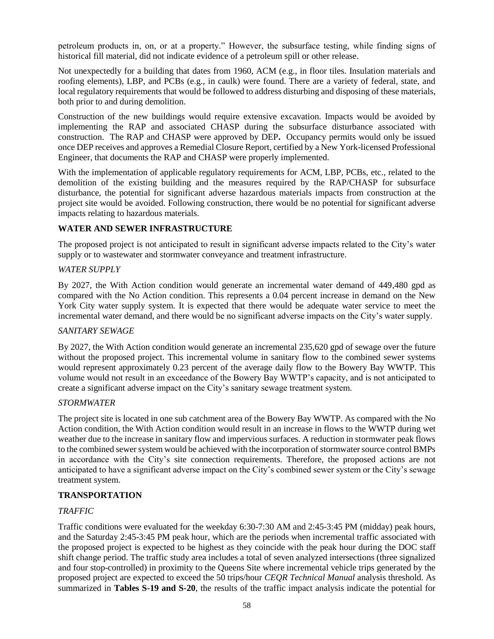petroleum products in, on, or at a property." However, the subsurface testing, while finding signs of historical fill material, did not indicate evidence of a petroleum spill or other release.

Not unexpectedly for a building that dates from 1960, ACM (e.g., in floor tiles. Insulation materials and roofing elements), LBP, and PCBs (e.g., in caulk) were found. There are a variety of federal, state, and local regulatory requirements that would be followed to address disturbing and disposing of these materials, both prior to and during demolition.

Construction of the new buildings would require extensive excavation. Impacts would be avoided by implementing the RAP and associated CHASP during the subsurface disturbance associated with construction. The RAP and CHASP were approved by DEP**.** Occupancy permits would only be issued once DEP receives and approves a Remedial Closure Report, certified by a New York-licensed Professional Engineer, that documents the RAP and CHASP were properly implemented.

With the implementation of applicable regulatory requirements for ACM, LBP, PCBs, etc., related to the demolition of the existing building and the measures required by the RAP/CHASP for subsurface disturbance, the potential for significant adverse hazardous materials impacts from construction at the project site would be avoided. Following construction, there would be no potential for significant adverse impacts relating to hazardous materials.

## **WATER AND SEWER INFRASTRUCTURE**

The proposed project is not anticipated to result in significant adverse impacts related to the City's water supply or to wastewater and stormwater conveyance and treatment infrastructure.

#### *WATER SUPPLY*

By 2027, the With Action condition would generate an incremental water demand of 449,480 gpd as compared with the No Action condition. This represents a 0.04 percent increase in demand on the New York City water supply system. It is expected that there would be adequate water service to meet the incremental water demand, and there would be no significant adverse impacts on the City's water supply.

#### *SANITARY SEWAGE*

By 2027, the With Action condition would generate an incremental 235,620 gpd of sewage over the future without the proposed project. This incremental volume in sanitary flow to the combined sewer systems would represent approximately 0.23 percent of the average daily flow to the Bowery Bay WWTP. This volume would not result in an exceedance of the Bowery Bay WWTP's capacity, and is not anticipated to create a significant adverse impact on the City's sanitary sewage treatment system.

#### *STORMWATER*

The project site is located in one sub catchment area of the Bowery Bay WWTP. As compared with the No Action condition, the With Action condition would result in an increase in flows to the WWTP during wet weather due to the increase in sanitary flow and impervious surfaces. A reduction in stormwater peak flows to the combined sewer system would be achieved with the incorporation of stormwater source control BMPs in accordance with the City's site connection requirements. Therefore, the proposed actions are not anticipated to have a significant adverse impact on the City's combined sewer system or the City's sewage treatment system.

#### **TRANSPORTATION**

#### *TRAFFIC*

Traffic conditions were evaluated for the weekday 6:30-7:30 AM and 2:45-3:45 PM (midday) peak hours, and the Saturday 2:45-3:45 PM peak hour, which are the periods when incremental traffic associated with the proposed project is expected to be highest as they coincide with the peak hour during the DOC staff shift change period. The traffic study area includes a total of seven analyzed intersections (three signalized and four stop-controlled) in proximity to the Queens Site where incremental vehicle trips generated by the proposed project are expected to exceed the 50 trips/hour *CEQR Technical Manual* analysis threshold. As summarized in **Tables S-19 and S-20**, the results of the traffic impact analysis indicate the potential for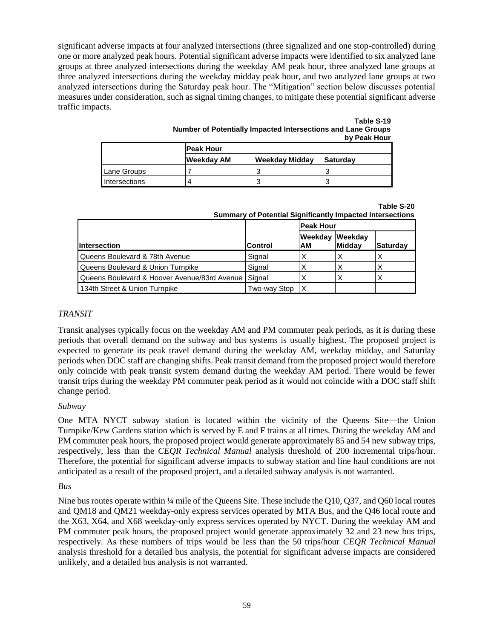significant adverse impacts at four analyzed intersections (three signalized and one stop-controlled) during one or more analyzed peak hours. Potential significant adverse impacts were identified to six analyzed lane groups at three analyzed intersections during the weekday AM peak hour, three analyzed lane groups at three analyzed intersections during the weekday midday peak hour, and two analyzed lane groups at two analyzed intersections during the Saturday peak hour. The "Mitigation" section below discusses potential measures under consideration, such as signal timing changes, to mitigate these potential significant adverse traffic impacts.

| Table S-19                                                   |  |
|--------------------------------------------------------------|--|
| Number of Potentially Impacted Intersections and Lane Groups |  |
| by Peak Hour                                                 |  |

| <b>Peak Hour</b>     |            |                       |                 |  |
|----------------------|------------|-----------------------|-----------------|--|
|                      | Weekday AM | <b>Weekday Midday</b> | <b>Saturdav</b> |  |
| Lane Groups          |            |                       |                 |  |
| <b>Intersections</b> |            |                       |                 |  |

**Table S-20**

| <b>Summary of Potential Significantly Impacted Intersections</b> |  |  |  |  |
|------------------------------------------------------------------|--|--|--|--|
|                                                                  |  |  |  |  |

|                                              |                | <b>Peak Hour</b> |                   |          |  |
|----------------------------------------------|----------------|------------------|-------------------|----------|--|
| <b>Intersection</b>                          | <b>Control</b> | Weekday<br>IAM   | Weekday<br>Midday | Saturday |  |
| Queens Boulevard & 78th Avenue               | Signal         | х                |                   |          |  |
| Queens Boulevard & Union Turnpike            | Signal         |                  |                   |          |  |
| Queens Boulevard & Hoover Avenue/83rd Avenue | Signal         |                  |                   |          |  |
| 134th Street & Union Turnpike                | Two-way Stop   | 'X               |                   |          |  |

#### *TRANSIT*

Transit analyses typically focus on the weekday AM and PM commuter peak periods, as it is during these periods that overall demand on the subway and bus systems is usually highest. The proposed project is expected to generate its peak travel demand during the weekday AM, weekday midday, and Saturday periods when DOC staff are changing shifts. Peak transit demand from the proposed project would therefore only coincide with peak transit system demand during the weekday AM period. There would be fewer transit trips during the weekday PM commuter peak period as it would not coincide with a DOC staff shift change period.

#### *Subway*

One MTA NYCT subway station is located within the vicinity of the Queens Site—the Union Turnpike/Kew Gardens station which is served by E and F trains at all times. During the weekday AM and PM commuter peak hours, the proposed project would generate approximately 85 and 54 new subway trips, respectively, less than the *CEQR Technical Manual* analysis threshold of 200 incremental trips/hour. Therefore, the potential for significant adverse impacts to subway station and line haul conditions are not anticipated as a result of the proposed project, and a detailed subway analysis is not warranted.

#### *Bus*

Nine bus routes operate within ¼ mile of the Queens Site. These include the Q10, Q37, and Q60 local routes and QM18 and QM21 weekday-only express services operated by MTA Bus, and the Q46 local route and the X63, X64, and X68 weekday-only express services operated by NYCT. During the weekday AM and PM commuter peak hours, the proposed project would generate approximately 32 and 23 new bus trips, respectively. As these numbers of trips would be less than the 50 trips/hour *CEQR Technical Manual*  analysis threshold for a detailed bus analysis, the potential for significant adverse impacts are considered unlikely, and a detailed bus analysis is not warranted.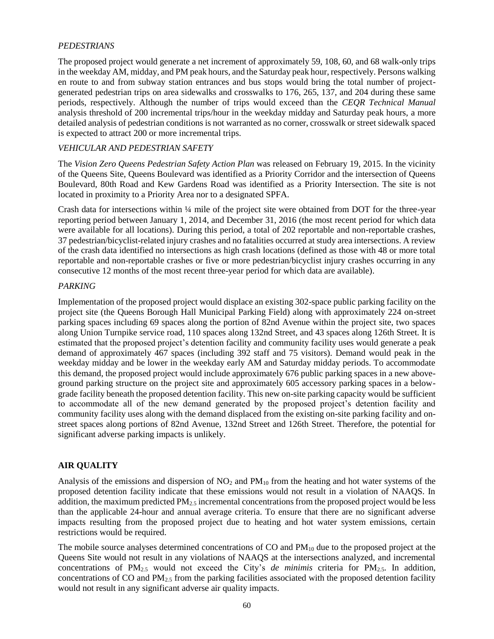### *PEDESTRIANS*

The proposed project would generate a net increment of approximately 59, 108, 60, and 68 walk-only trips in the weekday AM, midday, and PM peak hours, and the Saturday peak hour, respectively. Persons walking en route to and from subway station entrances and bus stops would bring the total number of projectgenerated pedestrian trips on area sidewalks and crosswalks to 176, 265, 137, and 204 during these same periods, respectively. Although the number of trips would exceed than the *CEQR Technical Manual* analysis threshold of 200 incremental trips/hour in the weekday midday and Saturday peak hours, a more detailed analysis of pedestrian conditions is not warranted as no corner, crosswalk or street sidewalk spaced is expected to attract 200 or more incremental trips.

### *VEHICULAR AND PEDESTRIAN SAFETY*

The *Vision Zero Queens Pedestrian Safety Action Plan* was released on February 19, 2015. In the vicinity of the Queens Site, Queens Boulevard was identified as a Priority Corridor and the intersection of Queens Boulevard, 80th Road and Kew Gardens Road was identified as a Priority Intersection. The site is not located in proximity to a Priority Area nor to a designated SPFA.

Crash data for intersections within ¼ mile of the project site were obtained from DOT for the three-year reporting period between January 1, 2014, and December 31, 2016 (the most recent period for which data were available for all locations). During this period, a total of 202 reportable and non-reportable crashes, 37 pedestrian/bicyclist-related injury crashes and no fatalities occurred at study area intersections. A review of the crash data identified no intersections as high crash locations (defined as those with 48 or more total reportable and non-reportable crashes or five or more pedestrian/bicyclist injury crashes occurring in any consecutive 12 months of the most recent three-year period for which data are available).

#### *PARKING*

Implementation of the proposed project would displace an existing 302-space public parking facility on the project site (the Queens Borough Hall Municipal Parking Field) along with approximately 224 on-street parking spaces including 69 spaces along the portion of 82nd Avenue within the project site, two spaces along Union Turnpike service road, 110 spaces along 132nd Street, and 43 spaces along 126th Street. It is estimated that the proposed project's detention facility and community facility uses would generate a peak demand of approximately 467 spaces (including 392 staff and 75 visitors). Demand would peak in the weekday midday and be lower in the weekday early AM and Saturday midday periods. To accommodate this demand, the proposed project would include approximately 676 public parking spaces in a new aboveground parking structure on the project site and approximately 605 accessory parking spaces in a belowgrade facility beneath the proposed detention facility. This new on-site parking capacity would be sufficient to accommodate all of the new demand generated by the proposed project's detention facility and community facility uses along with the demand displaced from the existing on-site parking facility and onstreet spaces along portions of 82nd Avenue, 132nd Street and 126th Street. Therefore, the potential for significant adverse parking impacts is unlikely.

#### **AIR QUALITY**

Analysis of the emissions and dispersion of  $NO_2$  and  $PM_{10}$  from the heating and hot water systems of the proposed detention facility indicate that these emissions would not result in a violation of NAAQS. In addition, the maximum predicted PM2.5 incremental concentrations from the proposed project would be less than the applicable 24-hour and annual average criteria. To ensure that there are no significant adverse impacts resulting from the proposed project due to heating and hot water system emissions, certain restrictions would be required.

The mobile source analyses determined concentrations of CO and  $PM_{10}$  due to the proposed project at the Queens Site would not result in any violations of NAAQS at the intersections analyzed, and incremental concentrations of PM2.5 would not exceed the City's *de minimis* criteria for PM2.5. In addition, concentrations of CO and  $PM_{2.5}$  from the parking facilities associated with the proposed detention facility would not result in any significant adverse air quality impacts.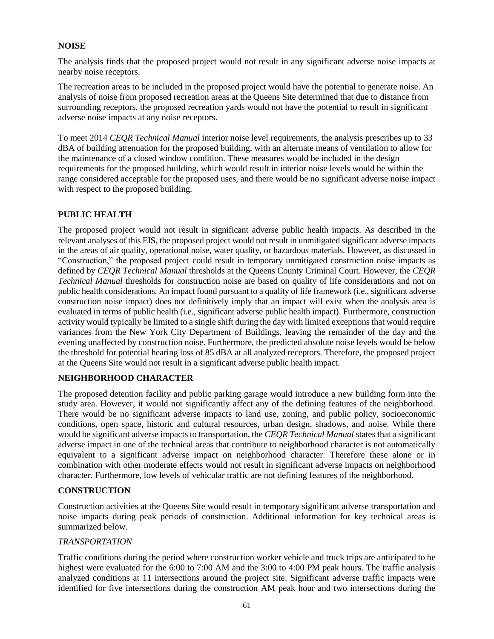### **NOISE**

The analysis finds that the proposed project would not result in any significant adverse noise impacts at nearby noise receptors.

The recreation areas to be included in the proposed project would have the potential to generate noise. An analysis of noise from proposed recreation areas at the Queens Site determined that due to distance from surrounding receptors, the proposed recreation yards would not have the potential to result in significant adverse noise impacts at any noise receptors.

To meet 2014 *CEQR Technical Manual* interior noise level requirements, the analysis prescribes up to 33 dBA of building attenuation for the proposed building, with an alternate means of ventilation to allow for the maintenance of a closed window condition. These measures would be included in the design requirements for the proposed building, which would result in interior noise levels would be within the range considered acceptable for the proposed uses, and there would be no significant adverse noise impact with respect to the proposed building.

### **PUBLIC HEALTH**

The proposed project would not result in significant adverse public health impacts. As described in the relevant analyses of this EIS, the proposed project would not result in unmitigated significant adverse impacts in the areas of air quality, operational noise, water quality, or hazardous materials. However, as discussed in "Construction," the proposed project could result in temporary unmitigated construction noise impacts as defined by *CEQR Technical Manual* thresholds at the Queens County Criminal Court. However, the *CEQR Technical Manual* thresholds for construction noise are based on quality of life considerations and not on public health considerations. An impact found pursuant to a quality of life framework (i.e., significant adverse construction noise impact) does not definitively imply that an impact will exist when the analysis area is evaluated in terms of public health (i.e., significant adverse public health impact). Furthermore, construction activity would typically be limited to a single shift during the day with limited exceptions that would require variances from the New York City Department of Buildings, leaving the remainder of the day and the evening unaffected by construction noise. Furthermore, the predicted absolute noise levels would be below the threshold for potential hearing loss of 85 dBA at all analyzed receptors. Therefore, the proposed project at the Queens Site would not result in a significant adverse public health impact.

#### **NEIGHBORHOOD CHARACTER**

The proposed detention facility and public parking garage would introduce a new building form into the study area. However, it would not significantly affect any of the defining features of the neighborhood. There would be no significant adverse impacts to land use, zoning, and public policy, socioeconomic conditions, open space, historic and cultural resources, urban design, shadows, and noise. While there would be significant adverse impacts to transportation, the *CEQR Technical Manual* states that a significant adverse impact in one of the technical areas that contribute to neighborhood character is not automatically equivalent to a significant adverse impact on neighborhood character. Therefore these alone or in combination with other moderate effects would not result in significant adverse impacts on neighborhood character. Furthermore, low levels of vehicular traffic are not defining features of the neighborhood.

#### **CONSTRUCTION**

Construction activities at the Queens Site would result in temporary significant adverse transportation and noise impacts during peak periods of construction. Additional information for key technical areas is summarized below.

#### *TRANSPORTATION*

Traffic conditions during the period where construction worker vehicle and truck trips are anticipated to be highest were evaluated for the 6:00 to 7:00 AM and the 3:00 to 4:00 PM peak hours. The traffic analysis analyzed conditions at 11 intersections around the project site. Significant adverse traffic impacts were identified for five intersections during the construction AM peak hour and two intersections during the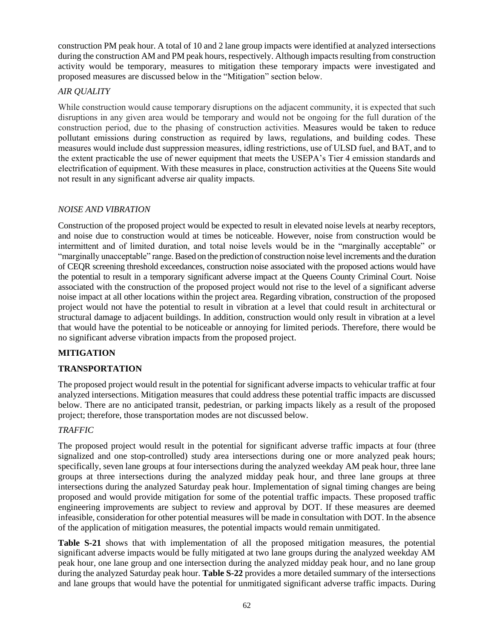construction PM peak hour. A total of 10 and 2 lane group impacts were identified at analyzed intersections during the construction AM and PM peak hours, respectively. Although impacts resulting from construction activity would be temporary, measures to mitigation these temporary impacts were investigated and proposed measures are discussed below in the "Mitigation" section below.

## *AIR QUALITY*

While construction would cause temporary disruptions on the adjacent community, it is expected that such disruptions in any given area would be temporary and would not be ongoing for the full duration of the construction period, due to the phasing of construction activities. Measures would be taken to reduce pollutant emissions during construction as required by laws, regulations, and building codes. These measures would include dust suppression measures, idling restrictions, use of ULSD fuel, and BAT, and to the extent practicable the use of newer equipment that meets the USEPA's Tier 4 emission standards and electrification of equipment. With these measures in place, construction activities at the Queens Site would not result in any significant adverse air quality impacts.

## *NOISE AND VIBRATION*

Construction of the proposed project would be expected to result in elevated noise levels at nearby receptors, and noise due to construction would at times be noticeable. However, noise from construction would be intermittent and of limited duration, and total noise levels would be in the "marginally acceptable" or "marginally unacceptable" range. Based on the prediction of construction noise level increments and the duration of CEQR screening threshold exceedances, construction noise associated with the proposed actions would have the potential to result in a temporary significant adverse impact at the Queens County Criminal Court. Noise associated with the construction of the proposed project would not rise to the level of a significant adverse noise impact at all other locations within the project area. Regarding vibration, construction of the proposed project would not have the potential to result in vibration at a level that could result in architectural or structural damage to adjacent buildings. In addition, construction would only result in vibration at a level that would have the potential to be noticeable or annoying for limited periods. Therefore, there would be no significant adverse vibration impacts from the proposed project.

## **MITIGATION**

## **TRANSPORTATION**

The proposed project would result in the potential for significant adverse impacts to vehicular traffic at four analyzed intersections. Mitigation measures that could address these potential traffic impacts are discussed below. There are no anticipated transit, pedestrian, or parking impacts likely as a result of the proposed project; therefore, those transportation modes are not discussed below.

## *TRAFFIC*

The proposed project would result in the potential for significant adverse traffic impacts at four (three signalized and one stop-controlled) study area intersections during one or more analyzed peak hours; specifically, seven lane groups at four intersections during the analyzed weekday AM peak hour, three lane groups at three intersections during the analyzed midday peak hour, and three lane groups at three intersections during the analyzed Saturday peak hour. Implementation of signal timing changes are being proposed and would provide mitigation for some of the potential traffic impacts. These proposed traffic engineering improvements are subject to review and approval by DOT. If these measures are deemed infeasible, consideration for other potential measures will be made in consultation with DOT. In the absence of the application of mitigation measures, the potential impacts would remain unmitigated.

**Table S-21** shows that with implementation of all the proposed mitigation measures, the potential significant adverse impacts would be fully mitigated at two lane groups during the analyzed weekday AM peak hour, one lane group and one intersection during the analyzed midday peak hour, and no lane group during the analyzed Saturday peak hour. **Table S-22** provides a more detailed summary of the intersections and lane groups that would have the potential for unmitigated significant adverse traffic impacts. During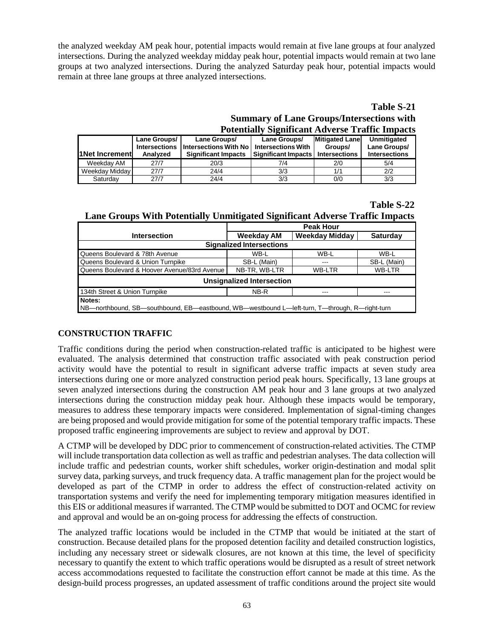the analyzed weekday AM peak hour, potential impacts would remain at five lane groups at four analyzed intersections. During the analyzed weekday midday peak hour, potential impacts would remain at two lane groups at two analyzed intersections. During the analyzed Saturday peak hour, potential impacts would remain at three lane groups at three analyzed intersections.

## **Table S-21 Summary of Lane Groups/Intersections with Potentially Significant Adverse Traffic Impacts**

| <b>11 Net Increment</b> | Lane Groups/<br><b>Intersections</b><br>Analyzed | Lane Groups/<br>Intersections With No<br><b>Significant Impacts</b> | Lane Groups/<br><b>Intersections With</b><br><b>Significant Impacts</b> | <b>Mitigated Lane</b><br>Groups/<br><b>Intersections</b> | Unmitigated<br>Lane Groups/<br><b>Intersections</b> |
|-------------------------|--------------------------------------------------|---------------------------------------------------------------------|-------------------------------------------------------------------------|----------------------------------------------------------|-----------------------------------------------------|
| Weekdav AM              | 27/7                                             | 20/3                                                                | 7/4                                                                     | 2/0                                                      | 5/4                                                 |
| Weekday Midday          | 27/7                                             | 24/4                                                                | 3/3                                                                     | 1/1                                                      | 2/2                                                 |
| Saturdav                | 27/7                                             | 24/4                                                                | 3/3                                                                     | 0/0                                                      | 3/3                                                 |

## **Table S-22**

|  |  | Lane Groups With Potentially Unmitigated Significant Adverse Traffic Impacts |  |  |
|--|--|------------------------------------------------------------------------------|--|--|
|  |  |                                                                              |  |  |

|                                                                                                         | . .<br>. .        |                       |                 |  |  |  |
|---------------------------------------------------------------------------------------------------------|-------------------|-----------------------|-----------------|--|--|--|
|                                                                                                         | <b>Peak Hour</b>  |                       |                 |  |  |  |
| <b>Intersection</b>                                                                                     | <b>Weekday AM</b> | <b>Weekday Midday</b> | <b>Saturday</b> |  |  |  |
| <b>Signalized Intersections</b>                                                                         |                   |                       |                 |  |  |  |
| Queens Boulevard & 78th Avenue                                                                          | WB-L              | WB-L                  | WB-L            |  |  |  |
| Queens Boulevard & Union Turnpike                                                                       | SB-L (Main)       |                       | SB-L (Main)     |  |  |  |
| Queens Boulevard & Hoover Avenue/83rd Avenue                                                            | NB-TR, WB-LTR     | <b>WB-LTR</b>         | WB-LTR          |  |  |  |
| <b>Unsignalized Intersection</b>                                                                        |                   |                       |                 |  |  |  |
| 134th Street & Union Turnpike                                                                           | NB-R              |                       |                 |  |  |  |
| Notes:<br>NB—northbound, SB—southbound, EB—eastbound, WB—westbound L—left-turn, T—through, R—right-turn |                   |                       |                 |  |  |  |

## **CONSTRUCTION TRAFFIC**

Traffic conditions during the period when construction-related traffic is anticipated to be highest were evaluated. The analysis determined that construction traffic associated with peak construction period activity would have the potential to result in significant adverse traffic impacts at seven study area intersections during one or more analyzed construction period peak hours. Specifically, 13 lane groups at seven analyzed intersections during the construction AM peak hour and 3 lane groups at two analyzed intersections during the construction midday peak hour. Although these impacts would be temporary, measures to address these temporary impacts were considered. Implementation of signal-timing changes are being proposed and would provide mitigation for some of the potential temporary traffic impacts. These proposed traffic engineering improvements are subject to review and approval by DOT.

A CTMP will be developed by DDC prior to commencement of construction-related activities. The CTMP will include transportation data collection as well as traffic and pedestrian analyses. The data collection will include traffic and pedestrian counts, worker shift schedules, worker origin-destination and modal split survey data, parking surveys, and truck frequency data. A traffic management plan for the project would be developed as part of the CTMP in order to address the effect of construction-related activity on transportation systems and verify the need for implementing temporary mitigation measures identified in this EIS or additional measures if warranted. The CTMP would be submitted to DOT and OCMC for review and approval and would be an on-going process for addressing the effects of construction.

The analyzed traffic locations would be included in the CTMP that would be initiated at the start of construction. Because detailed plans for the proposed detention facility and detailed construction logistics, including any necessary street or sidewalk closures, are not known at this time, the level of specificity necessary to quantify the extent to which traffic operations would be disrupted as a result of street network access accommodations requested to facilitate the construction effort cannot be made at this time. As the design-build process progresses, an updated assessment of traffic conditions around the project site would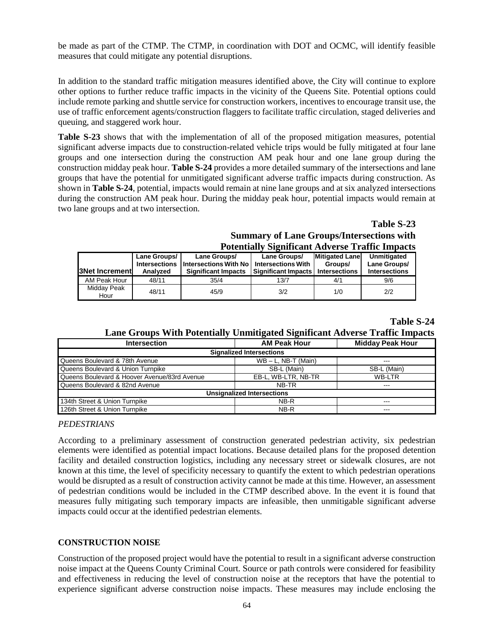be made as part of the CTMP. The CTMP, in coordination with DOT and OCMC, will identify feasible measures that could mitigate any potential disruptions.

In addition to the standard traffic mitigation measures identified above, the City will continue to explore other options to further reduce traffic impacts in the vicinity of the Queens Site. Potential options could include remote parking and shuttle service for construction workers, incentives to encourage transit use, the use of traffic enforcement agents/construction flaggers to facilitate traffic circulation, staged deliveries and queuing, and staggered work hour.

**Table S-23** shows that with the implementation of all of the proposed mitigation measures, potential significant adverse impacts due to construction-related vehicle trips would be fully mitigated at four lane groups and one intersection during the construction AM peak hour and one lane group during the construction midday peak hour. **Table S-24** provides a more detailed summary of the intersections and lane groups that have the potential for unmitigated significant adverse traffic impacts during construction. As shown in **Table S-24**, potential, impacts would remain at nine lane groups and at six analyzed intersections during the construction AM peak hour. During the midday peak hour, potential impacts would remain at two lane groups and at two intersection.

> **Table S-23 Summary of Lane Groups/Intersections with Potentially Significant Adverse Traffic Impacts**

|                        |                                                  |                                                                     | T otchuaify biginneam Auverse Traine Impacts                            |                                                          |                                                     |
|------------------------|--------------------------------------------------|---------------------------------------------------------------------|-------------------------------------------------------------------------|----------------------------------------------------------|-----------------------------------------------------|
| <b>B</b> Net Increment | Lane Groups/<br><b>Intersections</b><br>Analyzed | Lane Groups/<br>Intersections With No<br><b>Significant Impacts</b> | Lane Groups/<br><b>Intersections With</b><br><b>Significant Impacts</b> | <b>Mitigated Lane</b><br>Groups/<br><b>Intersections</b> | Unmitigated<br>Lane Groups/<br><b>Intersections</b> |
| AM Peak Hour           | 48/11                                            | 35/4                                                                | 13/7                                                                    | 4/1                                                      | 9/6                                                 |
| Midday Peak<br>Hour    | 48/11                                            | 45/9                                                                | 3/2                                                                     | 1/0                                                      | 2/2                                                 |

#### **Table S-24**

## **Lane Groups With Potentially Unmitigated Significant Adverse Traffic Impacts**

| <b>Intersection</b>                          | <b>AM Peak Hour</b>    | <b>Midday Peak Hour</b> |  |  |  |  |  |
|----------------------------------------------|------------------------|-------------------------|--|--|--|--|--|
| <b>Signalized Intersections</b>              |                        |                         |  |  |  |  |  |
| Queens Boulevard & 78th Avenue               | $WB - L$ , NB-T (Main) |                         |  |  |  |  |  |
| Queens Boulevard & Union Turnpike            | SB-L (Main)            | SB-L (Main)             |  |  |  |  |  |
| Queens Boulevard & Hoover Avenue/83rd Avenue | EB-L. WB-LTR. NB-TR    | WB-LTR                  |  |  |  |  |  |
| Queens Boulevard & 82nd Avenue               | NB-TR                  |                         |  |  |  |  |  |
| <b>Unsignalized Intersections</b>            |                        |                         |  |  |  |  |  |
| 134th Street & Union Turnpike                | NB-R                   | ---                     |  |  |  |  |  |
| 126th Street & Union Turnpike                | NB-R                   |                         |  |  |  |  |  |

#### *PEDESTRIANS*

According to a preliminary assessment of construction generated pedestrian activity, six pedestrian elements were identified as potential impact locations. Because detailed plans for the proposed detention facility and detailed construction logistics, including any necessary street or sidewalk closures, are not known at this time, the level of specificity necessary to quantify the extent to which pedestrian operations would be disrupted as a result of construction activity cannot be made at this time. However, an assessment of pedestrian conditions would be included in the CTMP described above. In the event it is found that measures fully mitigating such temporary impacts are infeasible, then unmitigable significant adverse impacts could occur at the identified pedestrian elements.

#### **CONSTRUCTION NOISE**

Construction of the proposed project would have the potential to result in a significant adverse construction noise impact at the Queens County Criminal Court. Source or path controls were considered for feasibility and effectiveness in reducing the level of construction noise at the receptors that have the potential to experience significant adverse construction noise impacts. These measures may include enclosing the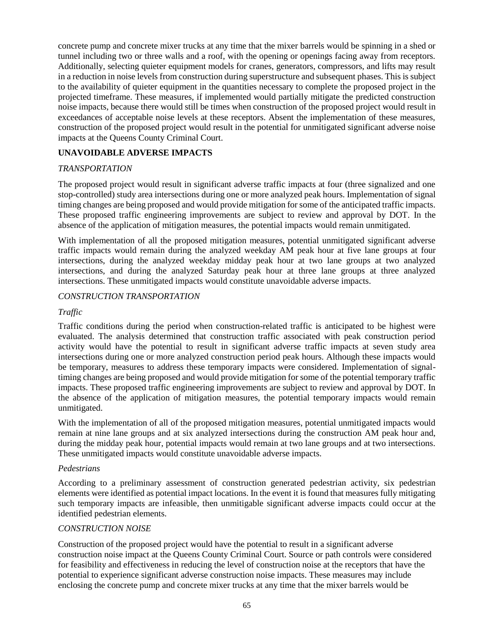concrete pump and concrete mixer trucks at any time that the mixer barrels would be spinning in a shed or tunnel including two or three walls and a roof, with the opening or openings facing away from receptors. Additionally, selecting quieter equipment models for cranes, generators, compressors, and lifts may result in a reduction in noise levels from construction during superstructure and subsequent phases. This is subject to the availability of quieter equipment in the quantities necessary to complete the proposed project in the projected timeframe. These measures, if implemented would partially mitigate the predicted construction noise impacts, because there would still be times when construction of the proposed project would result in exceedances of acceptable noise levels at these receptors. Absent the implementation of these measures, construction of the proposed project would result in the potential for unmitigated significant adverse noise impacts at the Queens County Criminal Court.

## **UNAVOIDABLE ADVERSE IMPACTS**

## *TRANSPORTATION*

The proposed project would result in significant adverse traffic impacts at four (three signalized and one stop-controlled) study area intersections during one or more analyzed peak hours. Implementation of signal timing changes are being proposed and would provide mitigation for some of the anticipated traffic impacts. These proposed traffic engineering improvements are subject to review and approval by DOT. In the absence of the application of mitigation measures, the potential impacts would remain unmitigated.

With implementation of all the proposed mitigation measures, potential unmitigated significant adverse traffic impacts would remain during the analyzed weekday AM peak hour at five lane groups at four intersections, during the analyzed weekday midday peak hour at two lane groups at two analyzed intersections, and during the analyzed Saturday peak hour at three lane groups at three analyzed intersections. These unmitigated impacts would constitute unavoidable adverse impacts.

#### *CONSTRUCTION TRANSPORTATION*

#### *Traffic*

Traffic conditions during the period when construction-related traffic is anticipated to be highest were evaluated. The analysis determined that construction traffic associated with peak construction period activity would have the potential to result in significant adverse traffic impacts at seven study area intersections during one or more analyzed construction period peak hours. Although these impacts would be temporary, measures to address these temporary impacts were considered. Implementation of signaltiming changes are being proposed and would provide mitigation for some of the potential temporary traffic impacts. These proposed traffic engineering improvements are subject to review and approval by DOT. In the absence of the application of mitigation measures, the potential temporary impacts would remain unmitigated.

With the implementation of all of the proposed mitigation measures, potential unmitigated impacts would remain at nine lane groups and at six analyzed intersections during the construction AM peak hour and, during the midday peak hour, potential impacts would remain at two lane groups and at two intersections. These unmitigated impacts would constitute unavoidable adverse impacts.

#### *Pedestrians*

According to a preliminary assessment of construction generated pedestrian activity, six pedestrian elements were identified as potential impact locations. In the event it is found that measures fully mitigating such temporary impacts are infeasible, then unmitigable significant adverse impacts could occur at the identified pedestrian elements.

#### *CONSTRUCTION NOISE*

Construction of the proposed project would have the potential to result in a significant adverse construction noise impact at the Queens County Criminal Court. Source or path controls were considered for feasibility and effectiveness in reducing the level of construction noise at the receptors that have the potential to experience significant adverse construction noise impacts. These measures may include enclosing the concrete pump and concrete mixer trucks at any time that the mixer barrels would be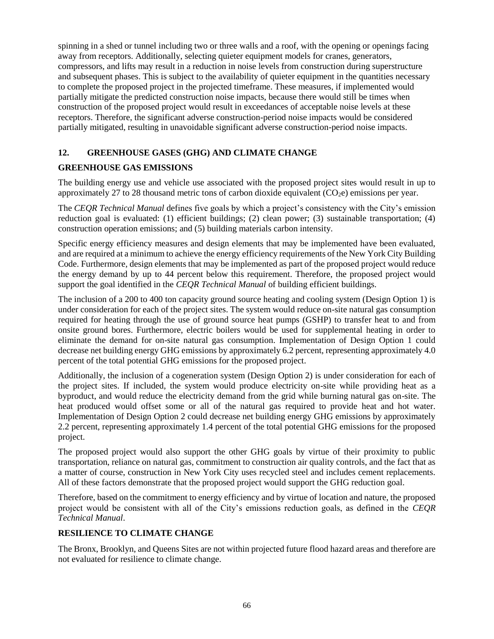spinning in a shed or tunnel including two or three walls and a roof, with the opening or openings facing away from receptors. Additionally, selecting quieter equipment models for cranes, generators, compressors, and lifts may result in a reduction in noise levels from construction during superstructure and subsequent phases. This is subject to the availability of quieter equipment in the quantities necessary to complete the proposed project in the projected timeframe. These measures, if implemented would partially mitigate the predicted construction noise impacts, because there would still be times when construction of the proposed project would result in exceedances of acceptable noise levels at these receptors. Therefore, the significant adverse construction-period noise impacts would be considered partially mitigated, resulting in unavoidable significant adverse construction-period noise impacts.

## **12. GREENHOUSE GASES (GHG) AND CLIMATE CHANGE**

### **GREENHOUSE GAS EMISSIONS**

The building energy use and vehicle use associated with the proposed project sites would result in up to approximately 27 to 28 thousand metric tons of carbon dioxide equivalent  $(CO_2e)$  emissions per year.

The *CEQR Technical Manual* defines five goals by which a project's consistency with the City's emission reduction goal is evaluated: (1) efficient buildings; (2) clean power; (3) sustainable transportation; (4) construction operation emissions; and (5) building materials carbon intensity.

Specific energy efficiency measures and design elements that may be implemented have been evaluated, and are required at a minimum to achieve the energy efficiency requirements of the New York City Building Code. Furthermore, design elements that may be implemented as part of the proposed project would reduce the energy demand by up to 44 percent below this requirement. Therefore, the proposed project would support the goal identified in the *CEQR Technical Manual* of building efficient buildings.

The inclusion of a 200 to 400 ton capacity ground source heating and cooling system (Design Option 1) is under consideration for each of the project sites. The system would reduce on-site natural gas consumption required for heating through the use of ground source heat pumps (GSHP) to transfer heat to and from onsite ground bores. Furthermore, electric boilers would be used for supplemental heating in order to eliminate the demand for on-site natural gas consumption. Implementation of Design Option 1 could decrease net building energy GHG emissions by approximately 6.2 percent, representing approximately 4.0 percent of the total potential GHG emissions for the proposed project.

Additionally, the inclusion of a cogeneration system (Design Option 2) is under consideration for each of the project sites. If included, the system would produce electricity on-site while providing heat as a byproduct, and would reduce the electricity demand from the grid while burning natural gas on-site. The heat produced would offset some or all of the natural gas required to provide heat and hot water. Implementation of Design Option 2 could decrease net building energy GHG emissions by approximately 2.2 percent, representing approximately 1.4 percent of the total potential GHG emissions for the proposed project.

The proposed project would also support the other GHG goals by virtue of their proximity to public transportation, reliance on natural gas, commitment to construction air quality controls, and the fact that as a matter of course, construction in New York City uses recycled steel and includes cement replacements. All of these factors demonstrate that the proposed project would support the GHG reduction goal.

Therefore, based on the commitment to energy efficiency and by virtue of location and nature, the proposed project would be consistent with all of the City's emissions reduction goals, as defined in the *CEQR Technical Manual*.

## **RESILIENCE TO CLIMATE CHANGE**

The Bronx, Brooklyn, and Queens Sites are not within projected future flood hazard areas and therefore are not evaluated for resilience to climate change.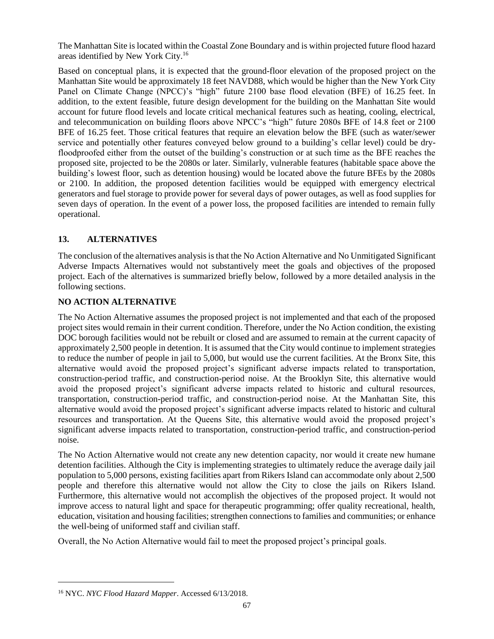The Manhattan Site is located within the Coastal Zone Boundary and is within projected future flood hazard areas identified by New York City.<sup>16</sup>

Based on conceptual plans, it is expected that the ground-floor elevation of the proposed project on the Manhattan Site would be approximately 18 feet NAVD88, which would be higher than the New York City Panel on Climate Change (NPCC)'s "high" future 2100 base flood elevation (BFE) of 16.25 feet. In addition, to the extent feasible, future design development for the building on the Manhattan Site would account for future flood levels and locate critical mechanical features such as heating, cooling, electrical, and telecommunication on building floors above NPCC's "high" future 2080s BFE of 14.8 feet or 2100 BFE of 16.25 feet. Those critical features that require an elevation below the BFE (such as water/sewer service and potentially other features conveyed below ground to a building's cellar level) could be dryfloodproofed either from the outset of the building's construction or at such time as the BFE reaches the proposed site, projected to be the 2080s or later. Similarly, vulnerable features (habitable space above the building's lowest floor, such as detention housing) would be located above the future BFEs by the 2080s or 2100. In addition, the proposed detention facilities would be equipped with emergency electrical generators and fuel storage to provide power for several days of power outages, as well as food supplies for seven days of operation. In the event of a power loss, the proposed facilities are intended to remain fully operational.

## **13. ALTERNATIVES**

The conclusion of the alternatives analysis is that the No Action Alternative and No Unmitigated Significant Adverse Impacts Alternatives would not substantively meet the goals and objectives of the proposed project. Each of the alternatives is summarized briefly below, followed by a more detailed analysis in the following sections.

## **NO ACTION ALTERNATIVE**

The No Action Alternative assumes the proposed project is not implemented and that each of the proposed project sites would remain in their current condition. Therefore, under the No Action condition, the existing DOC borough facilities would not be rebuilt or closed and are assumed to remain at the current capacity of approximately 2,500 people in detention. It is assumed that the City would continue to implement strategies to reduce the number of people in jail to 5,000, but would use the current facilities. At the Bronx Site, this alternative would avoid the proposed project's significant adverse impacts related to transportation, construction-period traffic, and construction-period noise. At the Brooklyn Site, this alternative would avoid the proposed project's significant adverse impacts related to historic and cultural resources, transportation, construction-period traffic, and construction-period noise. At the Manhattan Site, this alternative would avoid the proposed project's significant adverse impacts related to historic and cultural resources and transportation. At the Queens Site, this alternative would avoid the proposed project's significant adverse impacts related to transportation, construction-period traffic, and construction-period noise.

The No Action Alternative would not create any new detention capacity, nor would it create new humane detention facilities. Although the City is implementing strategies to ultimately reduce the average daily jail population to 5,000 persons, existing facilities apart from Rikers Island can accommodate only about 2,500 people and therefore this alternative would not allow the City to close the jails on Rikers Island. Furthermore, this alternative would not accomplish the objectives of the proposed project. It would not improve access to natural light and space for therapeutic programming; offer quality recreational, health, education, visitation and housing facilities; strengthen connections to families and communities; or enhance the well-being of uniformed staff and civilian staff.

Overall, the No Action Alternative would fail to meet the proposed project's principal goals.

 $\overline{a}$ 

<sup>16</sup> NYC. *NYC Flood Hazard Mapper*. Accessed 6/13/2018.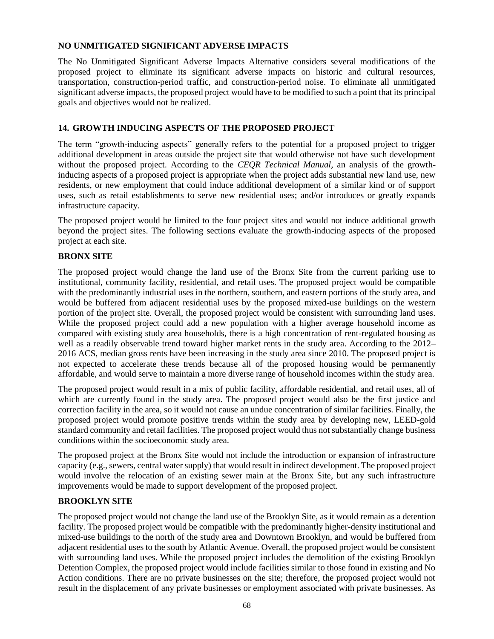#### **NO UNMITIGATED SIGNIFICANT ADVERSE IMPACTS**

The No Unmitigated Significant Adverse Impacts Alternative considers several modifications of the proposed project to eliminate its significant adverse impacts on historic and cultural resources, transportation, construction-period traffic, and construction-period noise. To eliminate all unmitigated significant adverse impacts, the proposed project would have to be modified to such a point that its principal goals and objectives would not be realized.

### **14. GROWTH INDUCING ASPECTS OF THE PROPOSED PROJECT**

The term "growth-inducing aspects" generally refers to the potential for a proposed project to trigger additional development in areas outside the project site that would otherwise not have such development without the proposed project. According to the *CEQR Technical Manual,* an analysis of the growthinducing aspects of a proposed project is appropriate when the project adds substantial new land use, new residents, or new employment that could induce additional development of a similar kind or of support uses, such as retail establishments to serve new residential uses; and/or introduces or greatly expands infrastructure capacity.

The proposed project would be limited to the four project sites and would not induce additional growth beyond the project sites. The following sections evaluate the growth-inducing aspects of the proposed project at each site.

#### **BRONX SITE**

The proposed project would change the land use of the Bronx Site from the current parking use to institutional, community facility, residential, and retail uses. The proposed project would be compatible with the predominantly industrial uses in the northern, southern, and eastern portions of the study area, and would be buffered from adjacent residential uses by the proposed mixed-use buildings on the western portion of the project site. Overall, the proposed project would be consistent with surrounding land uses. While the proposed project could add a new population with a higher average household income as compared with existing study area households, there is a high concentration of rent-regulated housing as well as a readily observable trend toward higher market rents in the study area. According to the 2012– 2016 ACS, median gross rents have been increasing in the study area since 2010. The proposed project is not expected to accelerate these trends because all of the proposed housing would be permanently affordable, and would serve to maintain a more diverse range of household incomes within the study area.

The proposed project would result in a mix of public facility, affordable residential, and retail uses, all of which are currently found in the study area. The proposed project would also be the first justice and correction facility in the area, so it would not cause an undue concentration of similar facilities. Finally, the proposed project would promote positive trends within the study area by developing new, LEED-gold standard community and retail facilities. The proposed project would thus not substantially change business conditions within the socioeconomic study area.

The proposed project at the Bronx Site would not include the introduction or expansion of infrastructure capacity (e.g., sewers, central water supply) that would result in indirect development. The proposed project would involve the relocation of an existing sewer main at the Bronx Site, but any such infrastructure improvements would be made to support development of the proposed project.

## **BROOKLYN SITE**

The proposed project would not change the land use of the Brooklyn Site, as it would remain as a detention facility. The proposed project would be compatible with the predominantly higher-density institutional and mixed-use buildings to the north of the study area and Downtown Brooklyn, and would be buffered from adjacent residential uses to the south by Atlantic Avenue. Overall, the proposed project would be consistent with surrounding land uses. While the proposed project includes the demolition of the existing Brooklyn Detention Complex, the proposed project would include facilities similar to those found in existing and No Action conditions. There are no private businesses on the site; therefore, the proposed project would not result in the displacement of any private businesses or employment associated with private businesses. As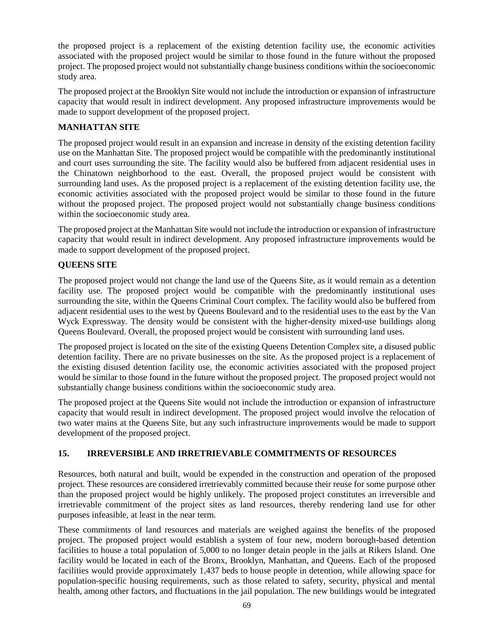the proposed project is a replacement of the existing detention facility use, the economic activities associated with the proposed project would be similar to those found in the future without the proposed project. The proposed project would not substantially change business conditions within the socioeconomic study area.

The proposed project at the Brooklyn Site would not include the introduction or expansion of infrastructure capacity that would result in indirect development. Any proposed infrastructure improvements would be made to support development of the proposed project.

## **MANHATTAN SITE**

The proposed project would result in an expansion and increase in density of the existing detention facility use on the Manhattan Site. The proposed project would be compatible with the predominantly institutional and court uses surrounding the site. The facility would also be buffered from adjacent residential uses in the Chinatown neighborhood to the east. Overall, the proposed project would be consistent with surrounding land uses. As the proposed project is a replacement of the existing detention facility use, the economic activities associated with the proposed project would be similar to those found in the future without the proposed project. The proposed project would not substantially change business conditions within the socioeconomic study area.

The proposed project at the Manhattan Site would not include the introduction or expansion of infrastructure capacity that would result in indirect development. Any proposed infrastructure improvements would be made to support development of the proposed project.

## **QUEENS SITE**

The proposed project would not change the land use of the Queens Site, as it would remain as a detention facility use. The proposed project would be compatible with the predominantly institutional uses surrounding the site, within the Queens Criminal Court complex. The facility would also be buffered from adjacent residential uses to the west by Queens Boulevard and to the residential uses to the east by the Van Wyck Expressway. The density would be consistent with the higher-density mixed-use buildings along Queens Boulevard. Overall, the proposed project would be consistent with surrounding land uses.

The proposed project is located on the site of the existing Queens Detention Complex site, a disused public detention facility. There are no private businesses on the site. As the proposed project is a replacement of the existing disused detention facility use, the economic activities associated with the proposed project would be similar to those found in the future without the proposed project. The proposed project would not substantially change business conditions within the socioeconomic study area.

The proposed project at the Queens Site would not include the introduction or expansion of infrastructure capacity that would result in indirect development. The proposed project would involve the relocation of two water mains at the Queens Site, but any such infrastructure improvements would be made to support development of the proposed project.

## **15. IRREVERSIBLE AND IRRETRIEVABLE COMMITMENTS OF RESOURCES**

Resources, both natural and built, would be expended in the construction and operation of the proposed project. These resources are considered irretrievably committed because their reuse for some purpose other than the proposed project would be highly unlikely. The proposed project constitutes an irreversible and irretrievable commitment of the project sites as land resources, thereby rendering land use for other purposes infeasible, at least in the near term.

These commitments of land resources and materials are weighed against the benefits of the proposed project. The proposed project would establish a system of four new, modern borough-based detention facilities to house a total population of 5,000 to no longer detain people in the jails at Rikers Island. One facility would be located in each of the Bronx, Brooklyn, Manhattan, and Queens. Each of the proposed facilities would provide approximately 1,437 beds to house people in detention, while allowing space for population-specific housing requirements, such as those related to safety, security, physical and mental health, among other factors, and fluctuations in the jail population. The new buildings would be integrated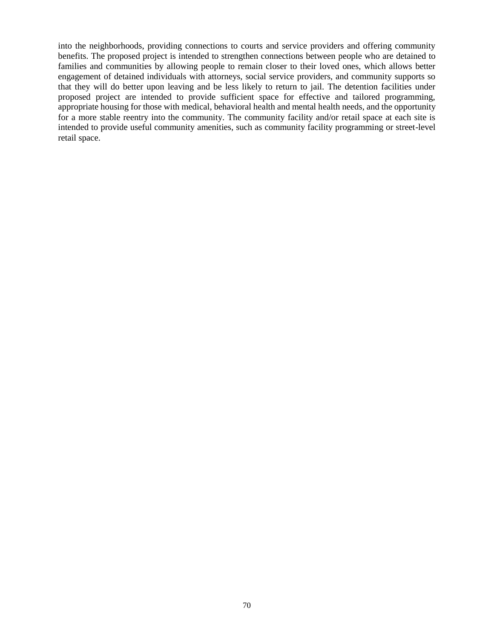into the neighborhoods, providing connections to courts and service providers and offering community benefits. The proposed project is intended to strengthen connections between people who are detained to families and communities by allowing people to remain closer to their loved ones, which allows better engagement of detained individuals with attorneys, social service providers, and community supports so that they will do better upon leaving and be less likely to return to jail. The detention facilities under proposed project are intended to provide sufficient space for effective and tailored programming, appropriate housing for those with medical, behavioral health and mental health needs, and the opportunity for a more stable reentry into the community. The community facility and/or retail space at each site is intended to provide useful community amenities, such as community facility programming or street-level retail space.